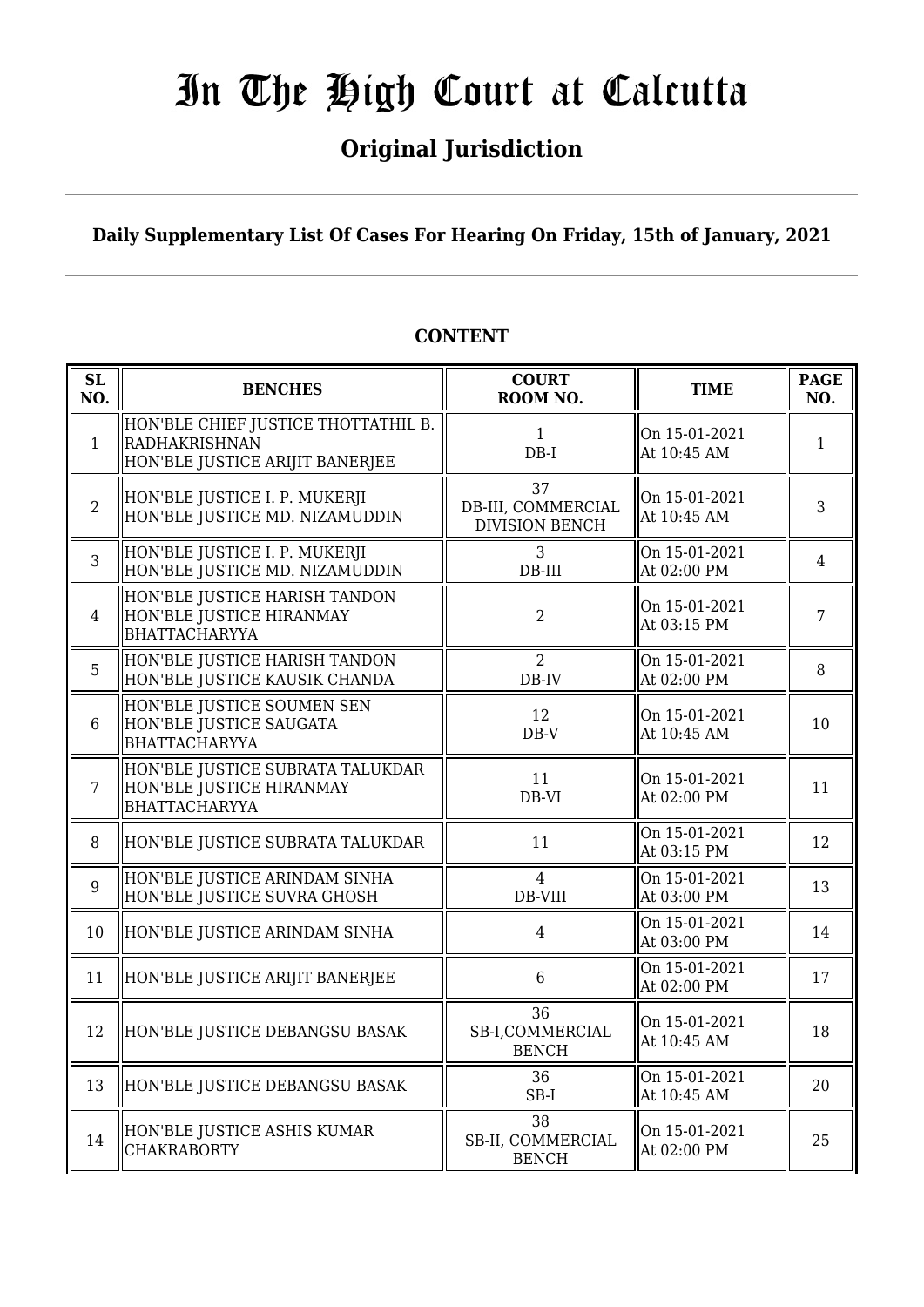# **Original Jurisdiction**

## **Daily Supplementary List Of Cases For Hearing On Friday, 15th of January, 2021**

| SL<br>NO.      | <b>BENCHES</b>                                                                                 | <b>COURT</b><br>ROOM NO.                          | <b>TIME</b>                  | <b>PAGE</b><br>NO. |
|----------------|------------------------------------------------------------------------------------------------|---------------------------------------------------|------------------------------|--------------------|
| $\mathbf{1}$   | HON'BLE CHIEF JUSTICE THOTTATHIL B.<br><b>RADHAKRISHNAN</b><br>HON'BLE JUSTICE ARIJIT BANERJEE | 1<br>$DB-I$                                       | On 15-01-2021<br>At 10:45 AM | $\mathbf{1}$       |
| $\overline{2}$ | HON'BLE JUSTICE I. P. MUKERJI<br>HON'BLE JUSTICE MD. NIZAMUDDIN                                | 37<br>DB-III, COMMERCIAL<br><b>DIVISION BENCH</b> | On 15-01-2021<br>At 10:45 AM | 3                  |
| 3              | HON'BLE JUSTICE I. P. MUKERJI<br>HON'BLE JUSTICE MD. NIZAMUDDIN                                | 3<br>$DB-III$                                     | On 15-01-2021<br>At 02:00 PM | $\overline{4}$     |
| $\overline{4}$ | HON'BLE JUSTICE HARISH TANDON<br>HON'BLE JUSTICE HIRANMAY<br><b>BHATTACHARYYA</b>              | $\overline{2}$                                    | On 15-01-2021<br>At 03:15 PM | 7                  |
| 5              | HON'BLE JUSTICE HARISH TANDON<br>HON'BLE JUSTICE KAUSIK CHANDA                                 | $\overline{2}$<br>DB-IV                           | On 15-01-2021<br>At 02:00 PM | 8                  |
| 6              | HON'BLE JUSTICE SOUMEN SEN<br>HON'BLE JUSTICE SAUGATA<br><b>BHATTACHARYYA</b>                  | 12<br>$DB-V$                                      | On 15-01-2021<br>At 10:45 AM | 10                 |
| $\overline{7}$ | HON'BLE JUSTICE SUBRATA TALUKDAR<br>HON'BLE JUSTICE HIRANMAY<br><b>BHATTACHARYYA</b>           | 11<br>DB-VI                                       | On 15-01-2021<br>At 02:00 PM | 11                 |
| 8              | HON'BLE JUSTICE SUBRATA TALUKDAR                                                               | 11                                                | On 15-01-2021<br>At 03:15 PM | 12                 |
| $\overline{9}$ | HON'BLE JUSTICE ARINDAM SINHA<br>HON'BLE JUSTICE SUVRA GHOSH                                   | $\overline{4}$<br>DB-VIII                         | On 15-01-2021<br>At 03:00 PM | 13                 |
| 10             | HON'BLE JUSTICE ARINDAM SINHA                                                                  | $\overline{4}$                                    | On 15-01-2021<br>At 03:00 PM | 14                 |
| 11             | HON'BLE JUSTICE ARIJIT BANERJEE                                                                | 6                                                 | On 15-01-2021<br>At 02:00 PM | 17                 |
| 12             | HON'BLE JUSTICE DEBANGSU BASAK                                                                 | 36<br>SB-I,COMMERCIAL<br><b>BENCH</b>             | On 15-01-2021<br>At 10:45 AM | 18                 |
| 13             | HON'BLE JUSTICE DEBANGSU BASAK                                                                 | 36<br>$SB-I$                                      | On 15-01-2021<br>At 10:45 AM | 20                 |
| 14             | HON'BLE JUSTICE ASHIS KUMAR<br><b>CHAKRABORTY</b>                                              | 38<br>SB-II, COMMERCIAL<br><b>BENCH</b>           | On 15-01-2021<br>At 02:00 PM | 25                 |

## **CONTENT**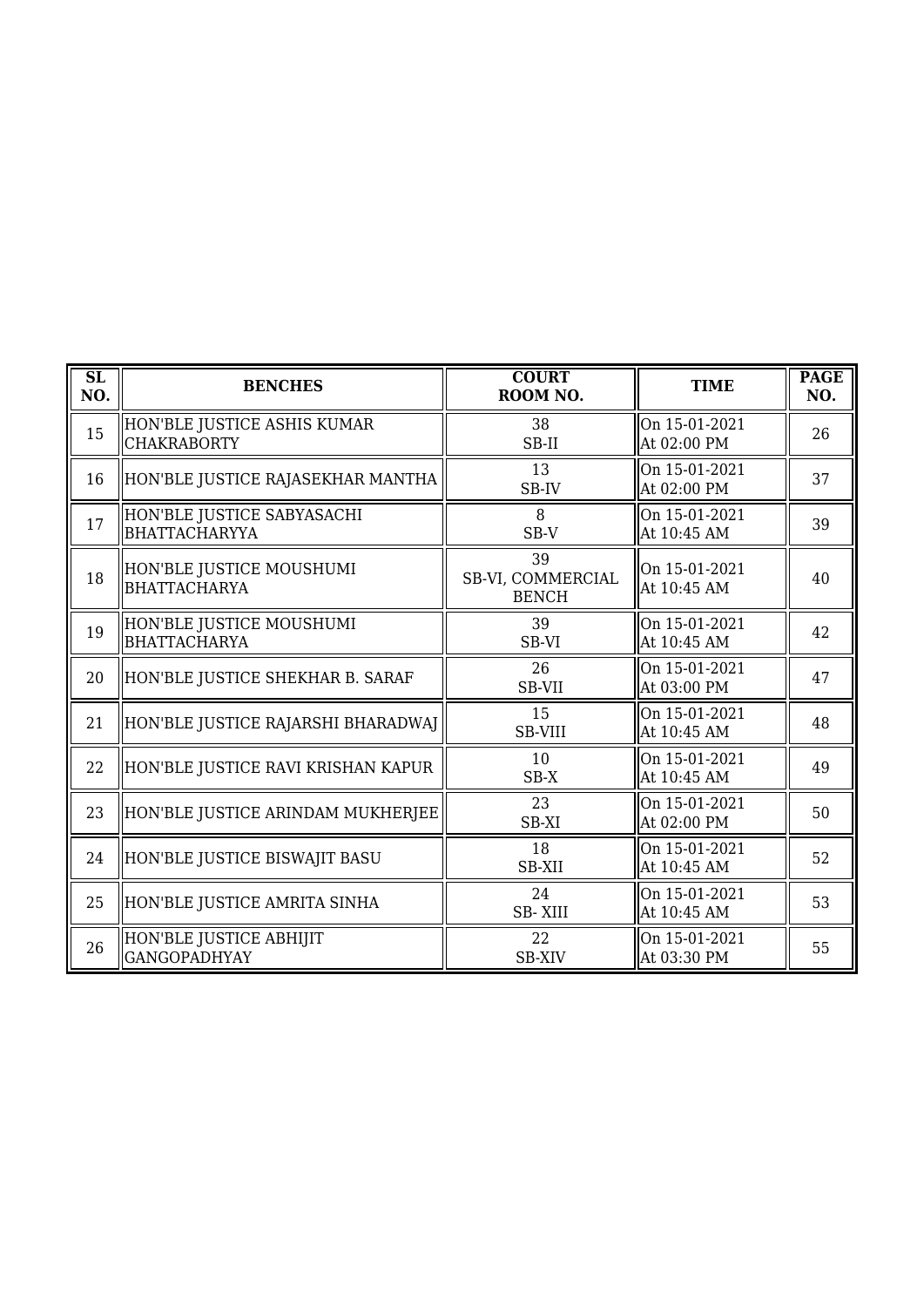| $\overline{\text{SL}}$<br>NO. | <b>BENCHES</b>                                    | <b>COURT</b><br>ROOM NO.                | <b>TIME</b>                  | <b>PAGE</b><br>NO. |
|-------------------------------|---------------------------------------------------|-----------------------------------------|------------------------------|--------------------|
| 15                            | HON'BLE JUSTICE ASHIS KUMAR<br><b>CHAKRABORTY</b> | 38<br>SB-II                             | On 15-01-2021<br>At 02:00 PM | 26                 |
| 16                            | HON'BLE JUSTICE RAJASEKHAR MANTHA                 | 13<br>SB-IV                             | On 15-01-2021<br>At 02:00 PM | 37                 |
| 17                            | HON'BLE JUSTICE SABYASACHI<br>BHATTACHARYYA       | 8<br>SB-V                               | On 15-01-2021<br>At 10:45 AM | 39                 |
| 18                            | HON'BLE JUSTICE MOUSHUMI<br>BHATTACHARYA          | 39<br>SB-VI, COMMERCIAL<br><b>BENCH</b> | On 15-01-2021<br>At 10:45 AM | 40                 |
| 19                            | HON'BLE JUSTICE MOUSHUMI<br>BHATTACHARYA          | 39<br>SB-VI                             | On 15-01-2021<br>At 10:45 AM | 42                 |
| 20                            | HON'BLE JUSTICE SHEKHAR B. SARAF                  | 26<br>SB-VII                            | On 15-01-2021<br>At 03:00 PM | 47                 |
| 21                            | HON'BLE JUSTICE RAJARSHI BHARADWAJ                | 15<br><b>SB-VIII</b>                    | On 15-01-2021<br>At 10:45 AM | 48                 |
| 22                            | HON'BLE JUSTICE RAVI KRISHAN KAPUR                | 10<br>$SB-X$                            | On 15-01-2021<br>At 10:45 AM | 49                 |
| 23                            | HON'BLE JUSTICE ARINDAM MUKHERJEE                 | 23<br>SB-XI                             | On 15-01-2021<br>At 02:00 PM | 50                 |
| 24                            | HON'BLE JUSTICE BISWAJIT BASU                     | 18<br>SB-XII                            | On 15-01-2021<br>At 10:45 AM | 52                 |
| 25                            | HON'BLE JUSTICE AMRITA SINHA                      | 24<br><b>SB-XIII</b>                    | On 15-01-2021<br>At 10:45 AM | 53                 |
| 26                            | HON'BLE JUSTICE ABHIJIT<br><b>GANGOPADHYAY</b>    | 22<br><b>SB-XIV</b>                     | On 15-01-2021<br>At 03:30 PM | 55                 |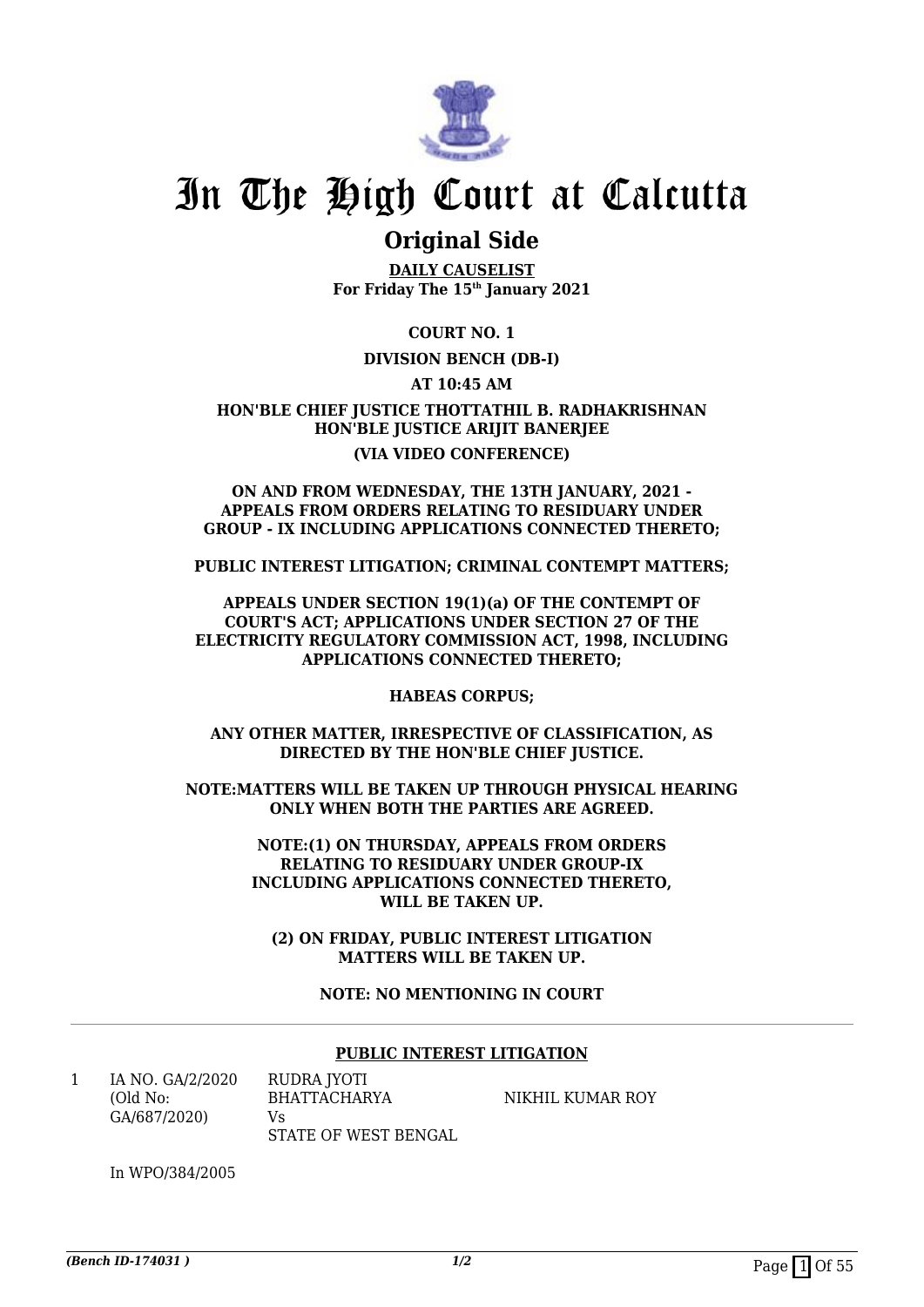

# **Original Side**

**DAILY CAUSELIST For Friday The 15th January 2021**

**COURT NO. 1**

### **DIVISION BENCH (DB-I)**

**AT 10:45 AM**

**HON'BLE CHIEF JUSTICE THOTTATHIL B. RADHAKRISHNAN HON'BLE JUSTICE ARIJIT BANERJEE (VIA VIDEO CONFERENCE)**

#### **ON AND FROM WEDNESDAY, THE 13TH JANUARY, 2021 - APPEALS FROM ORDERS RELATING TO RESIDUARY UNDER GROUP - IX INCLUDING APPLICATIONS CONNECTED THERETO;**

**PUBLIC INTEREST LITIGATION; CRIMINAL CONTEMPT MATTERS;**

#### **APPEALS UNDER SECTION 19(1)(a) OF THE CONTEMPT OF COURT'S ACT; APPLICATIONS UNDER SECTION 27 OF THE ELECTRICITY REGULATORY COMMISSION ACT, 1998, INCLUDING APPLICATIONS CONNECTED THERETO;**

**HABEAS CORPUS;**

**ANY OTHER MATTER, IRRESPECTIVE OF CLASSIFICATION, AS DIRECTED BY THE HON'BLE CHIEF JUSTICE.**

**NOTE:MATTERS WILL BE TAKEN UP THROUGH PHYSICAL HEARING ONLY WHEN BOTH THE PARTIES ARE AGREED.**

> **NOTE:(1) ON THURSDAY, APPEALS FROM ORDERS RELATING TO RESIDUARY UNDER GROUP-IX INCLUDING APPLICATIONS CONNECTED THERETO, WILL BE TAKEN UP.**

**(2) ON FRIDAY, PUBLIC INTEREST LITIGATION MATTERS WILL BE TAKEN UP.**

### **NOTE: NO MENTIONING IN COURT**

#### **PUBLIC INTEREST LITIGATION**

1 IA NO. GA/2/2020 (Old No: GA/687/2020)  $V<sub>c</sub>$ 

RUDRA JYOTI BHATTACHARYA STATE OF WEST BENGAL

NIKHIL KUMAR ROY

In WPO/384/2005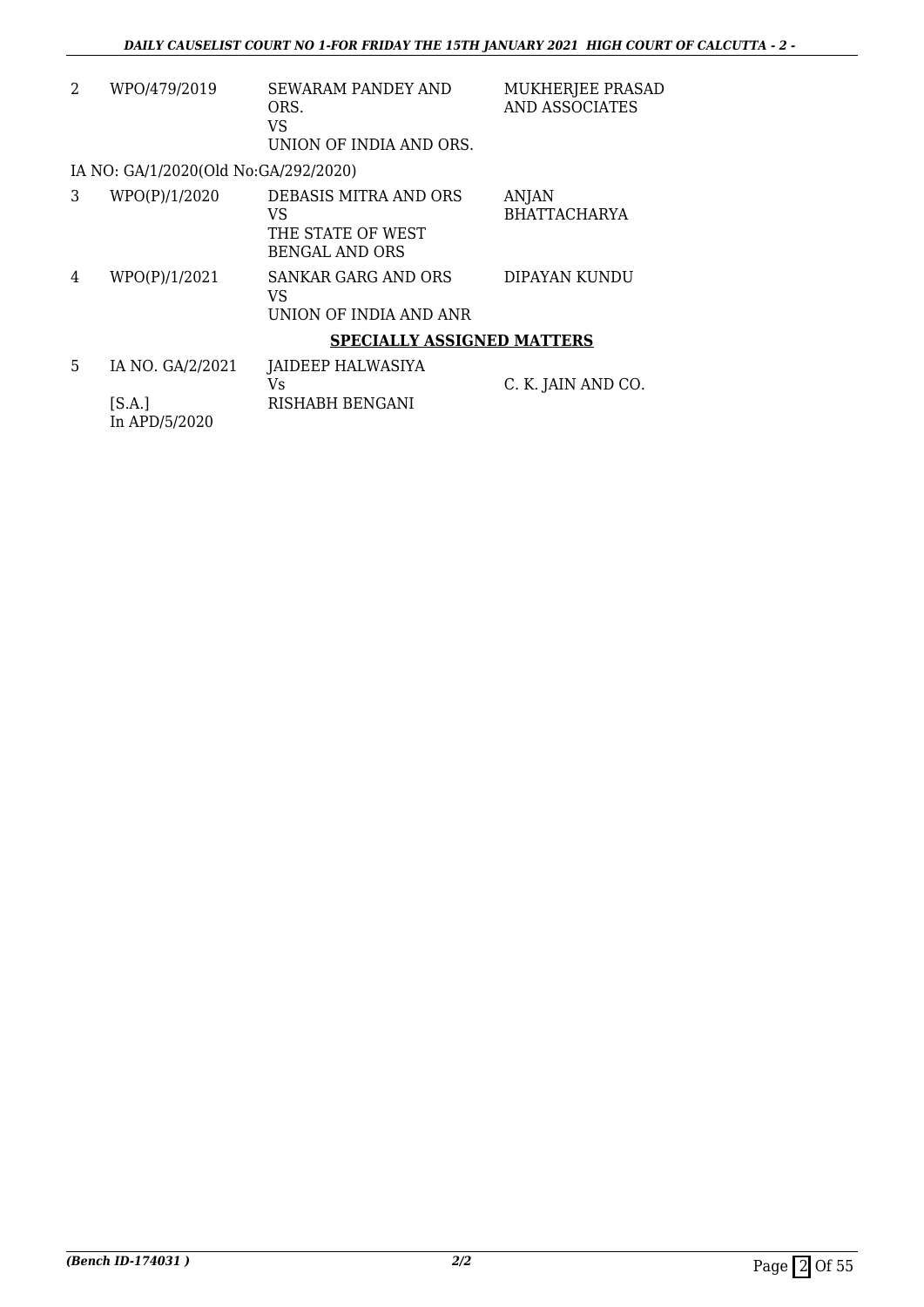| 2 | WPO/479/2019                                | <b>SEWARAM PANDEY AND</b><br>ORS.<br><b>VS</b><br>UNION OF INDIA AND ORS. | MUKHERJEE PRASAD<br><b>AND ASSOCIATES</b> |
|---|---------------------------------------------|---------------------------------------------------------------------------|-------------------------------------------|
|   | IA NO: GA/1/2020(Old No:GA/292/2020)        |                                                                           |                                           |
| 3 | WPO(P)/1/2020                               | DEBASIS MITRA AND ORS<br>VS<br>THE STATE OF WEST<br><b>BENGAL AND ORS</b> | <b>ANJAN</b><br><b>BHATTACHARYA</b>       |
| 4 | WPO(P)/1/2021                               | SANKAR GARG AND ORS<br>VS<br>UNION OF INDIA AND ANR                       | DIPAYAN KUNDU                             |
|   |                                             | <b>SPECIALLY ASSIGNED MATTERS</b>                                         |                                           |
| 5 | IA NO. GA/2/2021<br>[S.A.]<br>In APD/5/2020 | JAIDEEP HALWASIYA<br>Vs<br>RISHABH BENGANI                                | C. K. JAIN AND CO.                        |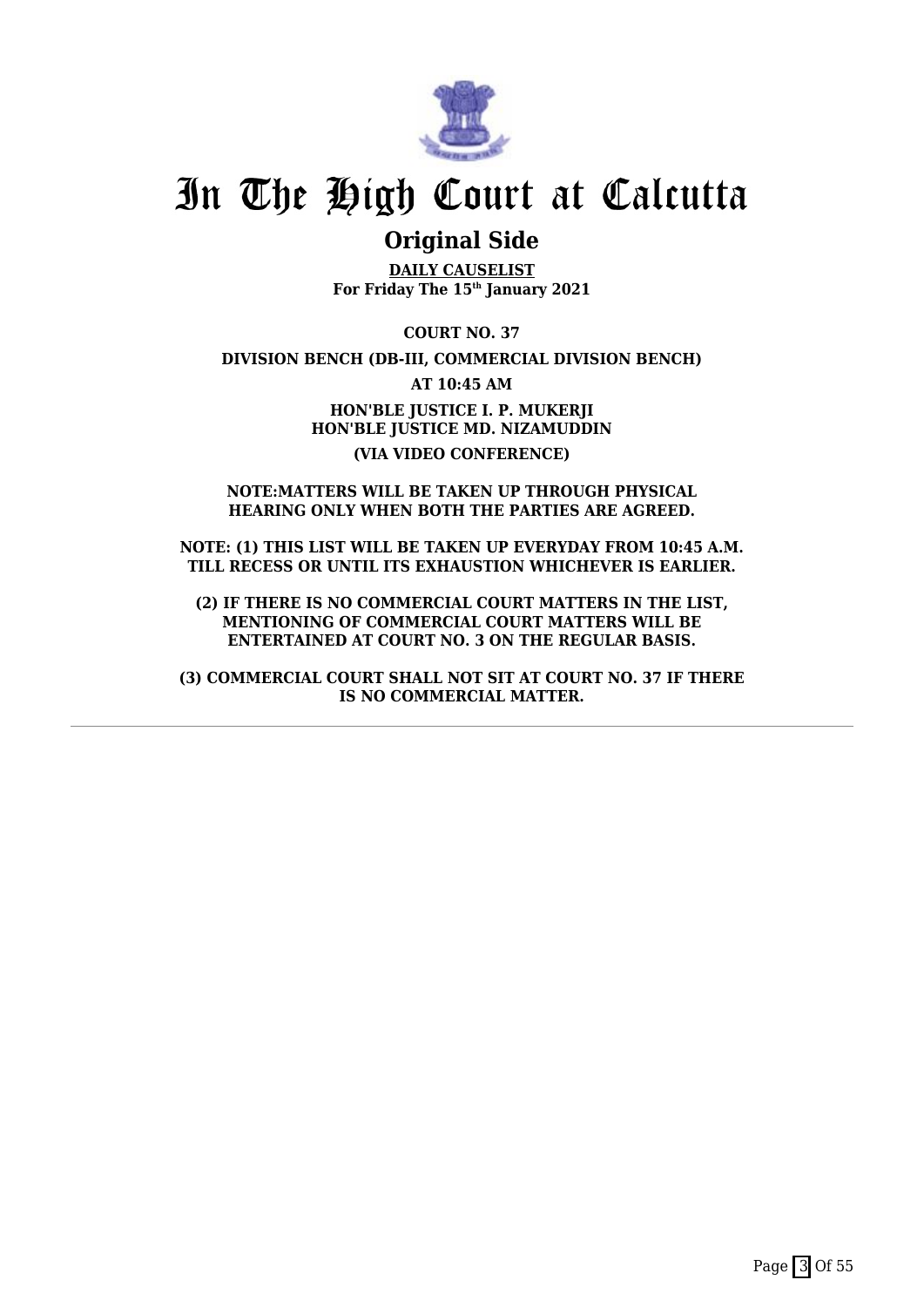

# **Original Side**

**DAILY CAUSELIST For Friday The 15th January 2021**

**COURT NO. 37**

**DIVISION BENCH (DB-III, COMMERCIAL DIVISION BENCH)**

**AT 10:45 AM**

**HON'BLE JUSTICE I. P. MUKERJI HON'BLE JUSTICE MD. NIZAMUDDIN (VIA VIDEO CONFERENCE)**

#### **NOTE:MATTERS WILL BE TAKEN UP THROUGH PHYSICAL HEARING ONLY WHEN BOTH THE PARTIES ARE AGREED.**

**NOTE: (1) THIS LIST WILL BE TAKEN UP EVERYDAY FROM 10:45 A.M. TILL RECESS OR UNTIL ITS EXHAUSTION WHICHEVER IS EARLIER.**

**(2) IF THERE IS NO COMMERCIAL COURT MATTERS IN THE LIST, MENTIONING OF COMMERCIAL COURT MATTERS WILL BE ENTERTAINED AT COURT NO. 3 ON THE REGULAR BASIS.**

**(3) COMMERCIAL COURT SHALL NOT SIT AT COURT NO. 37 IF THERE IS NO COMMERCIAL MATTER.**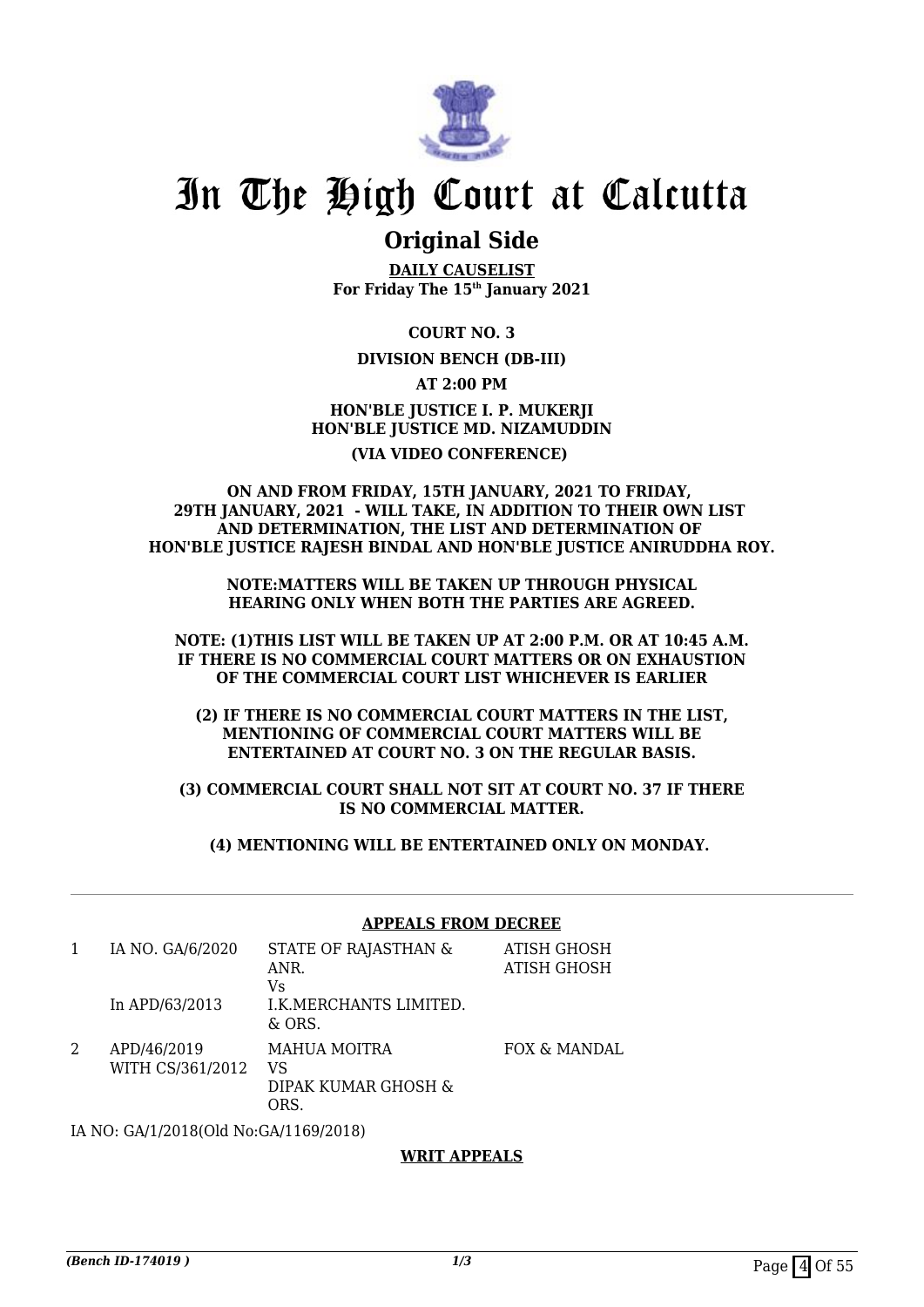

# **Original Side**

**DAILY CAUSELIST For Friday The 15th January 2021**

**COURT NO. 3**

### **DIVISION BENCH (DB-III)**

**AT 2:00 PM**

## **HON'BLE JUSTICE I. P. MUKERJI HON'BLE JUSTICE MD. NIZAMUDDIN (VIA VIDEO CONFERENCE)**

### **ON AND FROM FRIDAY, 15TH JANUARY, 2021 TO FRIDAY, 29TH JANUARY, 2021 - WILL TAKE, IN ADDITION TO THEIR OWN LIST AND DETERMINATION, THE LIST AND DETERMINATION OF HON'BLE JUSTICE RAJESH BINDAL AND HON'BLE JUSTICE ANIRUDDHA ROY.**

**NOTE:MATTERS WILL BE TAKEN UP THROUGH PHYSICAL HEARING ONLY WHEN BOTH THE PARTIES ARE AGREED.**

**NOTE: (1)THIS LIST WILL BE TAKEN UP AT 2:00 P.M. OR AT 10:45 A.M. IF THERE IS NO COMMERCIAL COURT MATTERS OR ON EXHAUSTION OF THE COMMERCIAL COURT LIST WHICHEVER IS EARLIER**

**(2) IF THERE IS NO COMMERCIAL COURT MATTERS IN THE LIST, MENTIONING OF COMMERCIAL COURT MATTERS WILL BE ENTERTAINED AT COURT NO. 3 ON THE REGULAR BASIS.**

**(3) COMMERCIAL COURT SHALL NOT SIT AT COURT NO. 37 IF THERE IS NO COMMERCIAL MATTER.**

**(4) MENTIONING WILL BE ENTERTAINED ONLY ON MONDAY.** 

#### **APPEALS FROM DECREE**

| IA NO. GA/6/2020                | STATE OF RAJASTHAN &<br>ANR.<br>Vs               | ATISH GHOSH<br>ATISH GHOSH |
|---------------------------------|--------------------------------------------------|----------------------------|
| In APD/63/2013                  | I.K.MERCHANTS LIMITED.<br>$\&$ ORS.              |                            |
| APD/46/2019<br>WITH CS/361/2012 | <b>MAHUA MOITRA</b><br>VS<br>DIPAK KUMAR GHOSH & | FOX & MANDAL               |

IA NO: GA/1/2018(Old No:GA/1169/2018)

ORS.

### **WRIT APPEALS**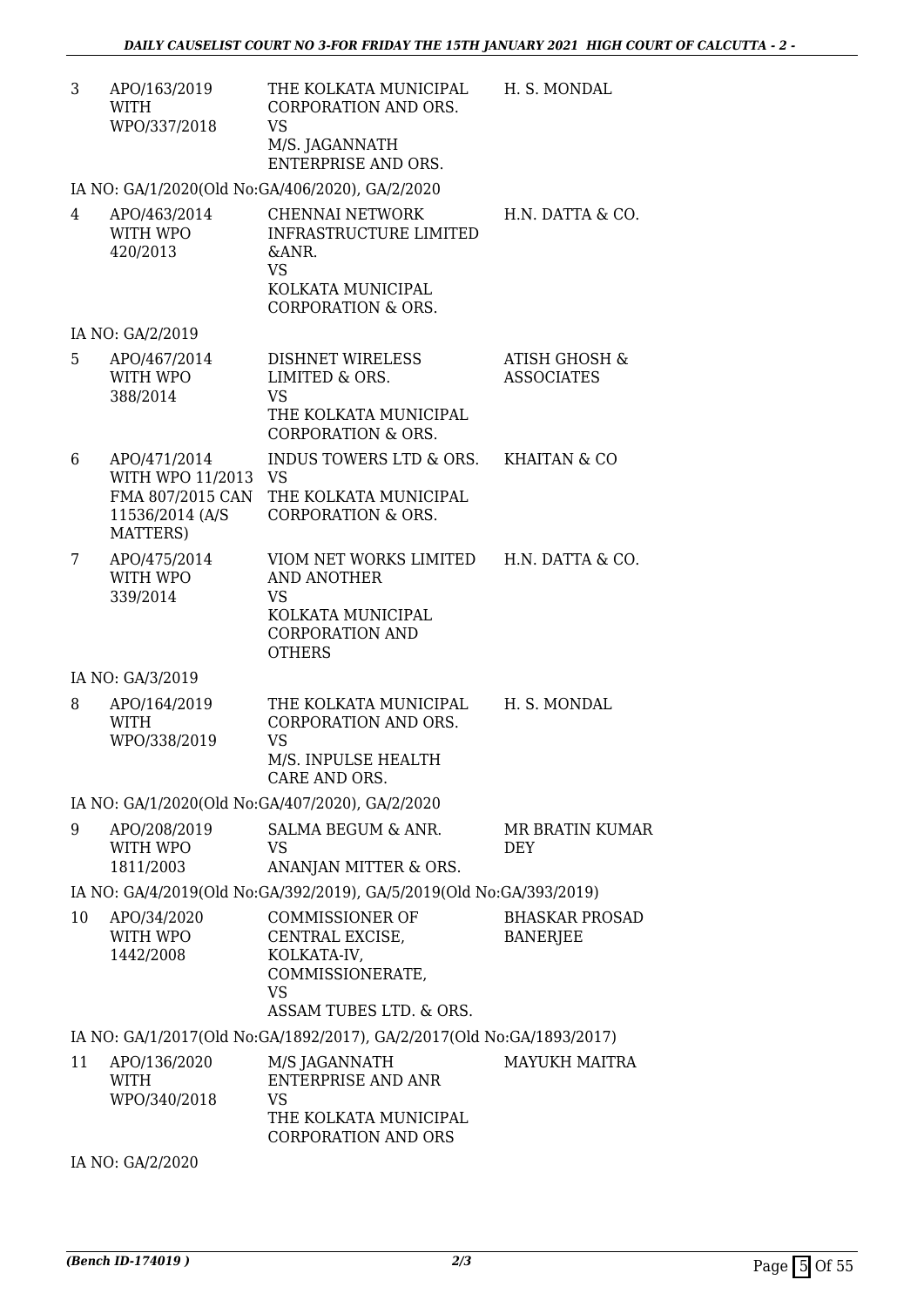| 3  | APO/163/2019<br>WITH<br>WPO/337/2018                                                | THE KOLKATA MUNICIPAL<br><b>CORPORATION AND ORS.</b><br><b>VS</b><br>M/S. JAGANNATH<br>ENTERPRISE AND ORS.                   | H. S. MONDAL                                  |
|----|-------------------------------------------------------------------------------------|------------------------------------------------------------------------------------------------------------------------------|-----------------------------------------------|
|    |                                                                                     | IA NO: GA/1/2020(Old No:GA/406/2020), GA/2/2020                                                                              |                                               |
| 4  | APO/463/2014<br>WITH WPO<br>420/2013                                                | CHENNAI NETWORK<br><b>INFRASTRUCTURE LIMITED</b><br>&ANR.<br><b>VS</b><br>KOLKATA MUNICIPAL<br><b>CORPORATION &amp; ORS.</b> | H.N. DATTA & CO.                              |
|    | IA NO: GA/2/2019                                                                    |                                                                                                                              |                                               |
| 5  | APO/467/2014<br>WITH WPO<br>388/2014                                                | DISHNET WIRELESS<br>LIMITED & ORS.<br><b>VS</b><br>THE KOLKATA MUNICIPAL<br><b>CORPORATION &amp; ORS.</b>                    | <b>ATISH GHOSH &amp;</b><br><b>ASSOCIATES</b> |
| 6  | APO/471/2014<br>WITH WPO 11/2013<br>FMA 807/2015 CAN<br>11536/2014 (A/S<br>MATTERS) | INDUS TOWERS LTD & ORS.<br><b>VS</b><br>THE KOLKATA MUNICIPAL<br><b>CORPORATION &amp; ORS.</b>                               | KHAITAN & CO                                  |
| 7  | APO/475/2014<br>WITH WPO<br>339/2014                                                | VIOM NET WORKS LIMITED<br><b>AND ANOTHER</b><br>VS<br>KOLKATA MUNICIPAL<br><b>CORPORATION AND</b><br><b>OTHERS</b>           | H.N. DATTA & CO.                              |
|    | IA NO: GA/3/2019                                                                    |                                                                                                                              |                                               |
| 8  | APO/164/2019<br><b>WITH</b><br>WPO/338/2019                                         | THE KOLKATA MUNICIPAL<br>CORPORATION AND ORS.<br><b>VS</b><br>M/S. INPULSE HEALTH<br>CARE AND ORS.                           | H. S. MONDAL                                  |
|    |                                                                                     | IA NO: GA/1/2020(Old No:GA/407/2020), GA/2/2020                                                                              |                                               |
| 9  | APO/208/2019<br>WITH WPO<br>1811/2003                                               | SALMA BEGUM & ANR.<br>VS<br>ANANJAN MITTER & ORS.                                                                            | <b>MR BRATIN KUMAR</b><br><b>DEY</b>          |
|    |                                                                                     | IA NO: GA/4/2019(Old No:GA/392/2019), GA/5/2019(Old No:GA/393/2019)                                                          |                                               |
| 10 | APO/34/2020<br>WITH WPO<br>1442/2008                                                | <b>COMMISSIONER OF</b><br>CENTRAL EXCISE,<br>KOLKATA-IV,<br>COMMISSIONERATE,<br><b>VS</b><br>ASSAM TUBES LTD. & ORS.         | <b>BHASKAR PROSAD</b><br><b>BANERJEE</b>      |
|    |                                                                                     | IA NO: GA/1/2017(Old No:GA/1892/2017), GA/2/2017(Old No:GA/1893/2017)                                                        |                                               |
| 11 | APO/136/2020<br><b>WITH</b><br>WPO/340/2018                                         | M/S JAGANNATH<br><b>ENTERPRISE AND ANR</b><br><b>VS</b><br>THE KOLKATA MUNICIPAL<br><b>CORPORATION AND ORS</b>               | <b>MAYUKH MAITRA</b>                          |

IA NO: GA/2/2020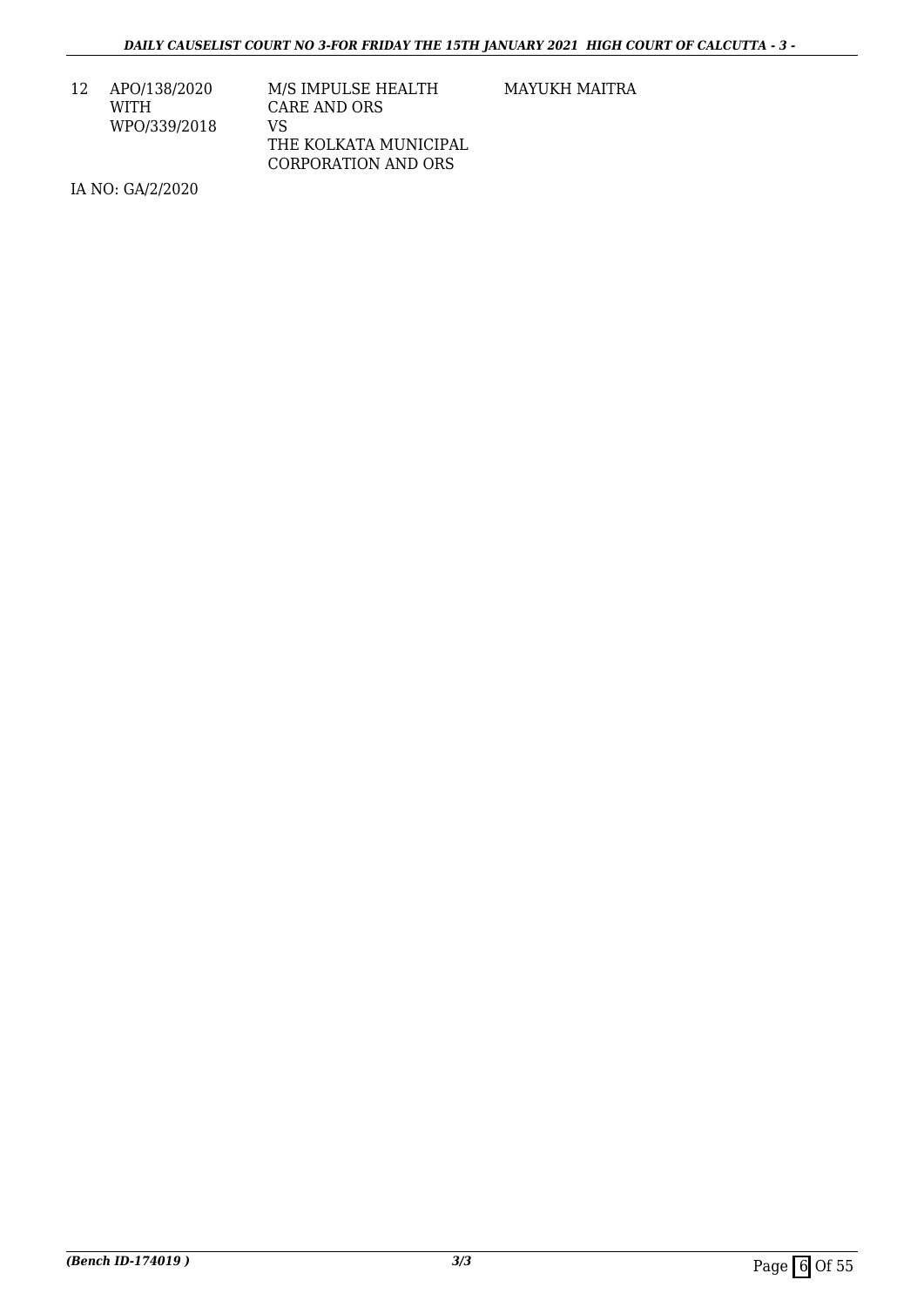12 APO/138/2020 WITH WPO/339/2018

| M/S IMPULSE HEALTH         |
|----------------------------|
| CARE AND ORS               |
| VS.                        |
| THE KOLKATA MUNICIPAL      |
| <b>CORPORATION AND ORS</b> |

MAYUKH MAITRA

IA NO: GA/2/2020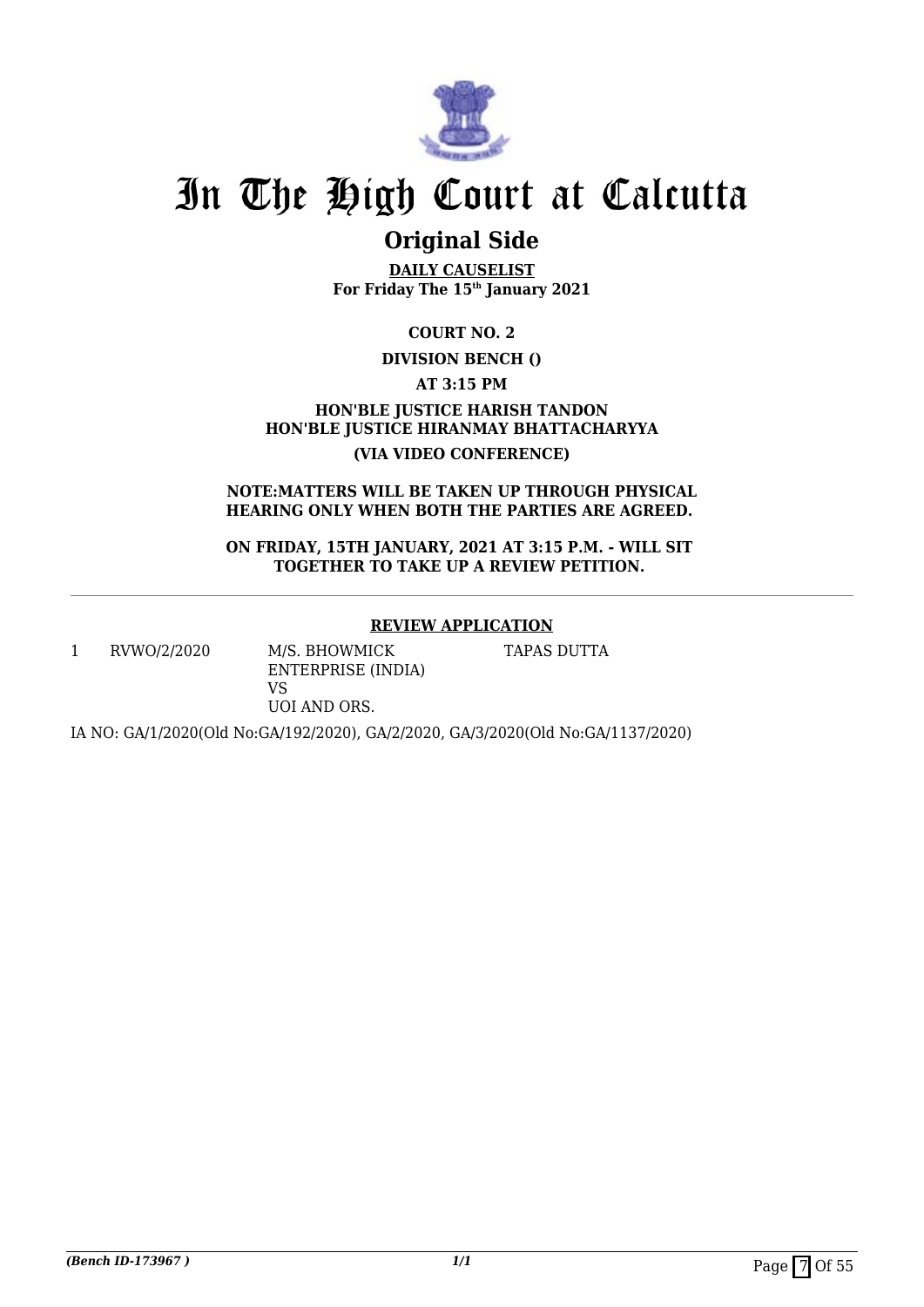

# **Original Side**

**DAILY CAUSELIST For Friday The 15th January 2021**

**COURT NO. 2**

### **DIVISION BENCH ()**

**AT 3:15 PM**

**HON'BLE JUSTICE HARISH TANDON HON'BLE JUSTICE HIRANMAY BHATTACHARYYA (VIA VIDEO CONFERENCE)**

**NOTE:MATTERS WILL BE TAKEN UP THROUGH PHYSICAL HEARING ONLY WHEN BOTH THE PARTIES ARE AGREED.** 

**ON FRIDAY, 15TH JANUARY, 2021 AT 3:15 P.M. - WILL SIT TOGETHER TO TAKE UP A REVIEW PETITION.** 

### **REVIEW APPLICATION**

1 RVWO/2/2020 M/S. BHOWMICK

ENTERPRISE (INDIA) VS UOI AND ORS.

TAPAS DUTTA

IA NO: GA/1/2020(Old No:GA/192/2020), GA/2/2020, GA/3/2020(Old No:GA/1137/2020)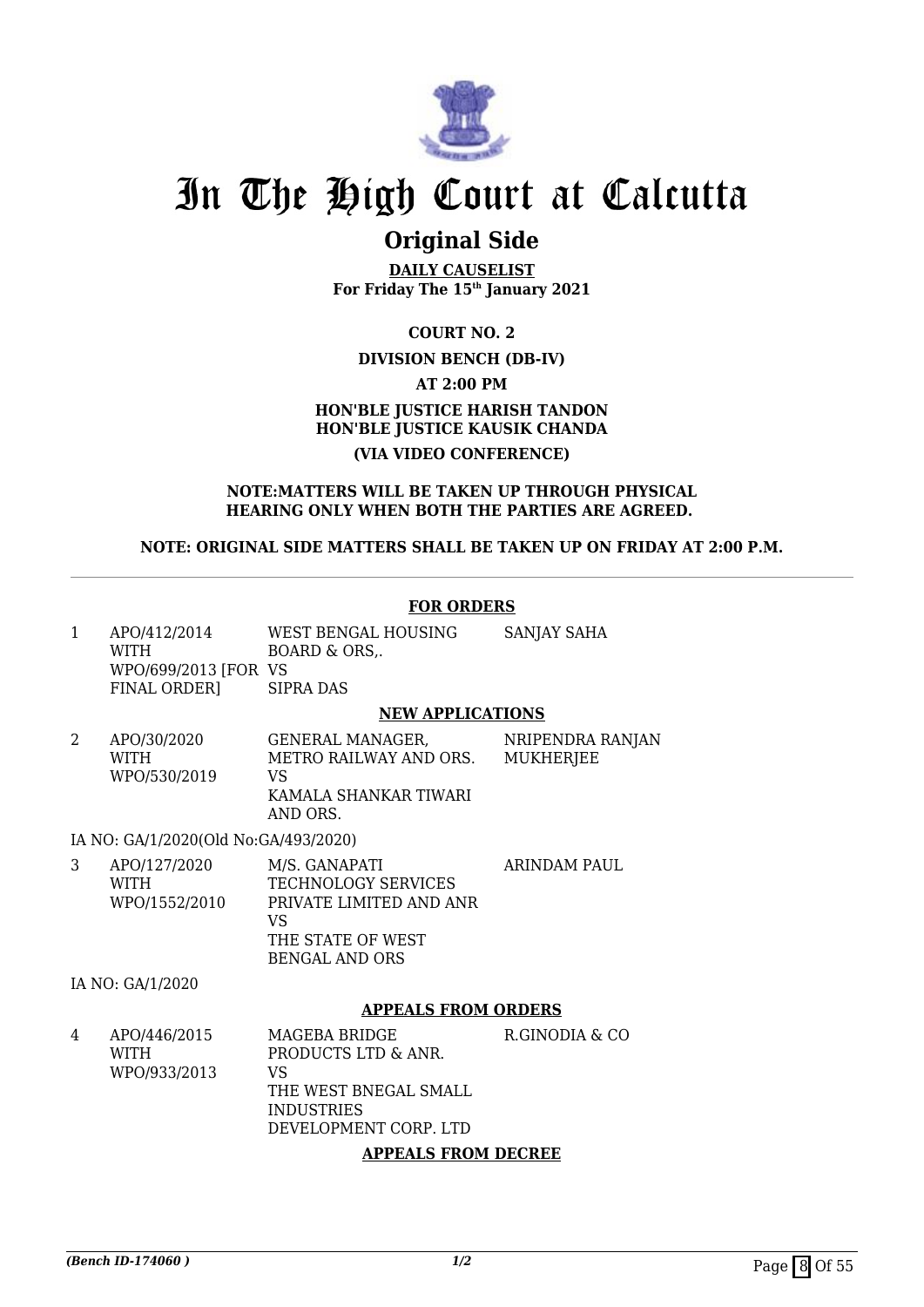

# **Original Side**

**DAILY CAUSELIST For Friday The 15th January 2021**

**COURT NO. 2**

### **DIVISION BENCH (DB-IV)**

**AT 2:00 PM**

## **HON'BLE JUSTICE HARISH TANDON HON'BLE JUSTICE KAUSIK CHANDA (VIA VIDEO CONFERENCE)**

### **NOTE:MATTERS WILL BE TAKEN UP THROUGH PHYSICAL HEARING ONLY WHEN BOTH THE PARTIES ARE AGREED.**

### **NOTE: ORIGINAL SIDE MATTERS SHALL BE TAKEN UP ON FRIDAY AT 2:00 P.M.**

### **FOR ORDERS**

| APO/412/2014<br><b>WITH</b> | WEST BENGAL HOUSING<br>BOARD & ORS | SANJAY SAHA |
|-----------------------------|------------------------------------|-------------|
| WPO/699/2013 FOR VS         |                                    |             |
| FINAL ORDERI                | SIPRA DAS                          |             |
|                             | NEW APPLICATIONS                   |             |

#### **NEW APPLICATIONS**

2 APO/30/2020 WITH WPO/530/2019 GENERAL MANAGER, METRO RAILWAY AND ORS. VS KAMALA SHANKAR TIWARI AND ORS. NRIPENDRA RANJAN **MUKHERIEE** 

IA NO: GA/1/2020(Old No:GA/493/2020)

| APO/127/2020  | M/S. GANAPATI              | ARINDAM PAUL |
|---------------|----------------------------|--------------|
| WITH          | <b>TECHNOLOGY SERVICES</b> |              |
| WPO/1552/2010 | PRIVATE LIMITED AND ANR    |              |
|               | VS                         |              |
|               | THE STATE OF WEST          |              |
|               | <b>BENGAL AND ORS</b>      |              |

IA NO: GA/1/2020

#### **APPEALS FROM ORDERS**

| 4 | APO/446/2015<br>WITH<br>WPO/933/2013 | MAGEBA BRIDGE<br>PRODUCTS LTD & ANR.<br>VS<br>THE WEST BNEGAL SMALL<br><b>INDUSTRIES</b><br>DEVELOPMENT CORP. LTD | R.GINODIA & CO |
|---|--------------------------------------|-------------------------------------------------------------------------------------------------------------------|----------------|
|   |                                      |                                                                                                                   |                |

#### **APPEALS FROM DECREE**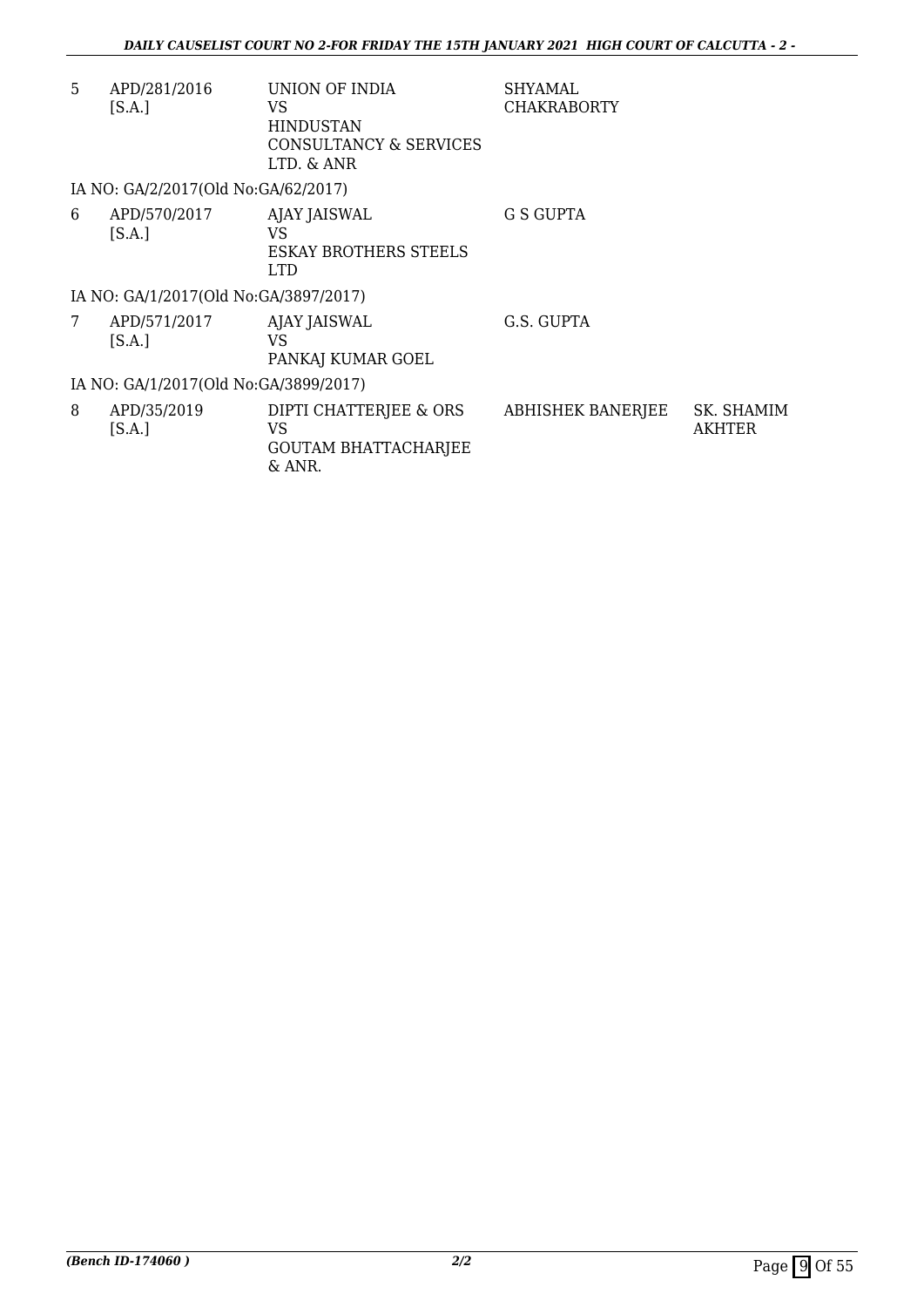| 5 | APD/281/2016<br>[S.A.]                | UNION OF INDIA<br>VS<br><b>HINDUSTAN</b>                              | <b>SHYAMAL</b><br><b>CHAKRABORTY</b> |                      |
|---|---------------------------------------|-----------------------------------------------------------------------|--------------------------------------|----------------------|
|   |                                       | CONSULTANCY & SERVICES<br>LTD. & ANR                                  |                                      |                      |
|   | IA NO: GA/2/2017(Old No:GA/62/2017)   |                                                                       |                                      |                      |
| 6 | APD/570/2017<br>[S.A.]                | AJAY JAISWAL<br>VS<br><b>ESKAY BROTHERS STEELS</b><br><b>LTD</b>      | G S GUPTA                            |                      |
|   | IA NO: GA/1/2017(Old No:GA/3897/2017) |                                                                       |                                      |                      |
| 7 | APD/571/2017<br>[S.A.]                | AJAY JAISWAL<br>VS<br>PANKAJ KUMAR GOEL                               | G.S. GUPTA                           |                      |
|   | IA NO: GA/1/2017(Old No:GA/3899/2017) |                                                                       |                                      |                      |
| 8 | APD/35/2019<br>[S.A.]                 | DIPTI CHATTERJEE & ORS<br>VS<br><b>GOUTAM BHATTACHARJEE</b><br>& ANR. | <b>ABHISHEK BANERJEE</b>             | SK. SHAMIM<br>AKHTER |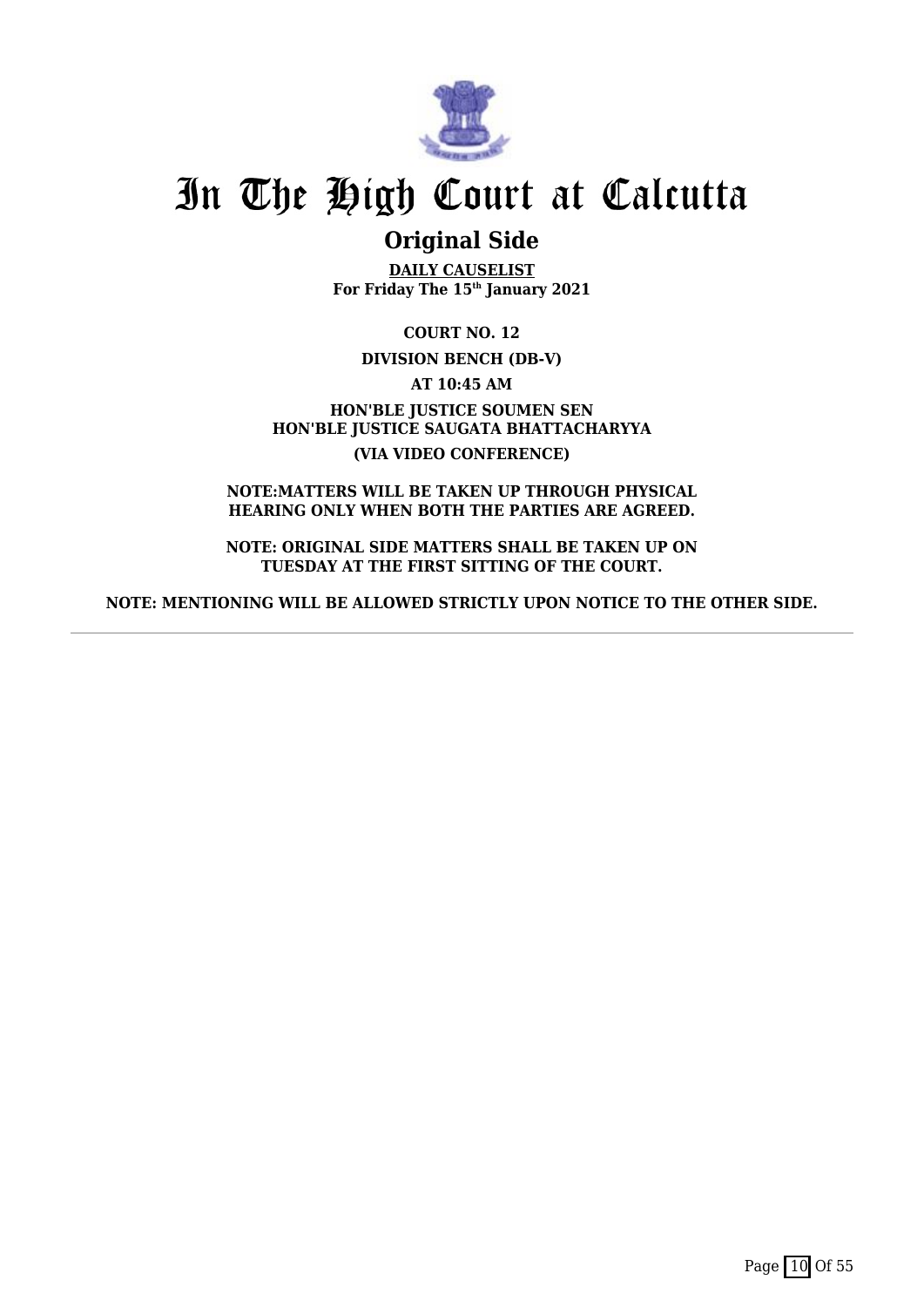

# **Original Side**

**DAILY CAUSELIST For Friday The 15th January 2021**

**COURT NO. 12**

**DIVISION BENCH (DB-V)**

**AT 10:45 AM**

**HON'BLE JUSTICE SOUMEN SEN HON'BLE JUSTICE SAUGATA BHATTACHARYYA (VIA VIDEO CONFERENCE)**

**NOTE:MATTERS WILL BE TAKEN UP THROUGH PHYSICAL HEARING ONLY WHEN BOTH THE PARTIES ARE AGREED.**

**NOTE: ORIGINAL SIDE MATTERS SHALL BE TAKEN UP ON TUESDAY AT THE FIRST SITTING OF THE COURT.**

**NOTE: MENTIONING WILL BE ALLOWED STRICTLY UPON NOTICE TO THE OTHER SIDE.**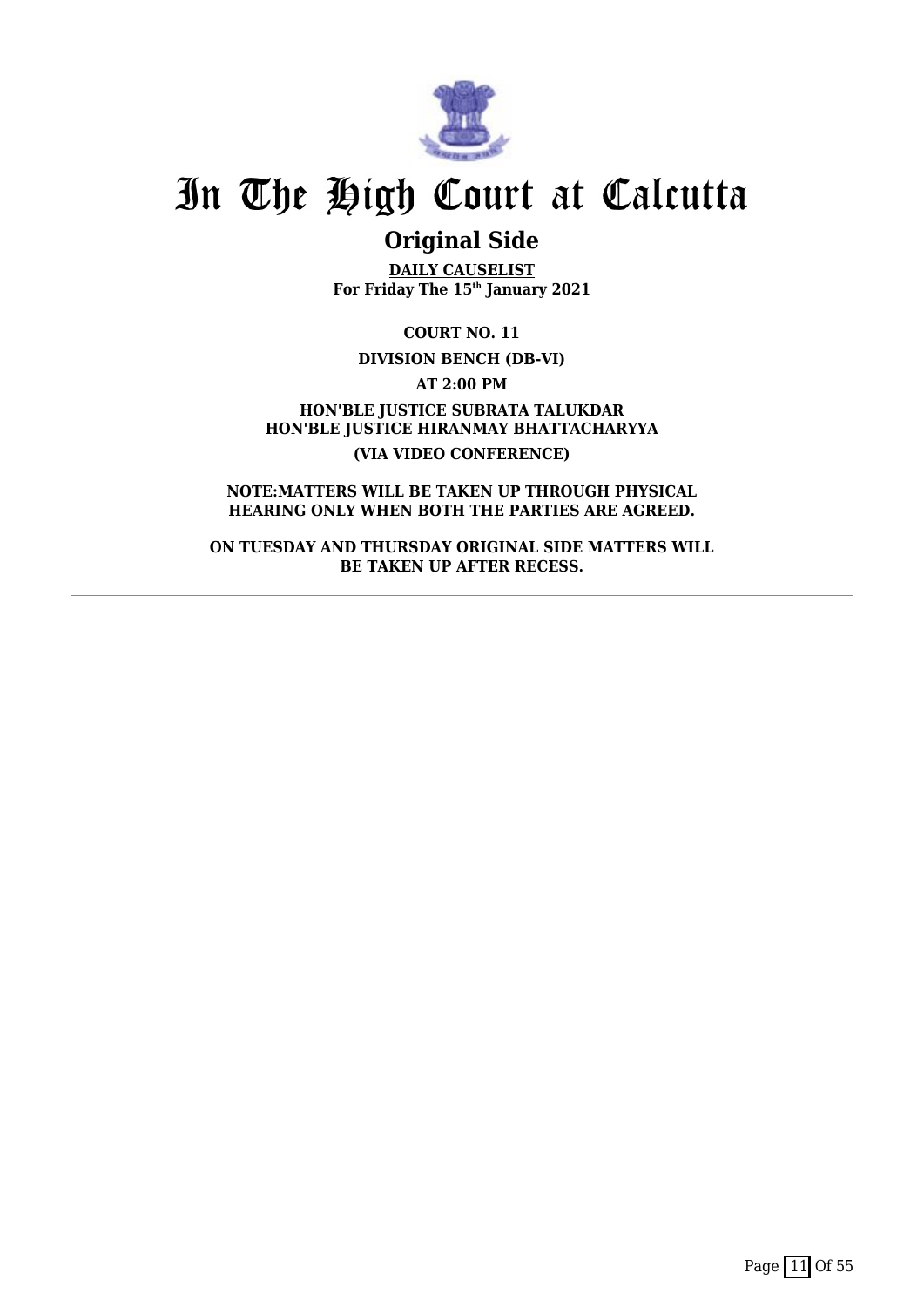

# **Original Side**

**DAILY CAUSELIST For Friday The 15th January 2021**

**COURT NO. 11**

**DIVISION BENCH (DB-VI)**

**AT 2:00 PM**

**HON'BLE JUSTICE SUBRATA TALUKDAR HON'BLE JUSTICE HIRANMAY BHATTACHARYYA (VIA VIDEO CONFERENCE)**

**NOTE:MATTERS WILL BE TAKEN UP THROUGH PHYSICAL HEARING ONLY WHEN BOTH THE PARTIES ARE AGREED.**

**ON TUESDAY AND THURSDAY ORIGINAL SIDE MATTERS WILL BE TAKEN UP AFTER RECESS.**

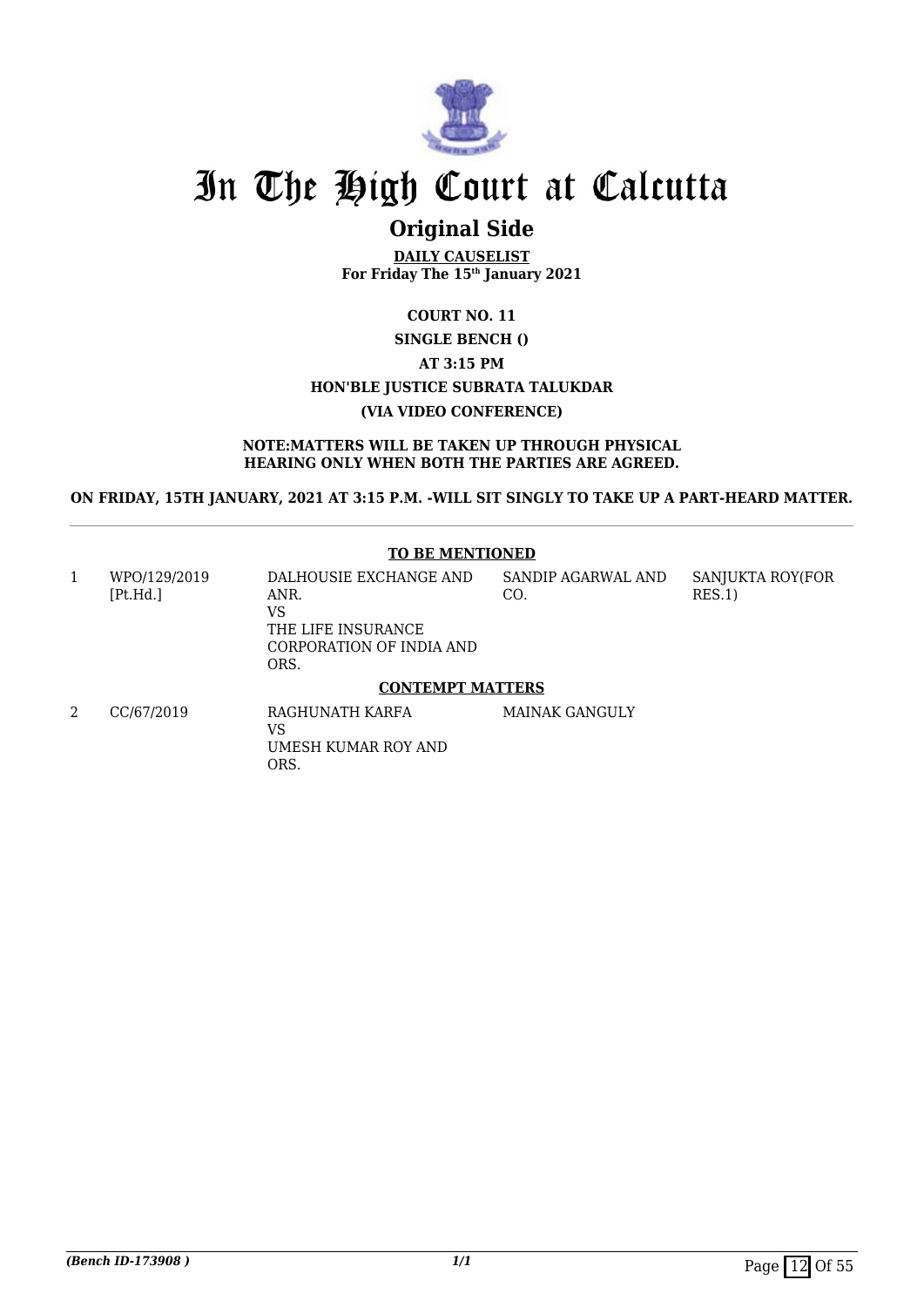

## **Original Side**

**DAILY CAUSELIST For Friday The 15th January 2021**

## **COURT NO. 11 SINGLE BENCH () AT 3:15 PM HON'BLE JUSTICE SUBRATA TALUKDAR (VIA VIDEO CONFERENCE)**

#### **NOTE:MATTERS WILL BE TAKEN UP THROUGH PHYSICAL HEARING ONLY WHEN BOTH THE PARTIES ARE AGREED.**

**ON FRIDAY, 15TH JANUARY, 2021 AT 3:15 P.M. -WILL SIT SINGLY TO TAKE UP A PART-HEARD MATTER.**

#### **TO BE MENTIONED**

| 1 | WPO/129/2019<br>[Pt.Hd.] | DALHOUSIE EXCHANGE AND<br>ANR.<br>VS<br>THE LIFE INSURANCE<br>CORPORATION OF INDIA AND<br>ORS. | SANDIP AGARWAL AND<br>CO. | SANJUKTA ROY(FOR<br>RES.1) |
|---|--------------------------|------------------------------------------------------------------------------------------------|---------------------------|----------------------------|
|   |                          | <b>CONTEMPT MATTERS</b>                                                                        |                           |                            |
|   | CC/67/2019               | RAGHUNATH KARFA<br>VS                                                                          | MAINAK GANGULY            |                            |

UMESH KUMAR ROY AND

ORS.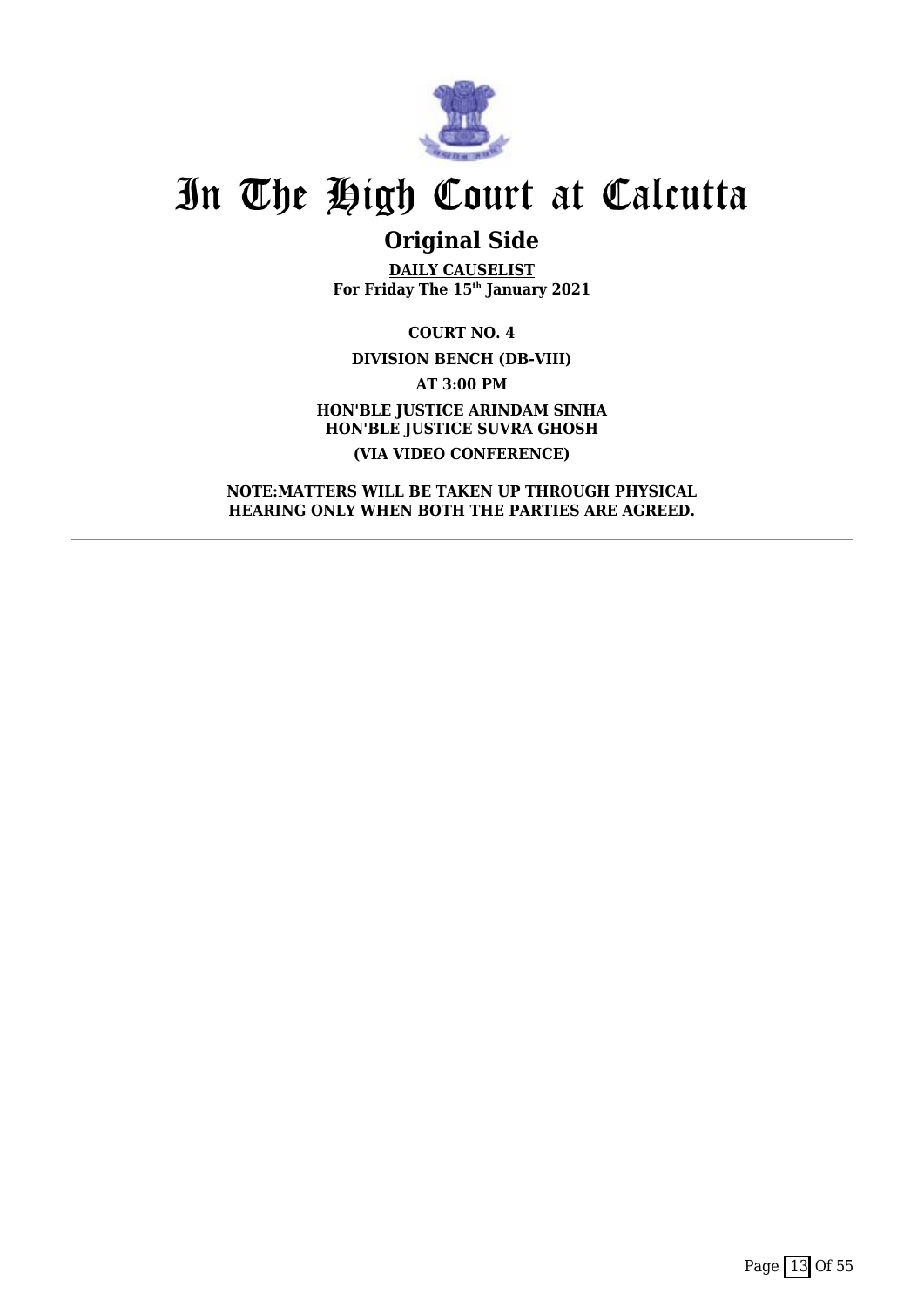

# **Original Side**

**DAILY CAUSELIST For Friday The 15th January 2021**

**COURT NO. 4 DIVISION BENCH (DB-VIII) AT 3:00 PM HON'BLE JUSTICE ARINDAM SINHA HON'BLE JUSTICE SUVRA GHOSH (VIA VIDEO CONFERENCE)**

**NOTE:MATTERS WILL BE TAKEN UP THROUGH PHYSICAL HEARING ONLY WHEN BOTH THE PARTIES ARE AGREED.**

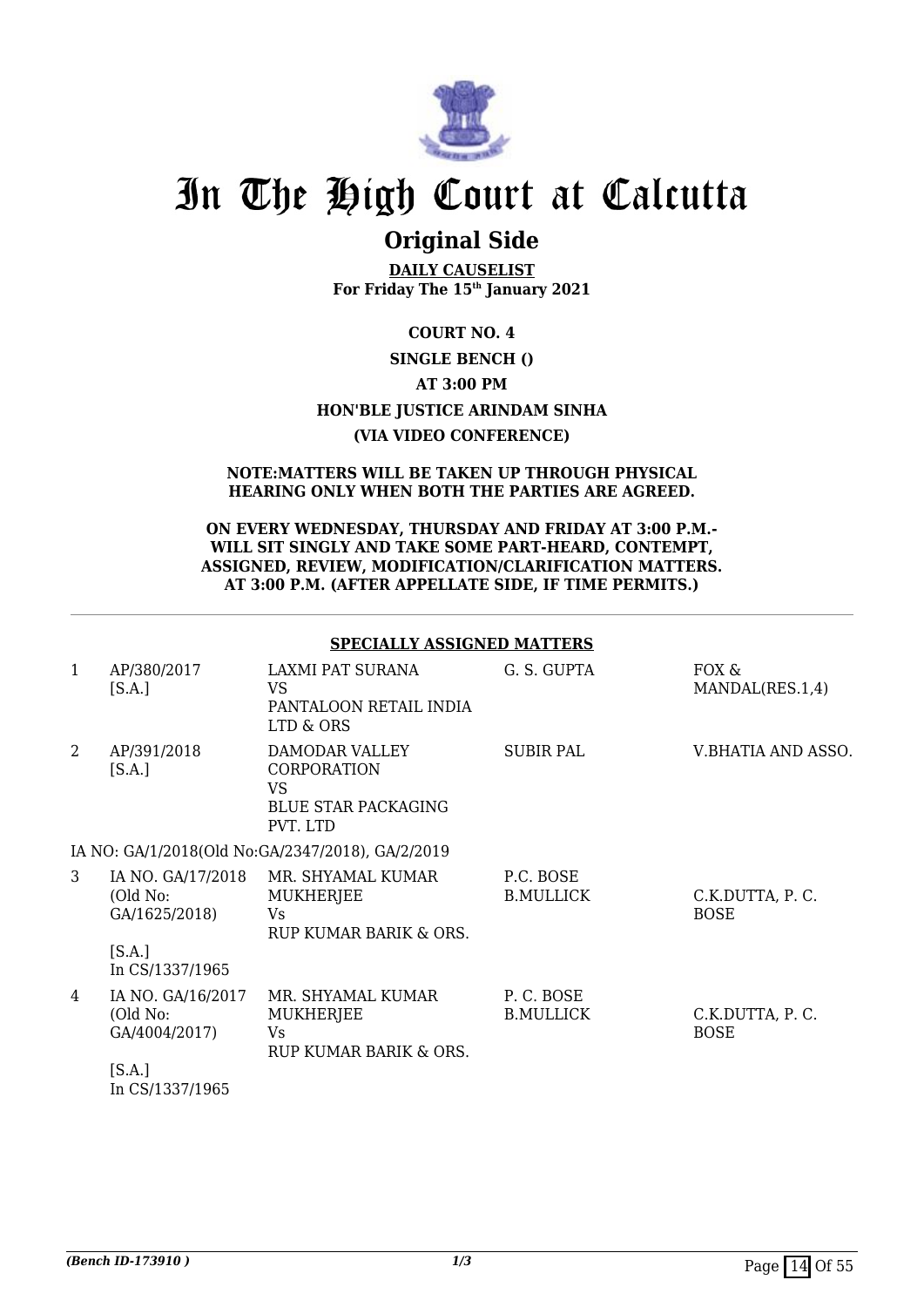

# **Original Side**

**DAILY CAUSELIST For Friday The 15th January 2021**

## **COURT NO. 4 SINGLE BENCH () AT 3:00 PM HON'BLE JUSTICE ARINDAM SINHA (VIA VIDEO CONFERENCE)**

#### **NOTE:MATTERS WILL BE TAKEN UP THROUGH PHYSICAL HEARING ONLY WHEN BOTH THE PARTIES ARE AGREED.**

#### **ON EVERY WEDNESDAY, THURSDAY AND FRIDAY AT 3:00 P.M.- WILL SIT SINGLY AND TAKE SOME PART-HEARD, CONTEMPT, ASSIGNED, REVIEW, MODIFICATION/CLARIFICATION MATTERS. AT 3:00 P.M. (AFTER APPELLATE SIDE, IF TIME PERMITS.)**

### **SPECIALLY ASSIGNED MATTERS**

| 1 | AP/380/2017<br>[S.A.]                                    | LAXMI PAT SURANA<br>VS<br>PANTALOON RETAIL INDIA<br>LTD & ORS                               | G. S. GUPTA                   | FOX &<br>MANDAL(RES.1,4)       |
|---|----------------------------------------------------------|---------------------------------------------------------------------------------------------|-------------------------------|--------------------------------|
| 2 | AP/391/2018<br>[S.A.]                                    | DAMODAR VALLEY<br><b>CORPORATION</b><br><b>VS</b><br><b>BLUE STAR PACKAGING</b><br>PVT. LTD | <b>SUBIR PAL</b>              | V.BHATIA AND ASSO.             |
|   |                                                          | IA NO: GA/1/2018(Old No:GA/2347/2018), GA/2/2019                                            |                               |                                |
| 3 | IA NO. GA/17/2018<br>(Old No:<br>GA/1625/2018)           | MR. SHYAMAL KUMAR<br>MUKHERJEE<br>Vs<br>RUP KUMAR BARIK & ORS.                              | P.C. BOSE<br><b>B.MULLICK</b> | C.K.DUTTA, P.C.<br><b>BOSE</b> |
|   | [S.A.]<br>In CS/1337/1965                                |                                                                                             |                               |                                |
| 4 | IA NO. GA/16/2017<br>(Old No:<br>GA/4004/2017)<br>[S.A.] | MR. SHYAMAL KUMAR<br>MUKHERJEE<br><b>Vs</b><br>RUP KUMAR BARIK & ORS.                       | P.C. BOSE<br><b>B.MULLICK</b> | C.K.DUTTA, P.C.<br><b>BOSE</b> |
|   | In CS/1337/1965                                          |                                                                                             |                               |                                |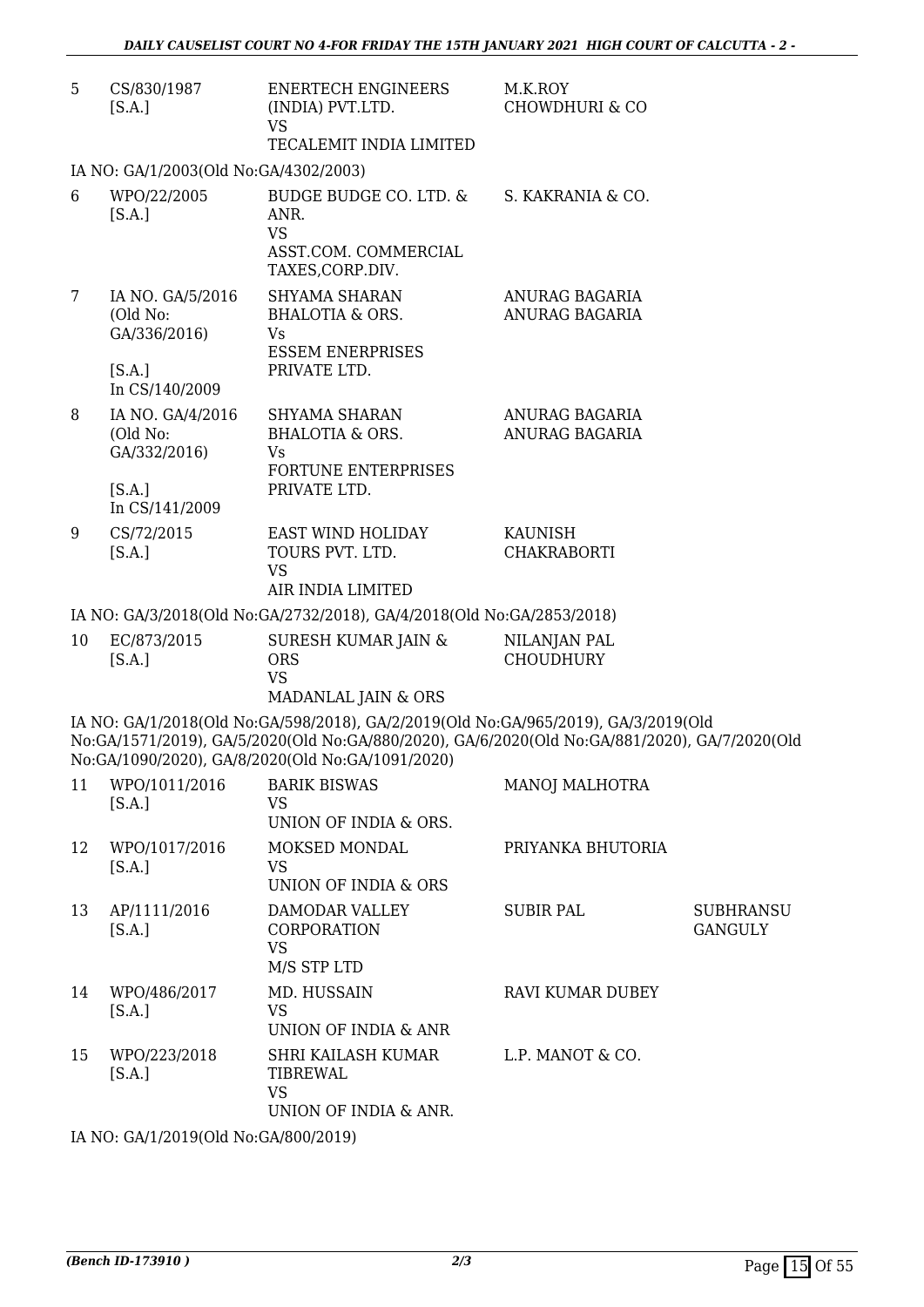| 5  | CS/830/1987<br>[S.A.]                        | <b>ENERTECH ENGINEERS</b><br>(INDIA) PVT.LTD.<br>VS<br>TECALEMIT INDIA LIMITED                                                                                                                                                                                 | M.K.ROY<br><b>CHOWDHURI &amp; CO</b> |                                    |
|----|----------------------------------------------|----------------------------------------------------------------------------------------------------------------------------------------------------------------------------------------------------------------------------------------------------------------|--------------------------------------|------------------------------------|
|    | IA NO: GA/1/2003(Old No:GA/4302/2003)        |                                                                                                                                                                                                                                                                |                                      |                                    |
| 6  | WPO/22/2005<br>[S.A.]                        | BUDGE BUDGE CO. LTD. &<br>ANR.<br><b>VS</b><br>ASST.COM. COMMERCIAL<br>TAXES, CORP.DIV.                                                                                                                                                                        | S. KAKRANIA & CO.                    |                                    |
| 7  | IA NO. GA/5/2016<br>(Old No:<br>GA/336/2016) | <b>SHYAMA SHARAN</b><br>BHALOTIA & ORS.<br>Vs<br><b>ESSEM ENERPRISES</b>                                                                                                                                                                                       | ANURAG BAGARIA<br>ANURAG BAGARIA     |                                    |
|    | [S.A.]<br>In CS/140/2009                     | PRIVATE LTD.                                                                                                                                                                                                                                                   |                                      |                                    |
| 8  | IA NO. GA/4/2016<br>(Old No:<br>GA/332/2016) | SHYAMA SHARAN<br><b>BHALOTIA &amp; ORS.</b><br>Vs<br>FORTUNE ENTERPRISES                                                                                                                                                                                       | ANURAG BAGARIA<br>ANURAG BAGARIA     |                                    |
|    | [S.A.]<br>In CS/141/2009                     | PRIVATE LTD.                                                                                                                                                                                                                                                   |                                      |                                    |
| 9  | CS/72/2015<br>[S.A.]                         | EAST WIND HOLIDAY<br>TOURS PVT. LTD.<br><b>VS</b>                                                                                                                                                                                                              | <b>KAUNISH</b><br><b>CHAKRABORTI</b> |                                    |
|    |                                              | AIR INDIA LIMITED                                                                                                                                                                                                                                              |                                      |                                    |
|    |                                              | IA NO: GA/3/2018(Old No:GA/2732/2018), GA/4/2018(Old No:GA/2853/2018)                                                                                                                                                                                          |                                      |                                    |
| 10 | EC/873/2015<br>[S.A.]                        | SURESH KUMAR JAIN &<br><b>ORS</b><br><b>VS</b>                                                                                                                                                                                                                 | NILANJAN PAL<br><b>CHOUDHURY</b>     |                                    |
|    |                                              | MADANLAL JAIN & ORS<br>IA NO: GA/1/2018(Old No:GA/598/2018), GA/2/2019(Old No:GA/965/2019), GA/3/2019(Old<br>No:GA/1571/2019), GA/5/2020(Old No:GA/880/2020), GA/6/2020(Old No:GA/881/2020), GA/7/2020(Old<br>No:GA/1090/2020), GA/8/2020(Old No:GA/1091/2020) |                                      |                                    |
| 11 | WPO/1011/2016<br>[S.A.]                      | <b>BARIK BISWAS</b><br><b>VS</b><br>UNION OF INDIA & ORS.                                                                                                                                                                                                      | MANOJ MALHOTRA                       |                                    |
| 12 | WPO/1017/2016<br>[S.A.]                      | MOKSED MONDAL<br>VS.<br><b>UNION OF INDIA &amp; ORS</b>                                                                                                                                                                                                        | PRIYANKA BHUTORIA                    |                                    |
| 13 | AP/1111/2016<br>[S.A.]                       | DAMODAR VALLEY<br><b>CORPORATION</b><br><b>VS</b><br>M/S STP LTD                                                                                                                                                                                               | SUBIR PAL                            | <b>SUBHRANSU</b><br><b>GANGULY</b> |
| 14 | WPO/486/2017<br>[S.A.]                       | MD. HUSSAIN<br><b>VS</b><br>UNION OF INDIA & ANR                                                                                                                                                                                                               | RAVI KUMAR DUBEY                     |                                    |
| 15 | WPO/223/2018<br>[S.A.]                       | SHRI KAILASH KUMAR<br>TIBREWAL<br><b>VS</b><br>UNION OF INDIA & ANR.                                                                                                                                                                                           | L.P. MANOT & CO.                     |                                    |

IA NO: GA/1/2019(Old No:GA/800/2019)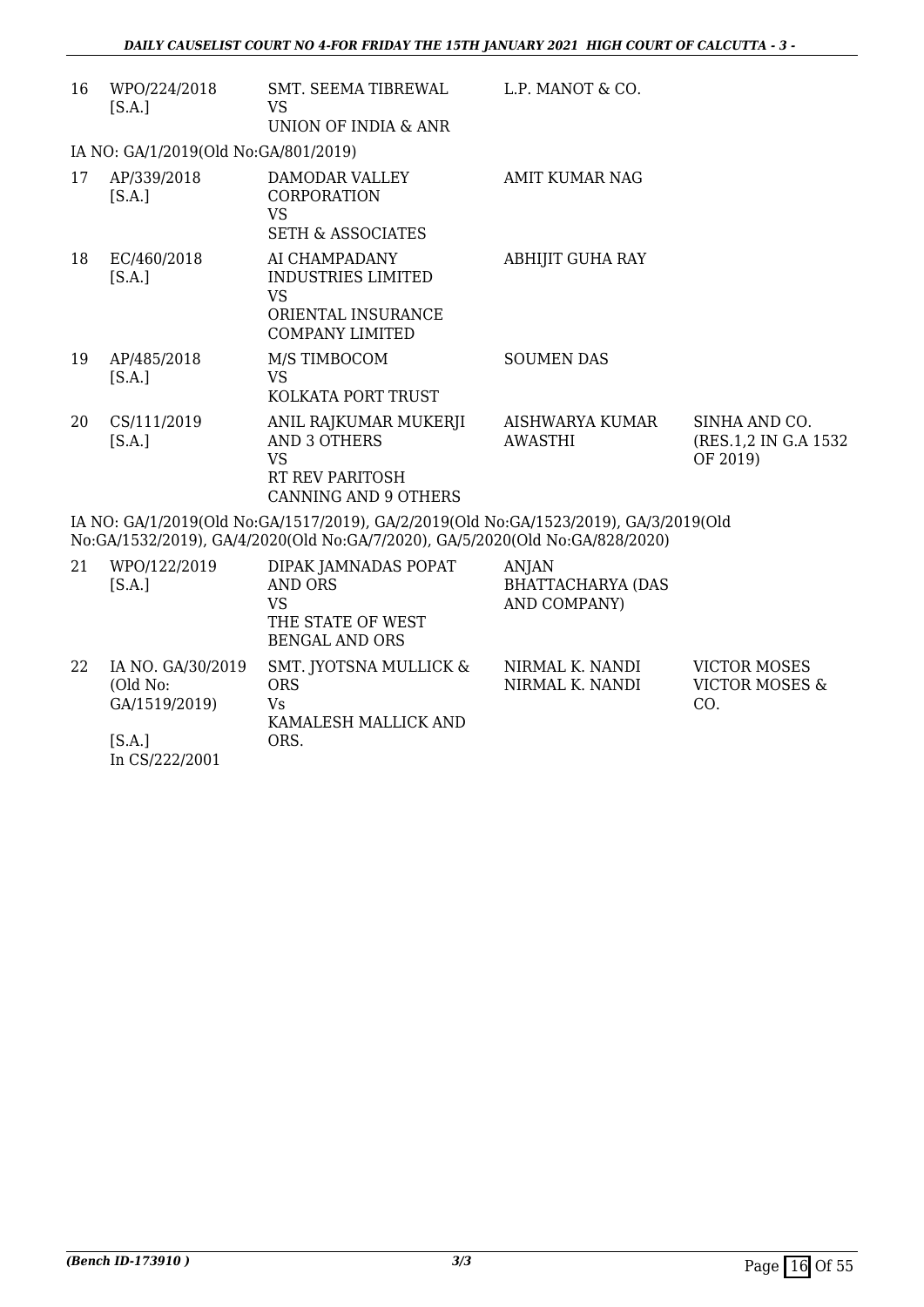| 16 | WPO/224/2018<br>[S.A.]                                                                                                                                               | SMT. SEEMA TIBREWAL<br>VS<br>UNION OF INDIA & ANR                                                           | L.P. MANOT & CO.           |                                                    |  |
|----|----------------------------------------------------------------------------------------------------------------------------------------------------------------------|-------------------------------------------------------------------------------------------------------------|----------------------------|----------------------------------------------------|--|
|    | IA NO: GA/1/2019(Old No:GA/801/2019)                                                                                                                                 |                                                                                                             |                            |                                                    |  |
| 17 | AP/339/2018<br>[S.A.]                                                                                                                                                | DAMODAR VALLEY<br><b>CORPORATION</b><br><b>VS</b><br><b>SETH &amp; ASSOCIATES</b>                           | AMIT KUMAR NAG             |                                                    |  |
| 18 | EC/460/2018<br>[S.A.]                                                                                                                                                | AI CHAMPADANY<br><b>INDUSTRIES LIMITED</b><br><b>VS</b><br>ORIENTAL INSURANCE<br><b>COMPANY LIMITED</b>     | ABHIJIT GUHA RAY           |                                                    |  |
| 19 | AP/485/2018<br>[S.A.]                                                                                                                                                | M/S TIMBOCOM<br>VS<br>KOLKATA PORT TRUST                                                                    | <b>SOUMEN DAS</b>          |                                                    |  |
| 20 | CS/111/2019<br>[S.A.]                                                                                                                                                | ANIL RAJKUMAR MUKERJI<br><b>AND 3 OTHERS</b><br><b>VS</b><br>RT REV PARITOSH<br><b>CANNING AND 9 OTHERS</b> | AISHWARYA KUMAR<br>AWASTHI | SINHA AND CO.<br>(RES.1,2 IN G.A 1532)<br>OF 2019) |  |
|    | IA NO: GA/1/2019(Old No:GA/1517/2019), GA/2/2019(Old No:GA/1523/2019), GA/3/2019(Old<br>No:GA/1532/2019), GA/4/2020(Old No:GA/7/2020), GA/5/2020(Old No:GA/828/2020) |                                                                                                             |                            |                                                    |  |
|    | 21 MPO/122/2010                                                                                                                                                      | DIPAK IAMNADAS POPAT                                                                                        | A NHA NH                   |                                                    |  |

| 21 | WPO/122/2019<br>[S.A.]                         | DIPAK JAMNADAS POPAT<br>AND ORS<br>VS<br>THE STATE OF WEST<br>BENGAL AND ORS | <b>ANJAN</b><br><b>BHATTACHARYA (DAS</b><br>AND COMPANY) |                                              |
|----|------------------------------------------------|------------------------------------------------------------------------------|----------------------------------------------------------|----------------------------------------------|
| 22 | IA NO. GA/30/2019<br>(Old No:<br>GA/1519/2019) | SMT. JYOTSNA MULLICK &<br><b>ORS</b><br>Vs<br>KAMALESH MALLICK AND           | NIRMAL K. NANDI<br>NIRMAL K. NANDI                       | <b>VICTOR MOSES</b><br>VICTOR MOSES &<br>CO. |
|    | [S.A.]<br>In CS/222/2001                       | ORS.                                                                         |                                                          |                                              |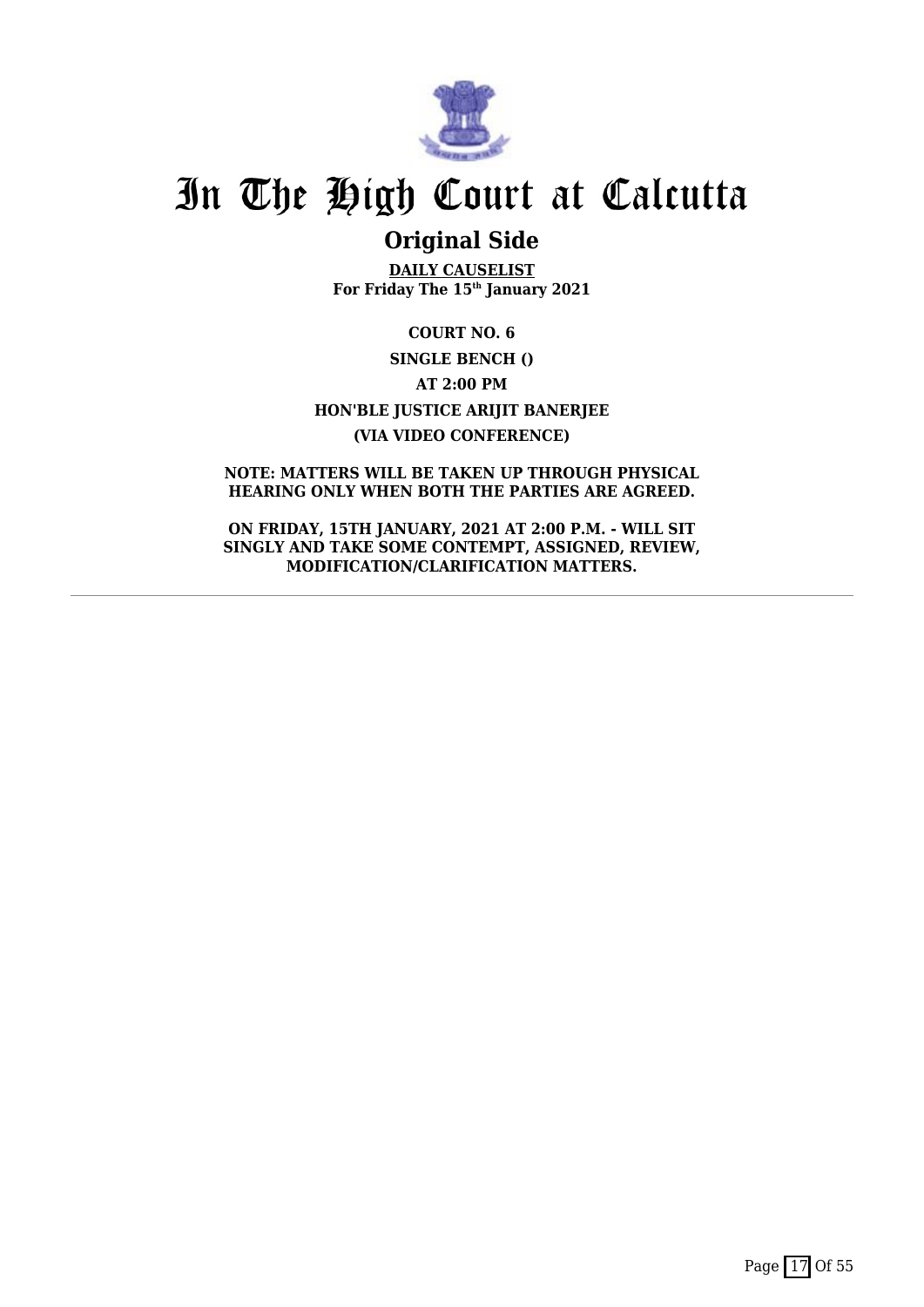

# **Original Side**

**DAILY CAUSELIST For Friday The 15th January 2021**

**COURT NO. 6 SINGLE BENCH () AT 2:00 PM HON'BLE JUSTICE ARIJIT BANERJEE (VIA VIDEO CONFERENCE)**

**NOTE: MATTERS WILL BE TAKEN UP THROUGH PHYSICAL HEARING ONLY WHEN BOTH THE PARTIES ARE AGREED.**

**ON FRIDAY, 15TH JANUARY, 2021 AT 2:00 P.M. - WILL SIT SINGLY AND TAKE SOME CONTEMPT, ASSIGNED, REVIEW, MODIFICATION/CLARIFICATION MATTERS.**

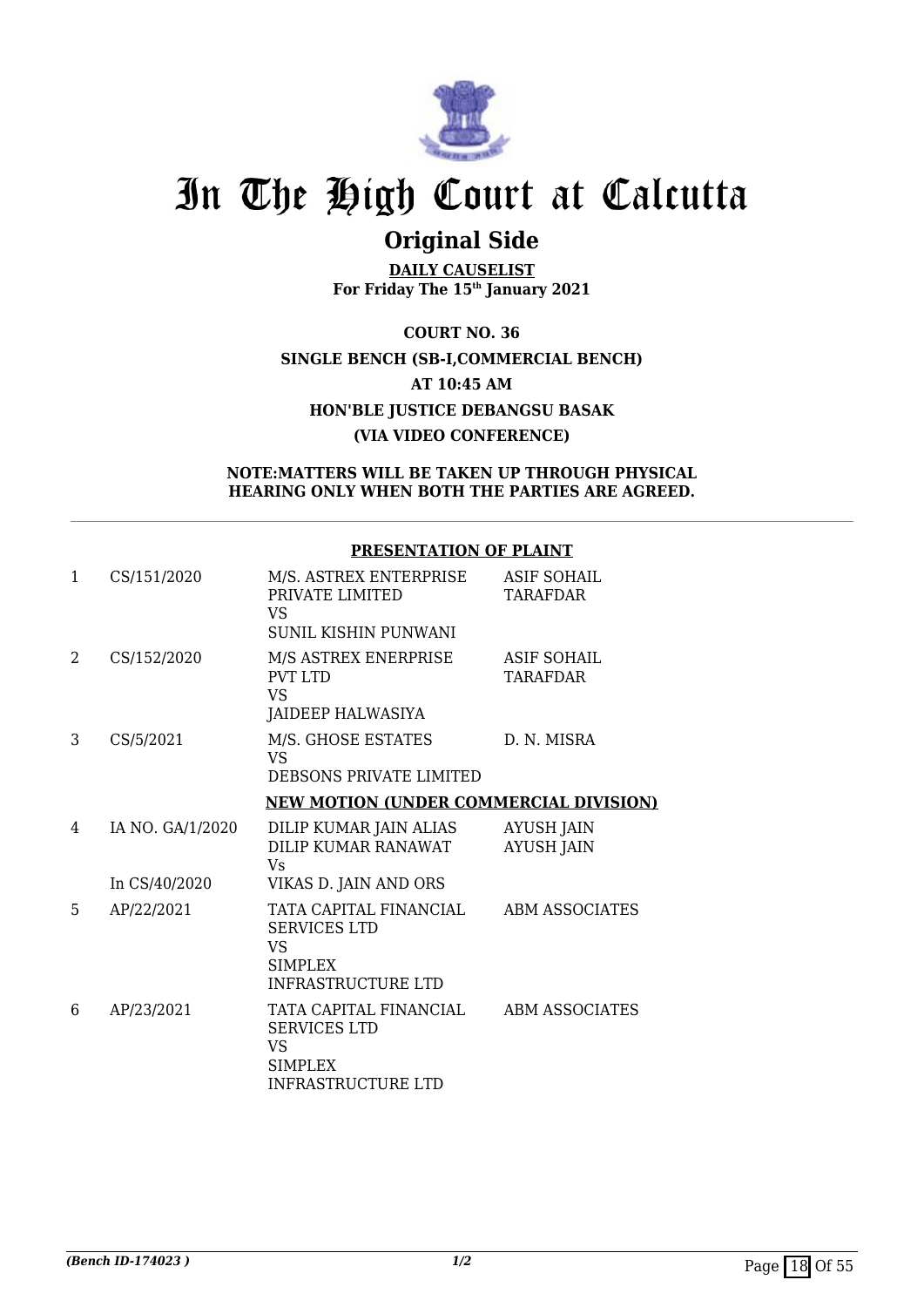

# **Original Side**

**DAILY CAUSELIST For Friday The 15th January 2021**

**COURT NO. 36 SINGLE BENCH (SB-I,COMMERCIAL BENCH) AT 10:45 AM HON'BLE JUSTICE DEBANGSU BASAK (VIA VIDEO CONFERENCE)**

### **NOTE:MATTERS WILL BE TAKEN UP THROUGH PHYSICAL HEARING ONLY WHEN BOTH THE PARTIES ARE AGREED.**

### **PRESENTATION OF PLAINT**

| $\mathbf{1}$ | CS/151/2020      | M/S. ASTREX ENTERPRISE<br>PRIVATE LIMITED<br>VS<br>SUNIL KISHIN PUNWANI                                   | <b>ASIF SOHAIL</b><br><b>TARAFDAR</b>  |
|--------------|------------------|-----------------------------------------------------------------------------------------------------------|----------------------------------------|
| 2            | CS/152/2020      | M/S ASTREX ENERPRISE<br>PVT LTD<br><b>VS</b><br>JAIDEEP HALWASIYA                                         | ASIF SOHAIL<br><b>TARAFDAR</b>         |
| 3            | CS/5/2021        | M/S. GHOSE ESTATES<br><b>VS</b><br>DEBSONS PRIVATE LIMITED                                                | D. N. MISRA                            |
|              |                  | <b>NEW MOTION (UNDER COMMERCIAL DIVISION)</b>                                                             |                                        |
| 4            | IA NO. GA/1/2020 | DILIP KUMAR JAIN ALIAS<br>DILIP KUMAR RANAWAT<br>Vs                                                       | <b>AYUSH JAIN</b><br><b>AYUSH JAIN</b> |
|              | In CS/40/2020    | VIKAS D. JAIN AND ORS                                                                                     |                                        |
| 5            | AP/22/2021       | TATA CAPITAL FINANCIAL<br><b>SERVICES LTD</b><br><b>VS</b><br>SIMPLEX<br><b>INFRASTRUCTURE LTD</b>        | <b>ABM ASSOCIATES</b>                  |
| 6            | AP/23/2021       | TATA CAPITAL FINANCIAL<br><b>SERVICES LTD</b><br><b>VS</b><br><b>SIMPLEX</b><br><b>INFRASTRUCTURE LTD</b> | ABM ASSOCIATES                         |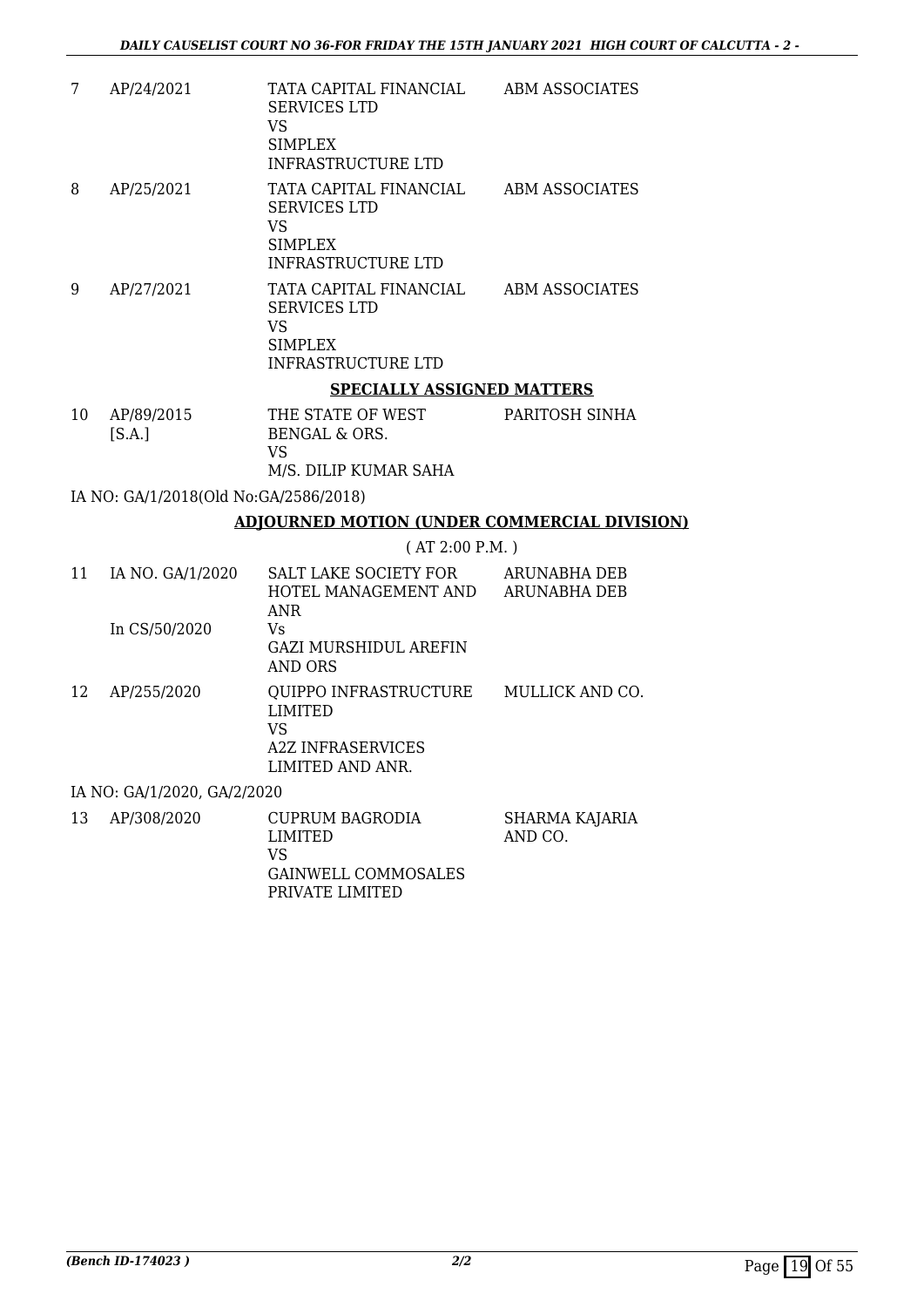| 7  | AP/24/2021 | TATA CAPITAL FINANCIAL<br><b>SERVICES LTD</b><br>VS<br>SIMPLEX<br>INFRASTRUCTURE LTD        | ABM ASSOCIATES |
|----|------------|---------------------------------------------------------------------------------------------|----------------|
| 8  | AP/25/2021 | TATA CAPITAL FINANCIAL<br><b>SERVICES LTD</b><br>VS<br>SIMPLEX<br>INFRASTRUCTURE LTD        | ABM ASSOCIATES |
| 9  | AP/27/2021 | TATA CAPITAL FINANCIAL<br><b>SERVICES LTD</b><br>VS<br><b>SIMPLEX</b><br>INFRASTRUCTURE LTD | ABM ASSOCIATES |
|    |            | <b>SPECIALLY ASSIGNED MATTERS</b>                                                           |                |
| 10 | AP/89/2015 | THE STATE OF WEST                                                                           | PARITOSH SINHA |

| 10 | AP/89/2015 | THE STATE OF WEST     | PARITOSH SII |
|----|------------|-----------------------|--------------|
|    | [S.A.]     | BENGAL & ORS.         |              |
|    |            | VS.                   |              |
|    |            | M/S. DILIP KUMAR SAHA |              |

IA NO: GA/1/2018(Old No:GA/2586/2018)

### **ADJOURNED MOTION (UNDER COMMERCIAL DIVISION)**

( AT 2:00 P.M. )

| 11 | IA NO. GA/1/2020            | <b>SALT LAKE SOCIETY FOR</b><br>HOTEL MANAGEMENT AND<br>ANR                                   | ARUNABHA DEB<br>ARUNABHA DEB |
|----|-----------------------------|-----------------------------------------------------------------------------------------------|------------------------------|
|    | In CS/50/2020               | Vs<br><b>GAZI MURSHIDUL AREFIN</b><br>AND ORS                                                 |                              |
| 12 | AP/255/2020                 | QUIPPO INFRASTRUCTURE<br><b>LIMITED</b><br>VS<br><b>A2Z INFRASERVICES</b><br>LIMITED AND ANR. | MULLICK AND CO.              |
|    | IA NO: GA/1/2020, GA/2/2020 |                                                                                               |                              |
| 13 | AP/308/2020                 | CUPRUM BAGRODIA<br><b>LIMITED</b><br>VS<br><b>GAINWELL COMMOSALES</b><br>PRIVATE LIMITED      | SHARMA KAJARIA<br>AND CO.    |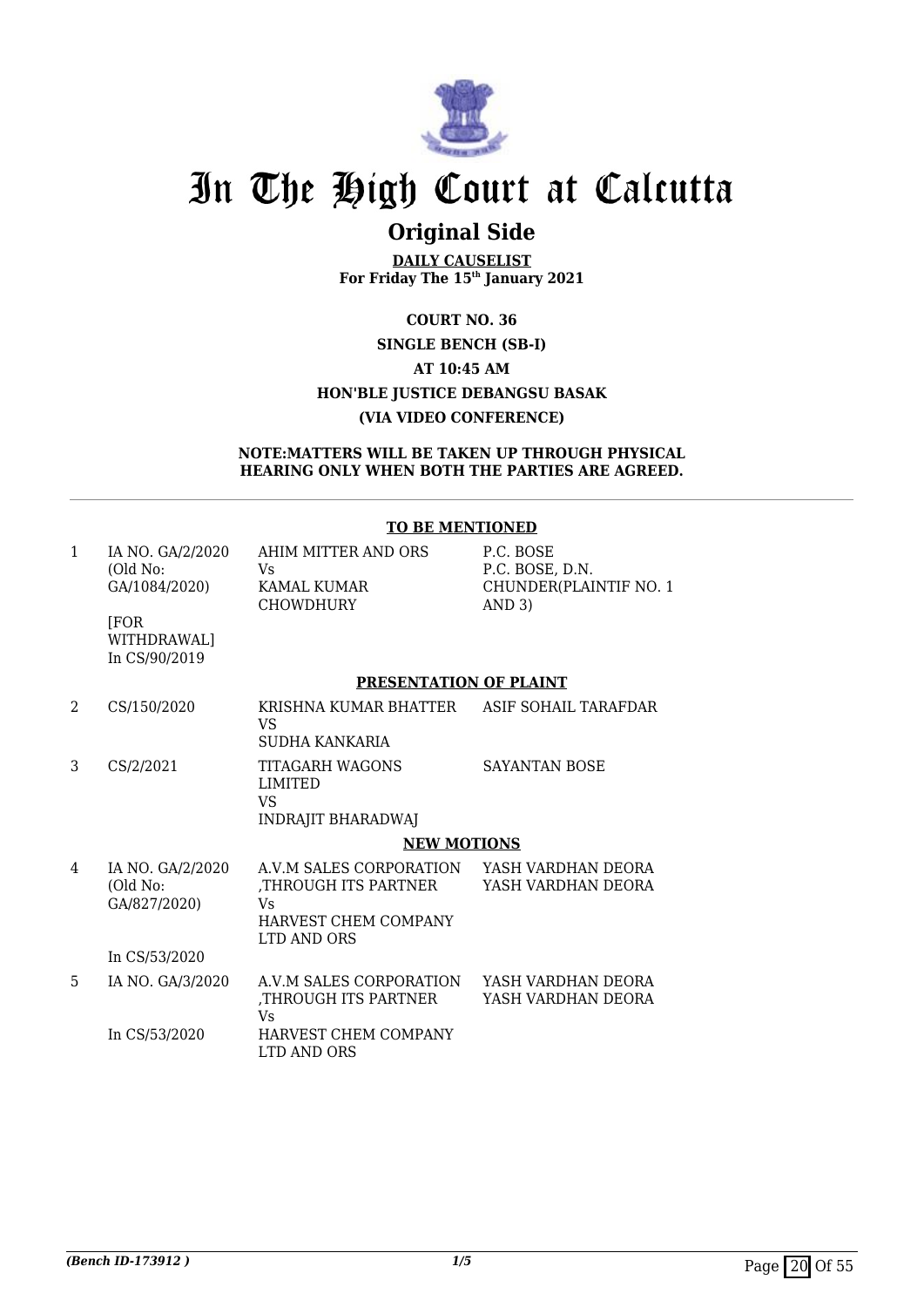

# **Original Side**

**DAILY CAUSELIST For Friday The 15th January 2021**

**COURT NO. 36 SINGLE BENCH (SB-I) AT 10:45 AM HON'BLE JUSTICE DEBANGSU BASAK (VIA VIDEO CONFERENCE)**

**NOTE:MATTERS WILL BE TAKEN UP THROUGH PHYSICAL HEARING ONLY WHEN BOTH THE PARTIES ARE AGREED.**

#### **TO BE MENTIONED**

| 1 | IA NO. GA/2/2020<br>(Old No:<br>GA/1084/2020) | AHIM MITTER AND ORS<br>Vs<br>KAMAL KUMAR<br><b>CHOWDHURY</b>                                 | P.C. BOSE<br>P.C. BOSE, D.N.<br>CHUNDER(PLAINTIF NO. 1<br>AND 3) |
|---|-----------------------------------------------|----------------------------------------------------------------------------------------------|------------------------------------------------------------------|
|   | <b>FOR</b><br>WITHDRAWAL]<br>In CS/90/2019    |                                                                                              |                                                                  |
|   |                                               | PRESENTATION OF PLAINT                                                                       |                                                                  |
| 2 | CS/150/2020                                   | KRISHNA KUMAR BHATTER<br>VS<br>SUDHA KANKARIA                                                | ASIF SOHAIL TARAFDAR                                             |
| 3 | CS/2/2021                                     | TITAGARH WAGONS<br><b>LIMITED</b><br>VS<br><b>INDRAJIT BHARADWAJ</b>                         | <b>SAYANTAN BOSE</b>                                             |
|   |                                               | <b>NEW MOTIONS</b>                                                                           |                                                                  |
| 4 | IA NO. GA/2/2020<br>(Old No:<br>GA/827/2020)  | A.V.M SALES CORPORATION<br>THROUGH ITS PARTNER,<br>Vs<br>HARVEST CHEM COMPANY<br>LTD AND ORS | YASH VARDHAN DEORA<br>YASH VARDHAN DEORA                         |
|   | In CS/53/2020                                 |                                                                                              |                                                                  |
| 5 | IA NO. GA/3/2020                              | A.V.M SALES CORPORATION<br>THROUGH ITS PARTNER,<br><b>Vs</b>                                 | YASH VARDHAN DEORA<br>YASH VARDHAN DEORA                         |
|   | In CS/53/2020                                 | HARVEST CHEM COMPANY<br>LTD AND ORS                                                          |                                                                  |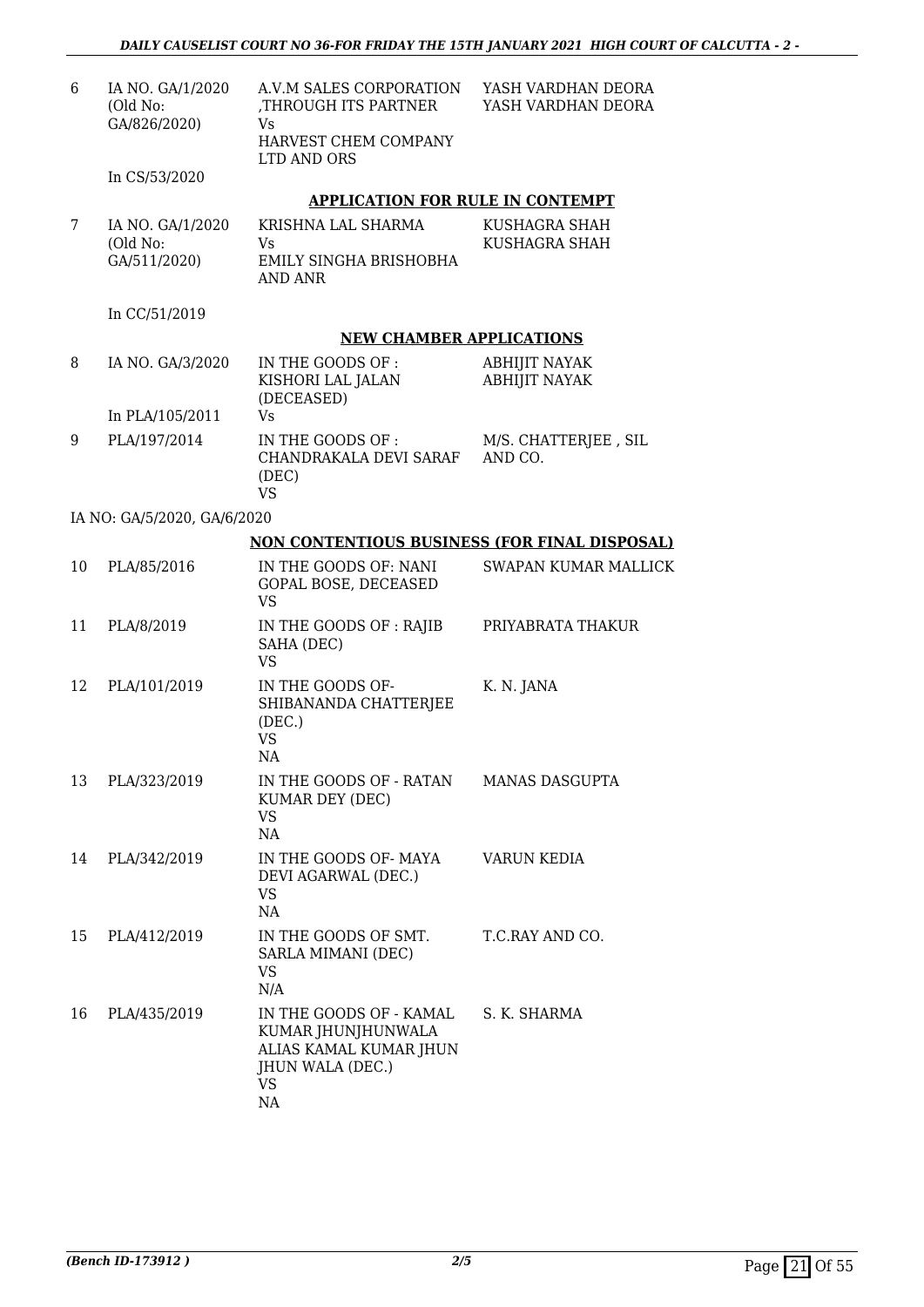| 6  | IA NO. GA/1/2020<br>(Old No:<br>GA/826/2020) | A.V.M SALES CORPORATION<br>THROUGH ITS PARTNER,<br>Vs                                                   | YASH VARDHAN DEORA<br>YASH VARDHAN DEORA     |
|----|----------------------------------------------|---------------------------------------------------------------------------------------------------------|----------------------------------------------|
|    |                                              | HARVEST CHEM COMPANY<br>LTD AND ORS                                                                     |                                              |
|    | In CS/53/2020                                |                                                                                                         |                                              |
|    |                                              | <b>APPLICATION FOR RULE IN CONTEMPT</b>                                                                 |                                              |
| 7  | IA NO. GA/1/2020<br>(Old No:<br>GA/511/2020) | KRISHNA LAL SHARMA<br>Vs.<br>EMILY SINGHA BRISHOBHA<br><b>AND ANR</b>                                   | KUSHAGRA SHAH<br>KUSHAGRA SHAH               |
|    | In CC/51/2019                                |                                                                                                         |                                              |
|    |                                              | <b>NEW CHAMBER APPLICATIONS</b>                                                                         |                                              |
| 8  | IA NO. GA/3/2020                             | IN THE GOODS OF :<br>KISHORI LAL JALAN<br>(DECEASED)                                                    | <b>ABHIJIT NAYAK</b><br><b>ABHIJIT NAYAK</b> |
|    | In PLA/105/2011                              | <b>Vs</b>                                                                                               |                                              |
| 9  | PLA/197/2014                                 | IN THE GOODS OF :<br>CHANDRAKALA DEVI SARAF<br>(DEC)<br><b>VS</b>                                       | M/S. CHATTERJEE, SIL<br>AND CO.              |
|    | IA NO: GA/5/2020, GA/6/2020                  |                                                                                                         |                                              |
|    |                                              | NON CONTENTIOUS BUSINESS (FOR FINAL DISPOSAL)                                                           |                                              |
| 10 | PLA/85/2016                                  | IN THE GOODS OF: NANI<br>GOPAL BOSE, DECEASED<br><b>VS</b>                                              | SWAPAN KUMAR MALLICK                         |
| 11 | PLA/8/2019                                   | IN THE GOODS OF : RAJIB<br>SAHA (DEC)<br><b>VS</b>                                                      | PRIYABRATA THAKUR                            |
| 12 | PLA/101/2019                                 | IN THE GOODS OF-<br>SHIBANANDA CHATTERJEE<br>(DEC.)<br><b>VS</b><br>NA                                  | K. N. JANA                                   |
| 13 | PLA/323/2019                                 | IN THE GOODS OF - RATAN<br>KUMAR DEY (DEC)<br><b>VS</b><br>NA                                           | <b>MANAS DASGUPTA</b>                        |
| 14 | PLA/342/2019                                 | IN THE GOODS OF- MAYA<br>DEVI AGARWAL (DEC.)<br><b>VS</b><br>NA                                         | VARUN KEDIA                                  |
| 15 | PLA/412/2019                                 | IN THE GOODS OF SMT.<br>SARLA MIMANI (DEC)<br>VS.<br>N/A                                                | T.C.RAY AND CO.                              |
| 16 | PLA/435/2019                                 | IN THE GOODS OF - KAMAL<br>KUMAR JHUNJHUNWALA<br>ALIAS KAMAL KUMAR JHUN<br>JHUN WALA (DEC.)<br>VS<br>NA | S. K. SHARMA                                 |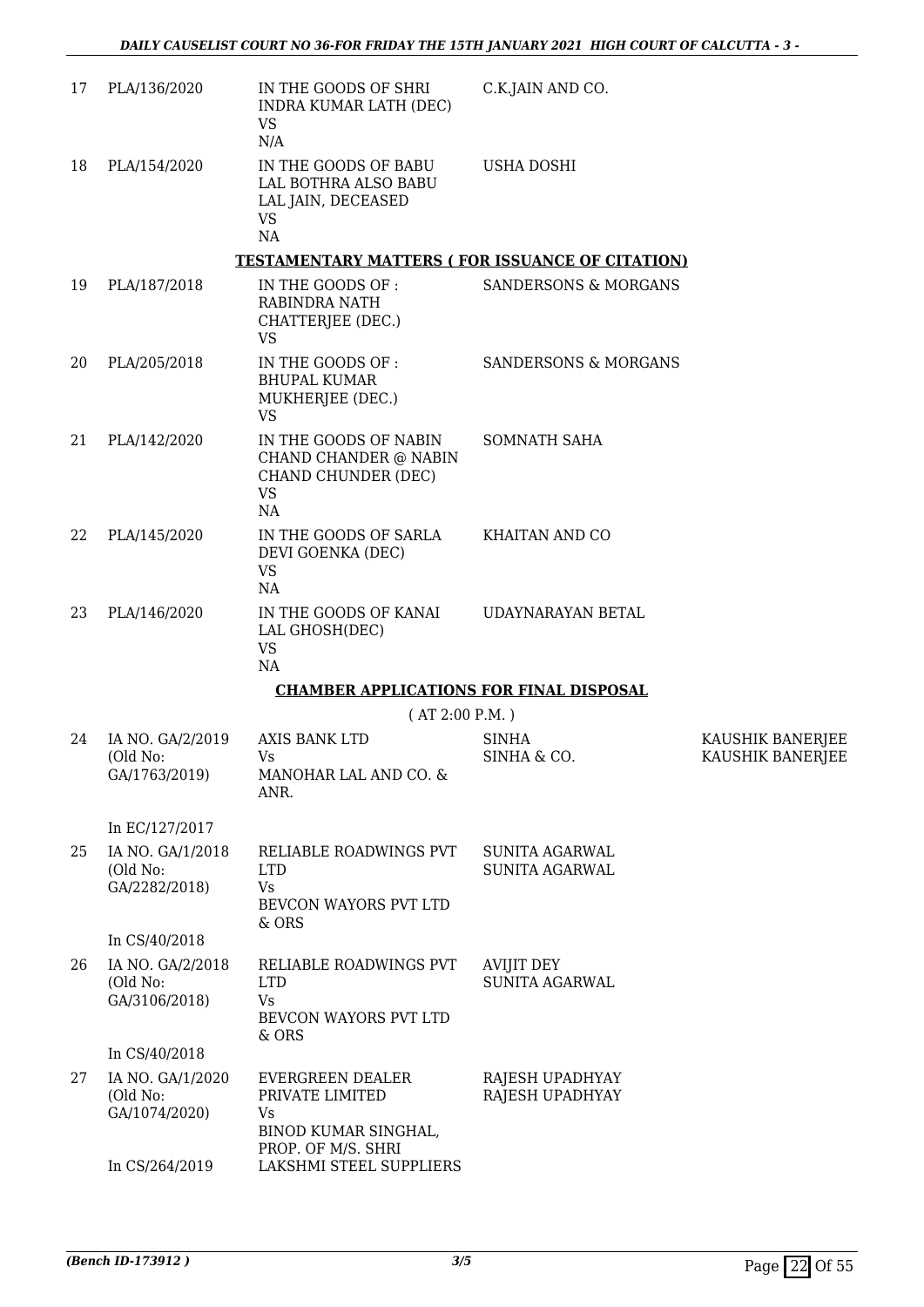| 17 | PLA/136/2020                                  | IN THE GOODS OF SHRI<br>INDRA KUMAR LATH (DEC)<br>VS<br>N/A                                           | C.K.JAIN AND CO.                        |                                      |
|----|-----------------------------------------------|-------------------------------------------------------------------------------------------------------|-----------------------------------------|--------------------------------------|
| 18 | PLA/154/2020                                  | IN THE GOODS OF BABU<br>LAL BOTHRA ALSO BABU<br>LAL JAIN, DECEASED<br><b>VS</b><br>NA                 | <b>USHA DOSHI</b>                       |                                      |
|    |                                               | <b>TESTAMENTARY MATTERS (FOR ISSUANCE OF CITATION)</b>                                                |                                         |                                      |
| 19 | PLA/187/2018                                  | IN THE GOODS OF :<br>RABINDRA NATH<br>CHATTERJEE (DEC.)<br><b>VS</b>                                  | <b>SANDERSONS &amp; MORGANS</b>         |                                      |
| 20 | PLA/205/2018                                  | IN THE GOODS OF :<br><b>BHUPAL KUMAR</b><br>MUKHERJEE (DEC.)<br><b>VS</b>                             | <b>SANDERSONS &amp; MORGANS</b>         |                                      |
| 21 | PLA/142/2020                                  | IN THE GOODS OF NABIN<br>CHAND CHANDER @ NABIN<br>CHAND CHUNDER (DEC)<br><b>VS</b><br>NA              | SOMNATH SAHA                            |                                      |
| 22 | PLA/145/2020                                  | IN THE GOODS OF SARLA<br>DEVI GOENKA (DEC)<br><b>VS</b><br>NA                                         | KHAITAN AND CO                          |                                      |
| 23 | PLA/146/2020                                  | IN THE GOODS OF KANAI<br>LAL GHOSH(DEC)<br><b>VS</b><br>NA                                            | UDAYNARAYAN BETAL                       |                                      |
|    |                                               | <b>CHAMBER APPLICATIONS FOR FINAL DISPOSAL</b>                                                        |                                         |                                      |
|    |                                               | (AT 2:00 P.M.)                                                                                        |                                         |                                      |
| 24 | IA NO. GA/2/2019<br>(Old No:<br>GA/1763/2019) | AXIS BANK LTD<br>Vs<br>MANOHAR LAL AND CO. &<br>ANR.                                                  | <b>SINHA</b><br>SINHA & CO.             | KAUSHIK BANERJEE<br>KAUSHIK BANERJEE |
|    | In EC/127/2017                                |                                                                                                       |                                         |                                      |
| 25 | IA NO. GA/1/2018<br>(Old No:<br>GA/2282/2018) | RELIABLE ROADWINGS PVT<br><b>LTD</b><br><b>Vs</b><br>BEVCON WAYORS PVT LTD<br>& ORS                   | SUNITA AGARWAL<br><b>SUNITA AGARWAL</b> |                                      |
|    | In CS/40/2018                                 |                                                                                                       |                                         |                                      |
| 26 | IA NO. GA/2/2018<br>(Old No:<br>GA/3106/2018) | RELIABLE ROADWINGS PVT<br><b>LTD</b><br><b>Vs</b><br>BEVCON WAYORS PVT LTD<br>& ORS                   | AVIJIT DEY<br><b>SUNITA AGARWAL</b>     |                                      |
|    | In CS/40/2018                                 |                                                                                                       |                                         |                                      |
| 27 | IA NO. GA/1/2020<br>(Old No:<br>GA/1074/2020) | <b>EVERGREEN DEALER</b><br>PRIVATE LIMITED<br><b>Vs</b><br>BINOD KUMAR SINGHAL,<br>PROP. OF M/S. SHRI | RAJESH UPADHYAY<br>RAJESH UPADHYAY      |                                      |
|    | In CS/264/2019                                | LAKSHMI STEEL SUPPLIERS                                                                               |                                         |                                      |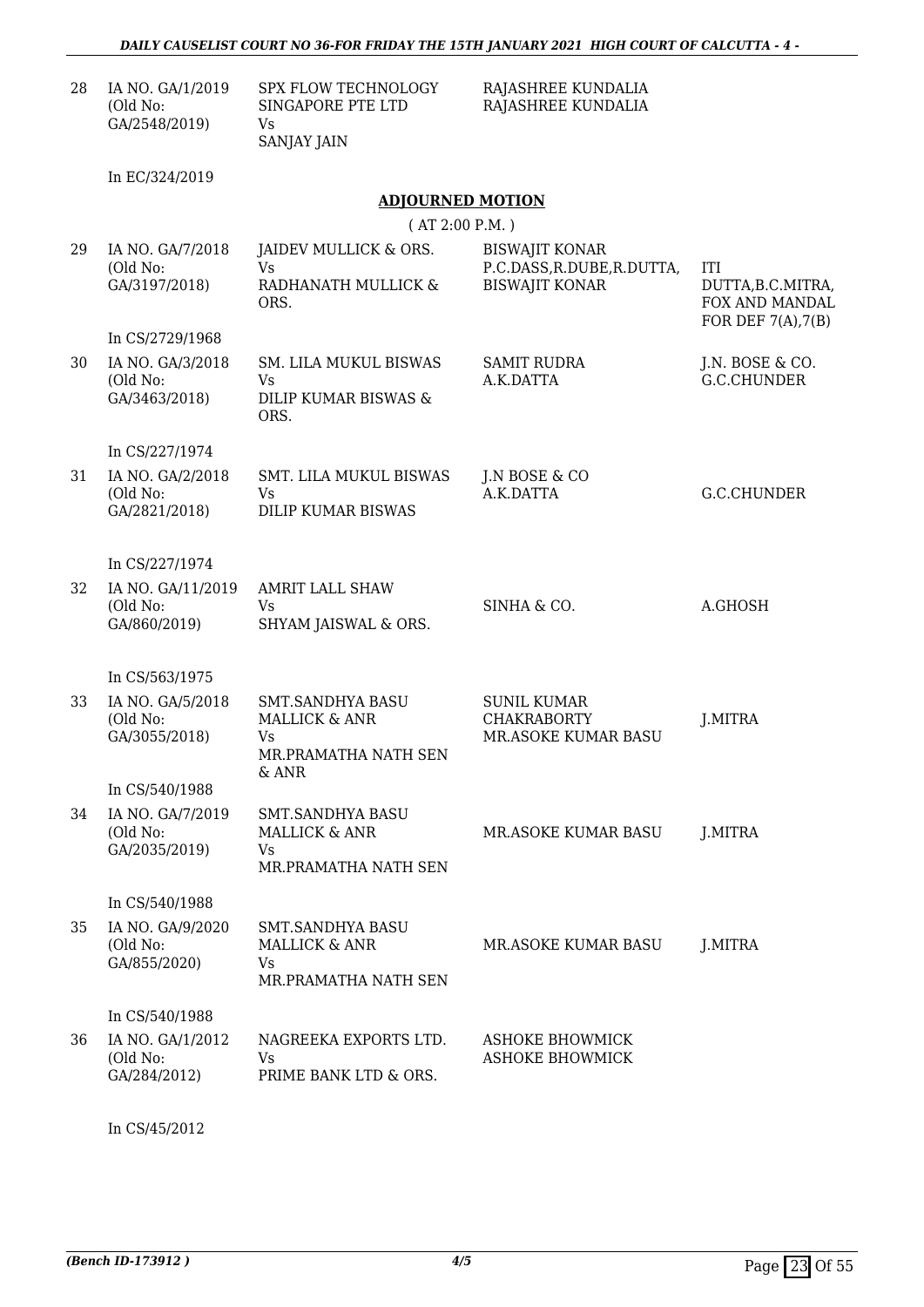| 28 | IA NO. GA/1/2019<br>(Old No:<br>GA/2548/2019) | SPX FLOW TECHNOLOGY<br>SINGAPORE PTE LTD<br><b>Vs</b><br><b>SANJAY JAIN</b>                 | RAJASHREE KUNDALIA<br>RAJASHREE KUNDALIA                                     |                                                                       |
|----|-----------------------------------------------|---------------------------------------------------------------------------------------------|------------------------------------------------------------------------------|-----------------------------------------------------------------------|
|    | In EC/324/2019                                |                                                                                             |                                                                              |                                                                       |
|    |                                               | <b>ADJOURNED MOTION</b>                                                                     |                                                                              |                                                                       |
|    |                                               | (AT 2:00 P.M.)                                                                              |                                                                              |                                                                       |
| 29 | IA NO. GA/7/2018<br>(Old No:<br>GA/3197/2018) | JAIDEV MULLICK & ORS.<br><b>Vs</b><br>RADHANATH MULLICK &<br>ORS.                           | <b>BISWAJIT KONAR</b><br>P.C.DASS, R.DUBE, R.DUTTA,<br><b>BISWAJIT KONAR</b> | ITI<br>DUTTA, B.C.MITRA,<br>FOX AND MANDAL<br>FOR DEF $7(A)$ , $7(B)$ |
|    | In CS/2729/1968                               |                                                                                             |                                                                              |                                                                       |
| 30 | IA NO. GA/3/2018<br>(Old No:<br>GA/3463/2018) | SM. LILA MUKUL BISWAS<br>Vs.<br>DILIP KUMAR BISWAS &<br>ORS.                                | <b>SAMIT RUDRA</b><br>A.K.DATTA                                              | J.N. BOSE & CO.<br>G.C.CHUNDER                                        |
|    | In CS/227/1974                                |                                                                                             |                                                                              |                                                                       |
| 31 | IA NO. GA/2/2018<br>(Old No:<br>GA/2821/2018) | <b>SMT. LILA MUKUL BISWAS</b><br>Vs.<br><b>DILIP KUMAR BISWAS</b>                           | J.N BOSE & CO<br>A.K.DATTA                                                   | G.C.CHUNDER                                                           |
|    | In CS/227/1974                                |                                                                                             |                                                                              |                                                                       |
| 32 | IA NO. GA/11/2019<br>(Old No:<br>GA/860/2019) | <b>AMRIT LALL SHAW</b><br>Vs.<br>SHYAM JAISWAL & ORS.                                       | SINHA & CO.                                                                  | A.GHOSH                                                               |
|    | In CS/563/1975                                |                                                                                             |                                                                              |                                                                       |
| 33 | IA NO. GA/5/2018<br>(Old No:<br>GA/3055/2018) | <b>SMT.SANDHYA BASU</b><br><b>MALLICK &amp; ANR</b><br>Vs.<br>MR.PRAMATHA NATH SEN<br>& ANR | <b>SUNIL KUMAR</b><br><b>CHAKRABORTY</b><br>MR.ASOKE KUMAR BASU              | J.MITRA                                                               |
|    | In CS/540/1988                                |                                                                                             |                                                                              |                                                                       |
| 34 | IA NO. GA/7/2019<br>(Old No:<br>GA/2035/2019) | SMT.SANDHYA BASU<br><b>MALLICK &amp; ANR</b><br><b>Vs</b><br>MR.PRAMATHA NATH SEN           | MR.ASOKE KUMAR BASU                                                          | J.MITRA                                                               |
|    | In CS/540/1988                                |                                                                                             |                                                                              |                                                                       |
| 35 | IA NO. GA/9/2020<br>(Old No:<br>GA/855/2020)  | <b>SMT.SANDHYA BASU</b><br><b>MALLICK &amp; ANR</b><br><b>Vs</b><br>MR.PRAMATHA NATH SEN    | MR.ASOKE KUMAR BASU                                                          | J.MITRA                                                               |
|    | In CS/540/1988                                |                                                                                             |                                                                              |                                                                       |
| 36 | IA NO. GA/1/2012<br>(Old No:<br>GA/284/2012)  | NAGREEKA EXPORTS LTD.<br><b>Vs</b><br>PRIME BANK LTD & ORS.                                 | <b>ASHOKE BHOWMICK</b><br><b>ASHOKE BHOWMICK</b>                             |                                                                       |

In CS/45/2012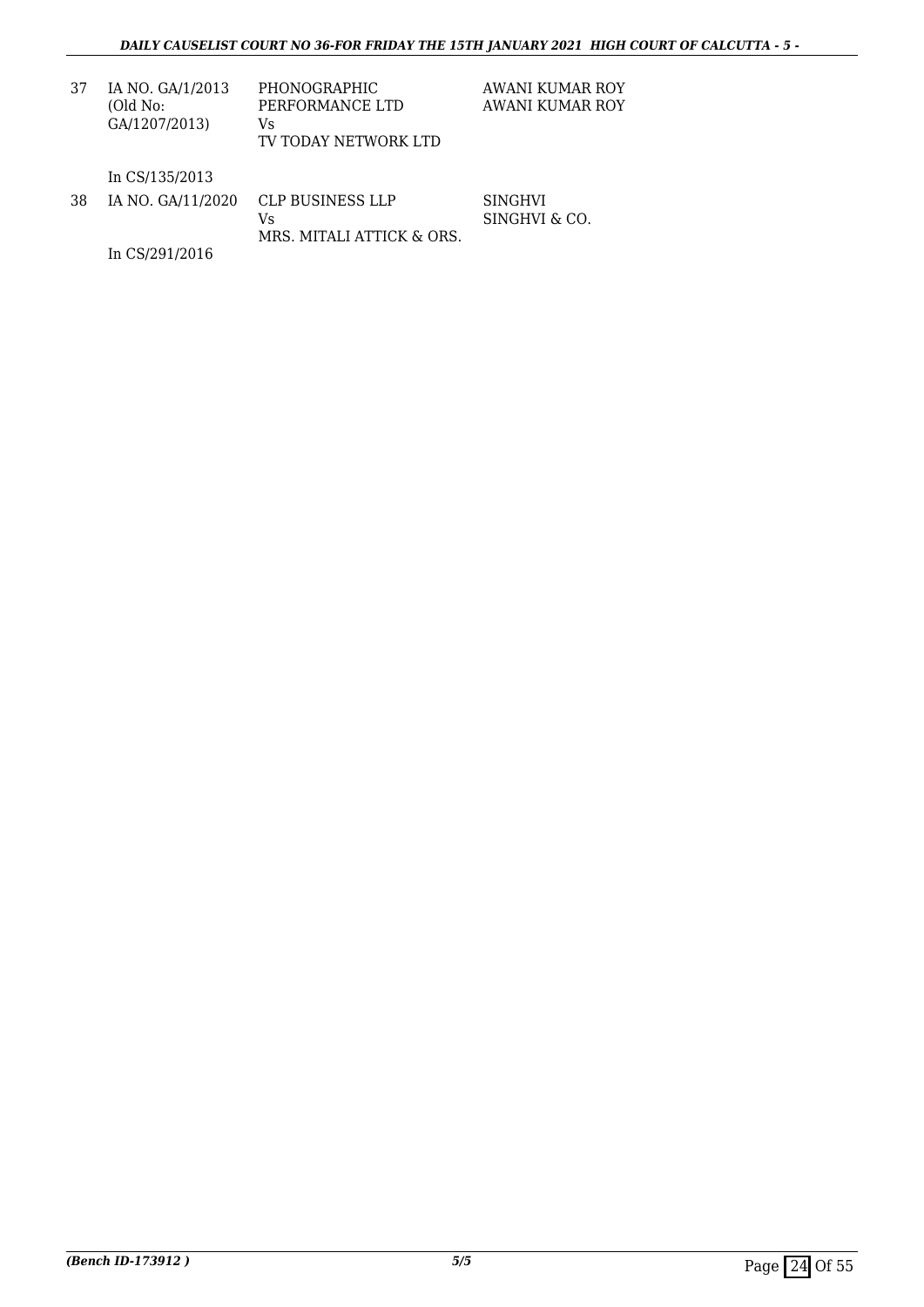SINGHVI SINGHVI & CO.

| 37 | IA NO. GA/1/2013<br>(Old No:<br>GA/1207/2013) | PHONOGRAPHIC<br>PERFORMANCE LTD<br>Vs<br>TV TODAY NETWORK LTD | AWANI KUMAR ROY<br>AWANI KUMAR ROY |
|----|-----------------------------------------------|---------------------------------------------------------------|------------------------------------|
|    |                                               |                                                               |                                    |

In CS/135/2013

| 38 | IA NO. GA/11/2020 CLP BUSINESS LLP |
|----|------------------------------------|
|    | Vs.                                |
|    | MRS. MITALI ATTICK & ORS.          |

In CS/291/2016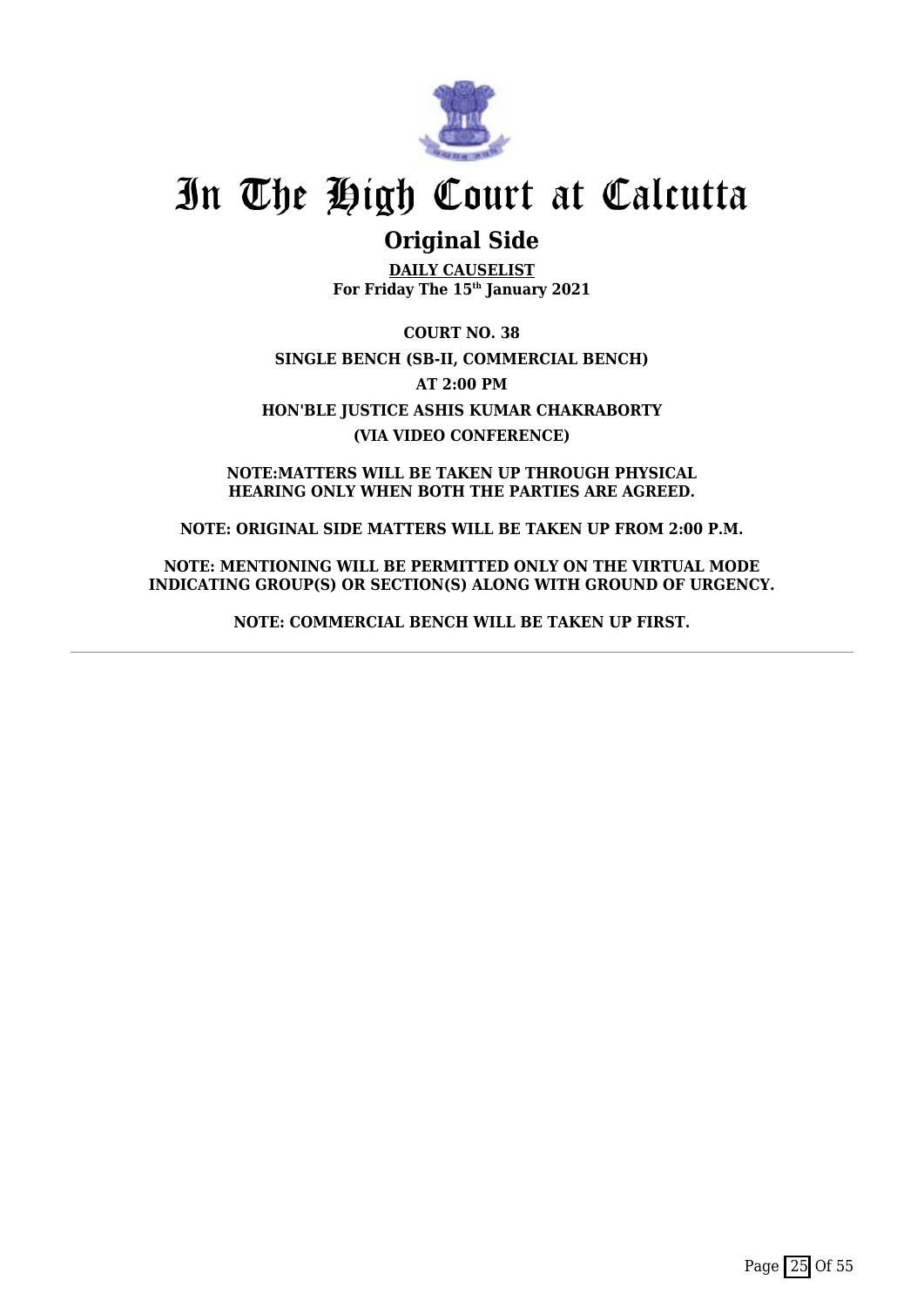

# **Original Side**

**DAILY CAUSELIST For Friday The 15th January 2021**

**COURT NO. 38 SINGLE BENCH (SB-II, COMMERCIAL BENCH) AT 2:00 PM HON'BLE JUSTICE ASHIS KUMAR CHAKRABORTY (VIA VIDEO CONFERENCE)**

**NOTE:MATTERS WILL BE TAKEN UP THROUGH PHYSICAL HEARING ONLY WHEN BOTH THE PARTIES ARE AGREED.**

**NOTE: ORIGINAL SIDE MATTERS WILL BE TAKEN UP FROM 2:00 P.M.**

**NOTE: MENTIONING WILL BE PERMITTED ONLY ON THE VIRTUAL MODE INDICATING GROUP(S) OR SECTION(S) ALONG WITH GROUND OF URGENCY.**

**NOTE: COMMERCIAL BENCH WILL BE TAKEN UP FIRST.**

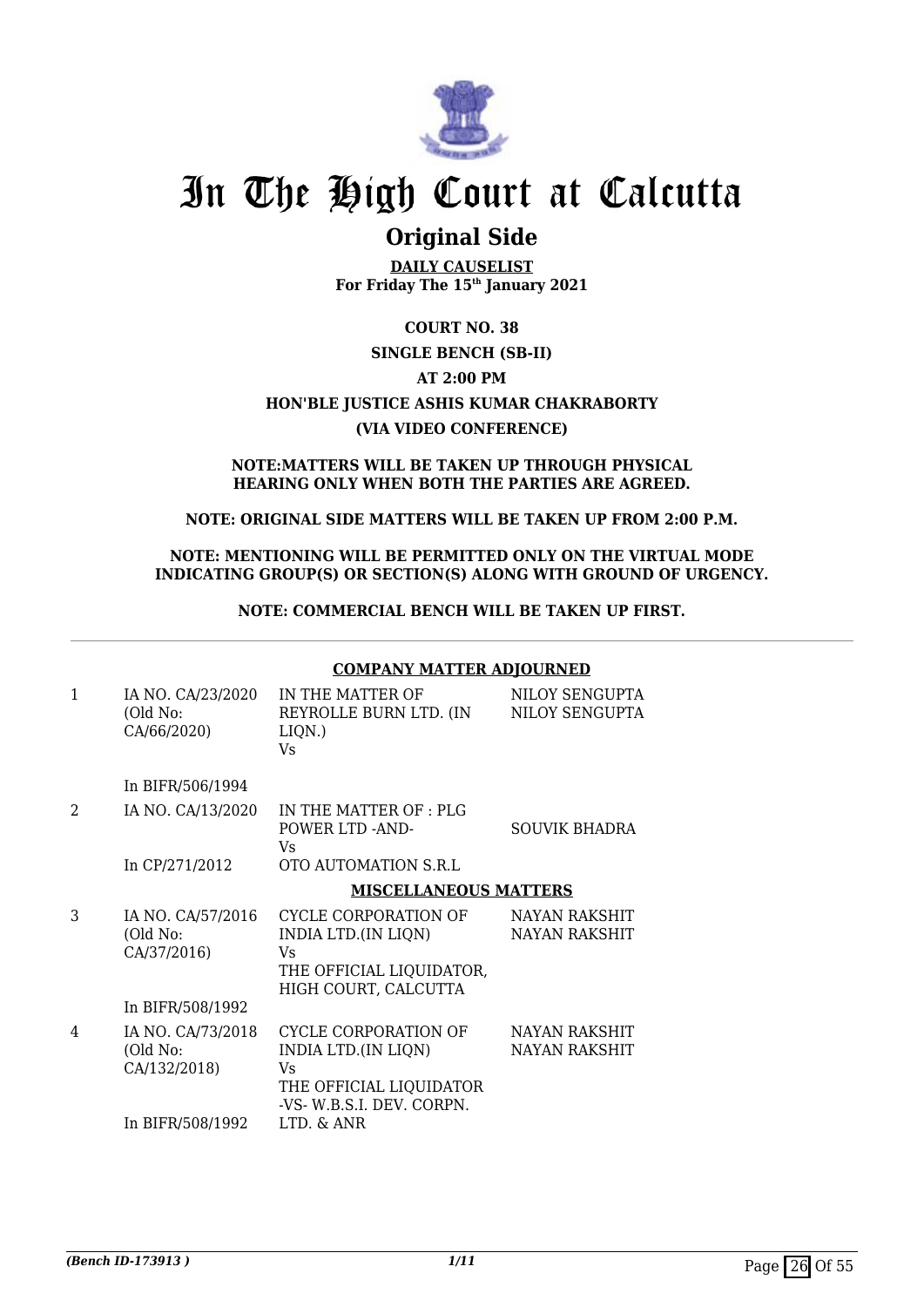

# **Original Side**

**DAILY CAUSELIST For Friday The 15th January 2021**

## **COURT NO. 38**

## **SINGLE BENCH (SB-II) AT 2:00 PM HON'BLE JUSTICE ASHIS KUMAR CHAKRABORTY (VIA VIDEO CONFERENCE)**

#### **NOTE:MATTERS WILL BE TAKEN UP THROUGH PHYSICAL HEARING ONLY WHEN BOTH THE PARTIES ARE AGREED.**

### **NOTE: ORIGINAL SIDE MATTERS WILL BE TAKEN UP FROM 2:00 P.M.**

### **NOTE: MENTIONING WILL BE PERMITTED ONLY ON THE VIRTUAL MODE INDICATING GROUP(S) OR SECTION(S) ALONG WITH GROUND OF URGENCY.**

**NOTE: COMMERCIAL BENCH WILL BE TAKEN UP FIRST.**

#### **COMPANY MATTER ADJOURNED**

| $\mathbf{1}$  | IA NO. CA/23/2020<br>(Old No:<br>CA/66/2020)                      | IN THE MATTER OF<br>REYROLLE BURN LTD. (IN<br>LIQN.)<br>Vs.                                                                    | NILOY SENGUPTA<br>NILOY SENGUPTA             |
|---------------|-------------------------------------------------------------------|--------------------------------------------------------------------------------------------------------------------------------|----------------------------------------------|
|               | In BIFR/506/1994                                                  |                                                                                                                                |                                              |
| $\mathcal{L}$ | IA NO. CA/13/2020                                                 | IN THE MATTER OF: PLG<br>POWER LTD -AND-<br>Vs.                                                                                | SOUVIK BHADRA                                |
|               | In CP/271/2012                                                    | OTO AUTOMATION S.R.L                                                                                                           |                                              |
|               |                                                                   | <b>MISCELLANEOUS MATTERS</b>                                                                                                   |                                              |
| 3             | IA NO. CA/57/2016<br>(Old No:<br>CA/37/2016)                      | CYCLE CORPORATION OF<br>INDIA LTD.(IN LIQN)<br>Vs<br>THE OFFICIAL LIQUIDATOR,<br>HIGH COURT, CALCUTTA                          | <b>NAYAN RAKSHIT</b><br><b>NAYAN RAKSHIT</b> |
|               | In BIFR/508/1992                                                  |                                                                                                                                |                                              |
| 4             | IA NO. CA/73/2018<br>(Old No:<br>CA/132/2018)<br>In BIFR/508/1992 | CYCLE CORPORATION OF<br>INDIA LTD.(IN LIQN)<br><b>Vs</b><br>THE OFFICIAL LIQUIDATOR<br>-VS- W.B.S.I. DEV. CORPN.<br>LTD. & ANR | NAYAN RAKSHIT<br>NAYAN RAKSHIT               |
|               |                                                                   |                                                                                                                                |                                              |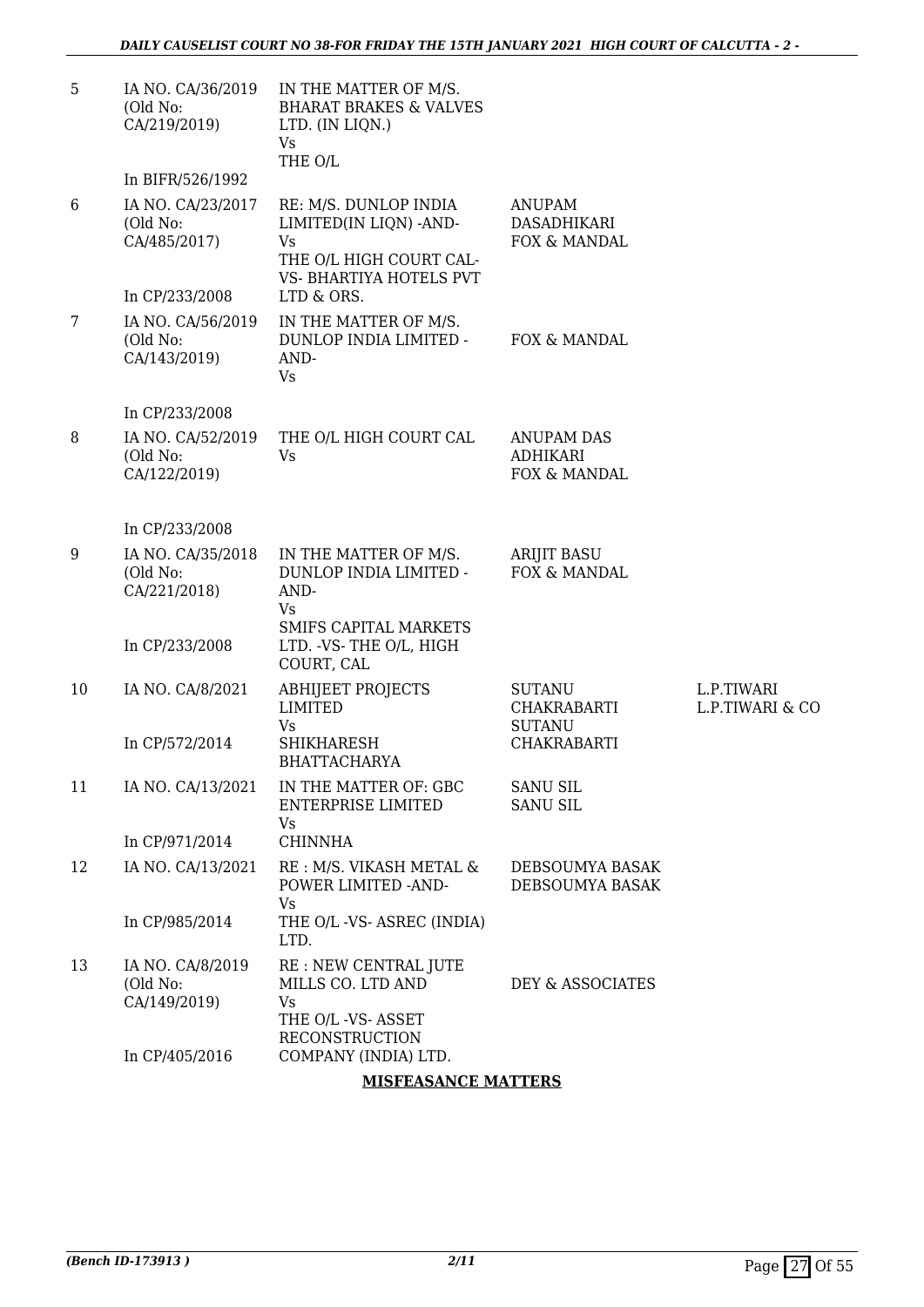| 5  | IA NO. CA/36/2019<br>(Old No:<br>CA/219/2019) | IN THE MATTER OF M/S.<br><b>BHARAT BRAKES &amp; VALVES</b><br>LTD. (IN LIQN.)<br><b>Vs</b><br>THE O/L              |                                                      |                               |
|----|-----------------------------------------------|--------------------------------------------------------------------------------------------------------------------|------------------------------------------------------|-------------------------------|
|    | In BIFR/526/1992                              |                                                                                                                    |                                                      |                               |
| 6  | IA NO. CA/23/2017<br>(Old No:<br>CA/485/2017) | RE: M/S. DUNLOP INDIA<br>LIMITED(IN LIQN) -AND-<br><b>Vs</b><br>THE O/L HIGH COURT CAL-<br>VS- BHARTIYA HOTELS PVT | <b>ANUPAM</b><br>DASADHIKARI<br>FOX & MANDAL         |                               |
|    | In CP/233/2008                                | LTD & ORS.                                                                                                         |                                                      |                               |
| 7  | IA NO. CA/56/2019<br>(Old No:<br>CA/143/2019) | IN THE MATTER OF M/S.<br>DUNLOP INDIA LIMITED -<br>AND-<br>Vs                                                      | FOX & MANDAL                                         |                               |
|    | In CP/233/2008                                |                                                                                                                    |                                                      |                               |
| 8  | IA NO. CA/52/2019<br>(Old No:<br>CA/122/2019) | THE O/L HIGH COURT CAL<br><b>Vs</b>                                                                                | <b>ANUPAM DAS</b><br><b>ADHIKARI</b><br>FOX & MANDAL |                               |
|    | In CP/233/2008                                |                                                                                                                    |                                                      |                               |
| 9  | IA NO. CA/35/2018<br>(Old No:<br>CA/221/2018) | IN THE MATTER OF M/S.<br>DUNLOP INDIA LIMITED -<br>AND-<br>Vs                                                      | <b>ARIJIT BASU</b><br>FOX & MANDAL                   |                               |
|    | In CP/233/2008                                | SMIFS CAPITAL MARKETS<br>LTD. VS-THE O/L, HIGH<br>COURT, CAL                                                       |                                                      |                               |
| 10 | IA NO. CA/8/2021                              | <b>ABHIJEET PROJECTS</b><br><b>LIMITED</b><br>Vs                                                                   | <b>SUTANU</b><br>CHAKRABARTI<br><b>SUTANU</b>        | L.P.TIWARI<br>L.P.TIWARI & CO |
|    | In CP/572/2014                                | <b>SHIKHARESH</b><br><b>BHATTACHARYA</b>                                                                           | <b>CHAKRABARTI</b>                                   |                               |
| 11 | IA NO. CA/13/2021                             | IN THE MATTER OF: GBC<br><b>ENTERPRISE LIMITED</b><br>Vs                                                           | <b>SANU SIL</b><br><b>SANU SIL</b>                   |                               |
|    | In CP/971/2014                                | <b>CHINNHA</b>                                                                                                     |                                                      |                               |
| 12 | IA NO. CA/13/2021                             | RE: M/S. VIKASH METAL &<br>POWER LIMITED -AND-<br>Vs                                                               | DEBSOUMYA BASAK<br>DEBSOUMYA BASAK                   |                               |
|    | In CP/985/2014                                | THE O/L -VS- ASREC (INDIA)<br>LTD.                                                                                 |                                                      |                               |
| 13 | IA NO. CA/8/2019<br>(Old No:<br>CA/149/2019)  | RE: NEW CENTRAL JUTE<br>MILLS CO. LTD AND<br>Vs<br>THE O/L -VS- ASSET<br><b>RECONSTRUCTION</b>                     | DEY & ASSOCIATES                                     |                               |
|    | In CP/405/2016                                | COMPANY (INDIA) LTD.<br>CANIOR MARTIN                                                                              |                                                      |                               |

#### **MISFEASANCE MATTERS**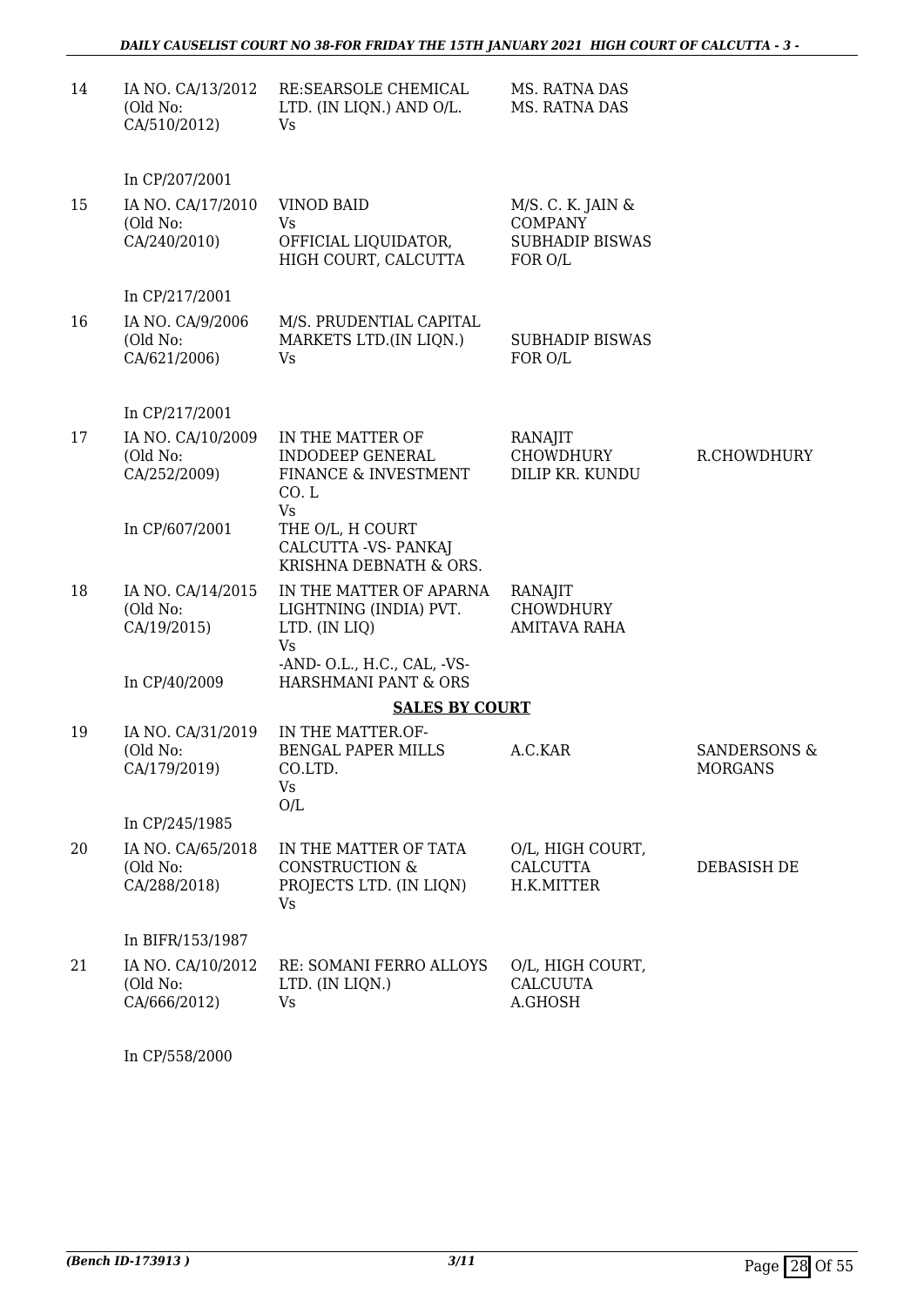| 14 | IA NO. CA/13/2012<br>(Old No:<br>CA/510/2012) | RE:SEARSOLE CHEMICAL<br>LTD. (IN LIQN.) AND O/L.<br>Vs                              | MS. RATNA DAS<br>MS. RATNA DAS                                           |                                           |
|----|-----------------------------------------------|-------------------------------------------------------------------------------------|--------------------------------------------------------------------------|-------------------------------------------|
|    | In CP/207/2001                                |                                                                                     |                                                                          |                                           |
| 15 | IA NO. CA/17/2010<br>(Old No:<br>CA/240/2010) | <b>VINOD BAID</b><br>Vs<br>OFFICIAL LIQUIDATOR,<br>HIGH COURT, CALCUTTA             | M/S. C. K. JAIN &<br><b>COMPANY</b><br><b>SUBHADIP BISWAS</b><br>FOR O/L |                                           |
|    | In CP/217/2001                                |                                                                                     |                                                                          |                                           |
| 16 | IA NO. CA/9/2006<br>(Old No:<br>CA/621/2006)  | M/S. PRUDENTIAL CAPITAL<br>MARKETS LTD.(IN LIQN.)<br>Vs                             | <b>SUBHADIP BISWAS</b><br>FOR O/L                                        |                                           |
|    | In CP/217/2001                                |                                                                                     |                                                                          |                                           |
| 17 | IA NO. CA/10/2009<br>(Old No:<br>CA/252/2009) | IN THE MATTER OF<br><b>INDODEEP GENERAL</b><br>FINANCE & INVESTMENT<br>CO.L         | RANAJIT<br>CHOWDHURY<br>DILIP KR. KUNDU                                  | R.CHOWDHURY                               |
|    | In CP/607/2001                                | <b>Vs</b><br>THE O/L, H COURT<br>CALCUTTA -VS- PANKAJ<br>KRISHNA DEBNATH & ORS.     |                                                                          |                                           |
| 18 | IA NO. CA/14/2015<br>(Old No:<br>CA/19/2015)  | IN THE MATTER OF APARNA<br>LIGHTNING (INDIA) PVT.<br>LTD. (IN LIQ)<br><b>Vs</b>     | RANAJIT<br><b>CHOWDHURY</b><br><b>AMITAVA RAHA</b>                       |                                           |
|    | In CP/40/2009                                 | -AND- O.L., H.C., CAL, -VS-<br>HARSHMANI PANT & ORS                                 |                                                                          |                                           |
|    |                                               | <b>SALES BY COURT</b>                                                               |                                                                          |                                           |
| 19 | IA NO. CA/31/2019<br>(Old No:<br>CA/179/2019) | IN THE MATTER.OF-<br>BENGAL PAPER MILLS<br>CO.LTD.<br>Vs<br>O/L                     | A.C.KAR                                                                  | <b>SANDERSONS &amp;</b><br><b>MORGANS</b> |
|    | In CP/245/1985                                |                                                                                     |                                                                          |                                           |
| 20 | IA NO. CA/65/2018<br>(Old No:<br>CA/288/2018) | IN THE MATTER OF TATA<br><b>CONSTRUCTION &amp;</b><br>PROJECTS LTD. (IN LIQN)<br>Vs | O/L, HIGH COURT,<br><b>CALCUTTA</b><br>H.K.MITTER                        | DEBASISH DE                               |
|    | In BIFR/153/1987                              |                                                                                     |                                                                          |                                           |
| 21 | IA NO. CA/10/2012<br>(Old No:<br>CA/666/2012) | RE: SOMANI FERRO ALLOYS<br>LTD. (IN LIQN.)<br>Vs                                    | O/L, HIGH COURT,<br><b>CALCUUTA</b><br>A.GHOSH                           |                                           |
|    |                                               |                                                                                     |                                                                          |                                           |

In CP/558/2000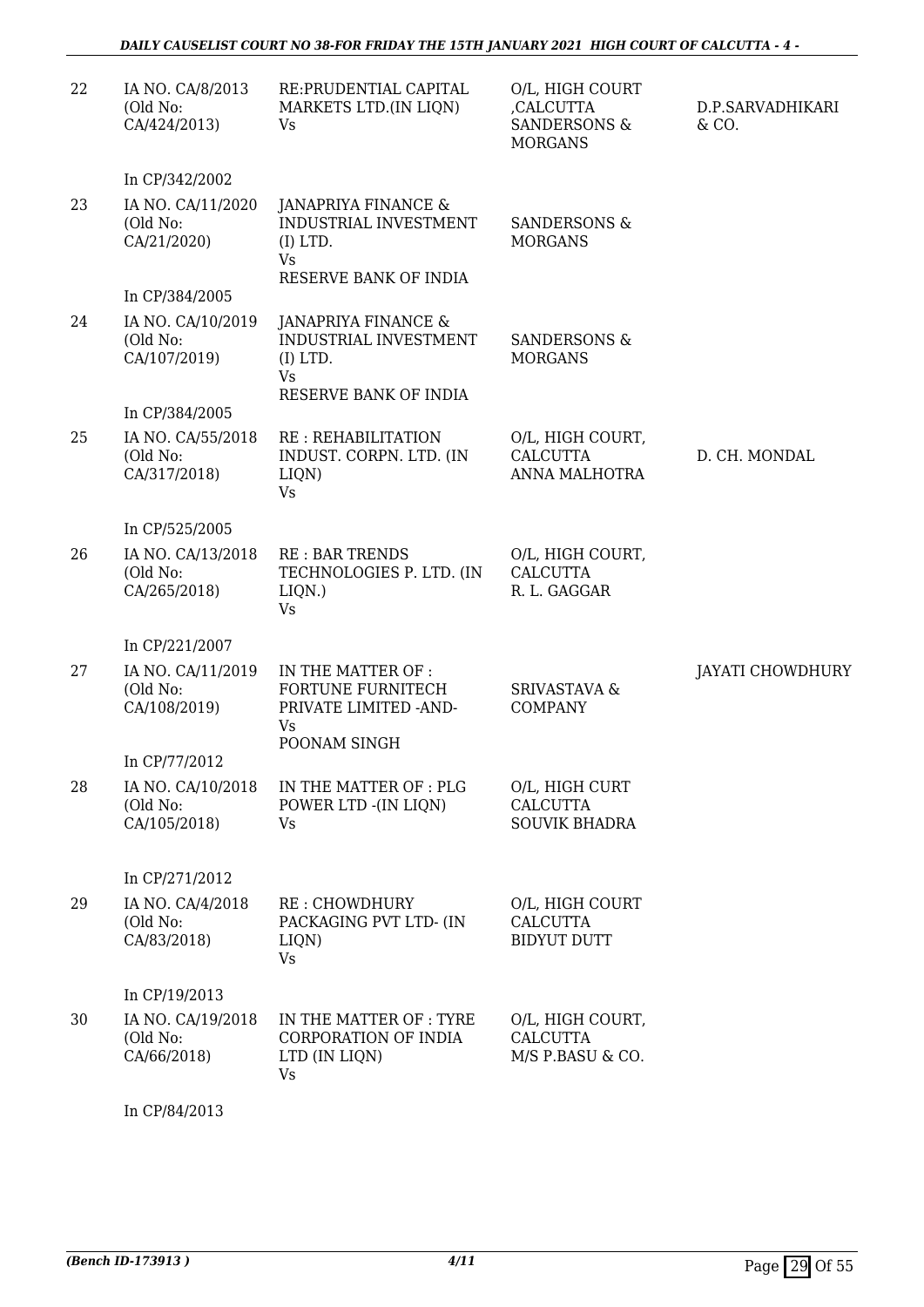| 22 | IA NO. CA/8/2013<br>(Old No:<br>CA/424/2013)  | RE: PRUDENTIAL CAPITAL<br>MARKETS LTD.(IN LIQN)<br>Vs                                           | O/L, HIGH COURT<br>,CALCUTTA<br><b>SANDERSONS &amp;</b><br><b>MORGANS</b> | D.P.SARVADHIKARI<br>& CO. |
|----|-----------------------------------------------|-------------------------------------------------------------------------------------------------|---------------------------------------------------------------------------|---------------------------|
|    | In CP/342/2002                                |                                                                                                 |                                                                           |                           |
| 23 | IA NO. CA/11/2020<br>(Old No:<br>CA/21/2020)  | JANAPRIYA FINANCE &<br>INDUSTRIAL INVESTMENT<br>$(I)$ LTD.<br>Vs<br>RESERVE BANK OF INDIA       | <b>SANDERSONS &amp;</b><br><b>MORGANS</b>                                 |                           |
|    | In CP/384/2005                                |                                                                                                 |                                                                           |                           |
| 24 | IA NO. CA/10/2019<br>(Old No:<br>CA/107/2019) | JANAPRIYA FINANCE &<br>INDUSTRIAL INVESTMENT<br>$(I)$ LTD.<br>Vs<br>RESERVE BANK OF INDIA       | SANDERSONS &<br><b>MORGANS</b>                                            |                           |
|    | In CP/384/2005                                |                                                                                                 |                                                                           |                           |
| 25 | IA NO. CA/55/2018<br>(Old No:<br>CA/317/2018) | <b>RE: REHABILITATION</b><br>INDUST. CORPN. LTD. (IN<br>LIQN)<br>Vs                             | O/L, HIGH COURT,<br><b>CALCUTTA</b><br><b>ANNA MALHOTRA</b>               | D. CH. MONDAL             |
|    | In CP/525/2005                                |                                                                                                 |                                                                           |                           |
| 26 | IA NO. CA/13/2018<br>(Old No:<br>CA/265/2018) | <b>RE: BAR TRENDS</b><br>TECHNOLOGIES P. LTD. (IN<br>$LIQN.$ )<br>Vs                            | O/L, HIGH COURT,<br><b>CALCUTTA</b><br>R. L. GAGGAR                       |                           |
|    | In CP/221/2007                                |                                                                                                 |                                                                           |                           |
| 27 | IA NO. CA/11/2019<br>(Old No:<br>CA/108/2019) | IN THE MATTER OF :<br><b>FORTUNE FURNITECH</b><br>PRIVATE LIMITED - AND-<br>Vs.<br>POONAM SINGH | <b>SRIVASTAVA &amp;</b><br><b>COMPANY</b>                                 | JAYATI CHOWDHURY          |
|    | In CP/77/2012                                 |                                                                                                 |                                                                           |                           |
| 28 | IA NO. CA/10/2018<br>(Old No:<br>CA/105/2018) | IN THE MATTER OF : PLG<br>POWER LTD - (IN LIQN)<br>Vs                                           | O/L, HIGH CURT<br><b>CALCUTTA</b><br><b>SOUVIK BHADRA</b>                 |                           |
|    | In CP/271/2012                                |                                                                                                 |                                                                           |                           |
| 29 | IA NO. CA/4/2018<br>(Old No:<br>CA/83/2018)   | <b>RE: CHOWDHURY</b><br>PACKAGING PVT LTD- (IN<br>LIQN)<br>Vs                                   | O/L, HIGH COURT<br><b>CALCUTTA</b><br><b>BIDYUT DUTT</b>                  |                           |
|    | In CP/19/2013                                 |                                                                                                 |                                                                           |                           |
| 30 | IA NO. CA/19/2018<br>(Old No:<br>CA/66/2018)  | IN THE MATTER OF : TYRE<br>CORPORATION OF INDIA<br>LTD (IN LIQN)<br>Vs                          | O/L, HIGH COURT,<br><b>CALCUTTA</b><br>M/S P.BASU & CO.                   |                           |
|    | In CP/84/2013                                 |                                                                                                 |                                                                           |                           |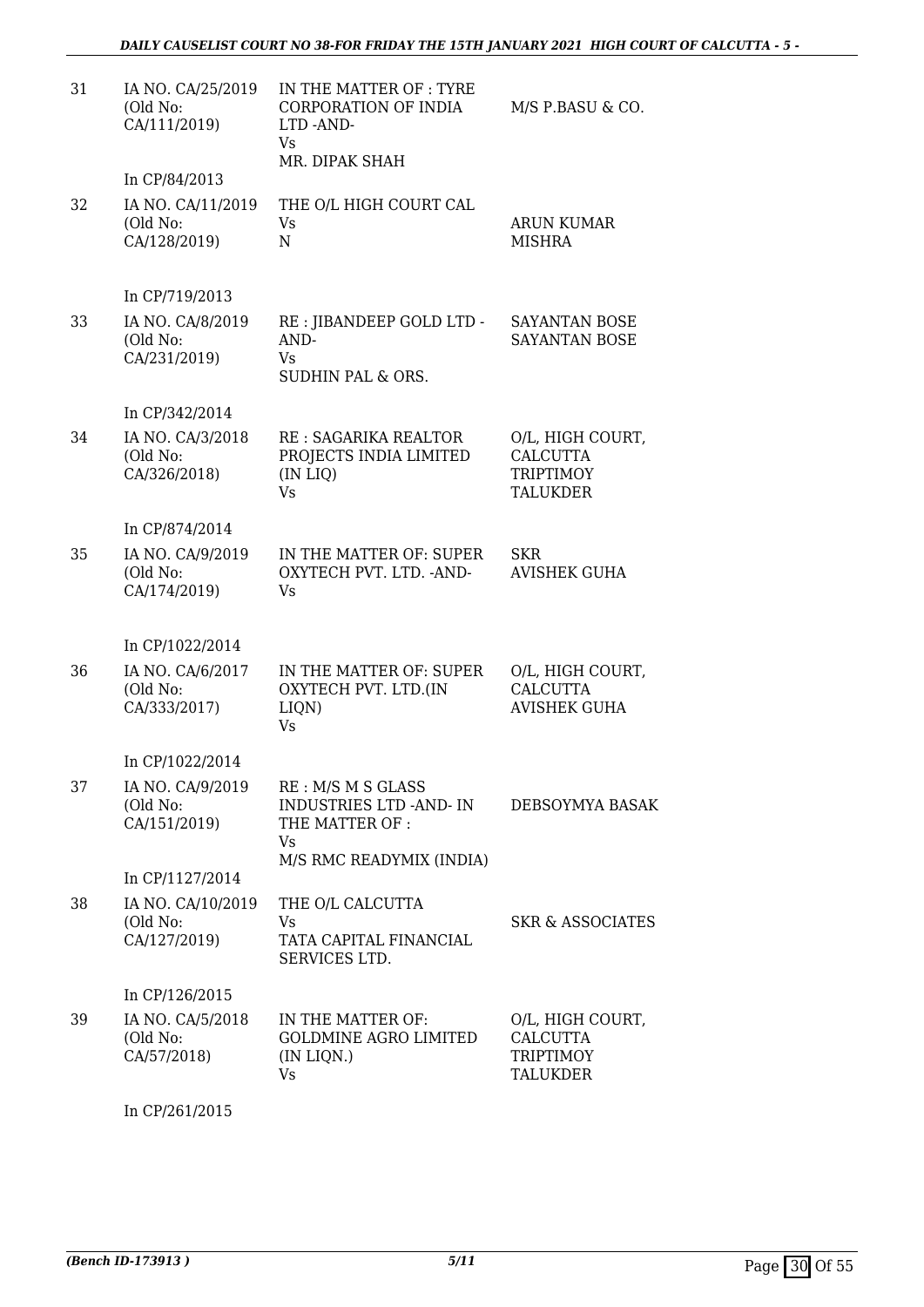| 31 | IA NO. CA/25/2019<br>(Old No:<br>CA/111/2019) | IN THE MATTER OF : TYRE<br><b>CORPORATION OF INDIA</b><br>LTD -AND-<br>Vs<br>MR. DIPAK SHAH | M/S P.BASU & CO.                                                    |
|----|-----------------------------------------------|---------------------------------------------------------------------------------------------|---------------------------------------------------------------------|
|    | In CP/84/2013                                 |                                                                                             |                                                                     |
| 32 | IA NO. CA/11/2019<br>(Old No:<br>CA/128/2019) | THE O/L HIGH COURT CAL<br>Vs<br>N                                                           | <b>ARUN KUMAR</b><br><b>MISHRA</b>                                  |
|    | In CP/719/2013                                |                                                                                             |                                                                     |
| 33 | IA NO. CA/8/2019<br>(Old No:<br>CA/231/2019)  | RE : JIBANDEEP GOLD LTD -<br>AND-<br>Vs.<br>SUDHIN PAL & ORS.                               | SAYANTAN BOSE<br>SAYANTAN BOSE                                      |
|    | In CP/342/2014                                |                                                                                             |                                                                     |
| 34 | IA NO. CA/3/2018<br>(Old No:<br>CA/326/2018)  | RE : SAGARIKA REALTOR<br>PROJECTS INDIA LIMITED<br>(IN LIQ)<br>Vs                           | O/L, HIGH COURT,<br><b>CALCUTTA</b><br><b>TRIPTIMOY</b><br>TALUKDER |
|    | In CP/874/2014                                |                                                                                             |                                                                     |
| 35 | IA NO. CA/9/2019<br>(Old No:<br>CA/174/2019)  | IN THE MATTER OF: SUPER<br>OXYTECH PVT. LTD. - AND-<br>Vs                                   | <b>SKR</b><br><b>AVISHEK GUHA</b>                                   |
|    | In CP/1022/2014                               |                                                                                             |                                                                     |
| 36 | IA NO. CA/6/2017<br>(Old No:<br>CA/333/2017)  | IN THE MATTER OF: SUPER<br>OXYTECH PVT. LTD.(IN<br>LIQN)<br>Vs                              | O/L, HIGH COURT,<br><b>CALCUTTA</b><br><b>AVISHEK GUHA</b>          |
|    | In CP/1022/2014                               |                                                                                             |                                                                     |
| 37 | IA NO. CA/9/2019<br>(Old No:<br>CA/151/2019)  | RE: M/S M S GLASS<br><b>INDUSTRIES LTD -AND-IN</b><br>THE MATTER OF:<br>Vs                  | DEBSOYMYA BASAK                                                     |
|    |                                               | M/S RMC READYMIX (INDIA)                                                                    |                                                                     |
|    | In CP/1127/2014                               |                                                                                             |                                                                     |
| 38 | IA NO. CA/10/2019<br>(Old No:<br>CA/127/2019) | THE O/L CALCUTTA<br>Vs<br>TATA CAPITAL FINANCIAL<br>SERVICES LTD.                           | <b>SKR &amp; ASSOCIATES</b>                                         |
|    | In CP/126/2015                                |                                                                                             |                                                                     |
| 39 | IA NO. CA/5/2018<br>(Old No:<br>CA/57/2018)   | IN THE MATTER OF:<br><b>GOLDMINE AGRO LIMITED</b><br>(IN LIQN.)<br>Vs                       | O/L, HIGH COURT,<br><b>CALCUTTA</b><br><b>TRIPTIMOY</b><br>TALUKDER |

In CP/261/2015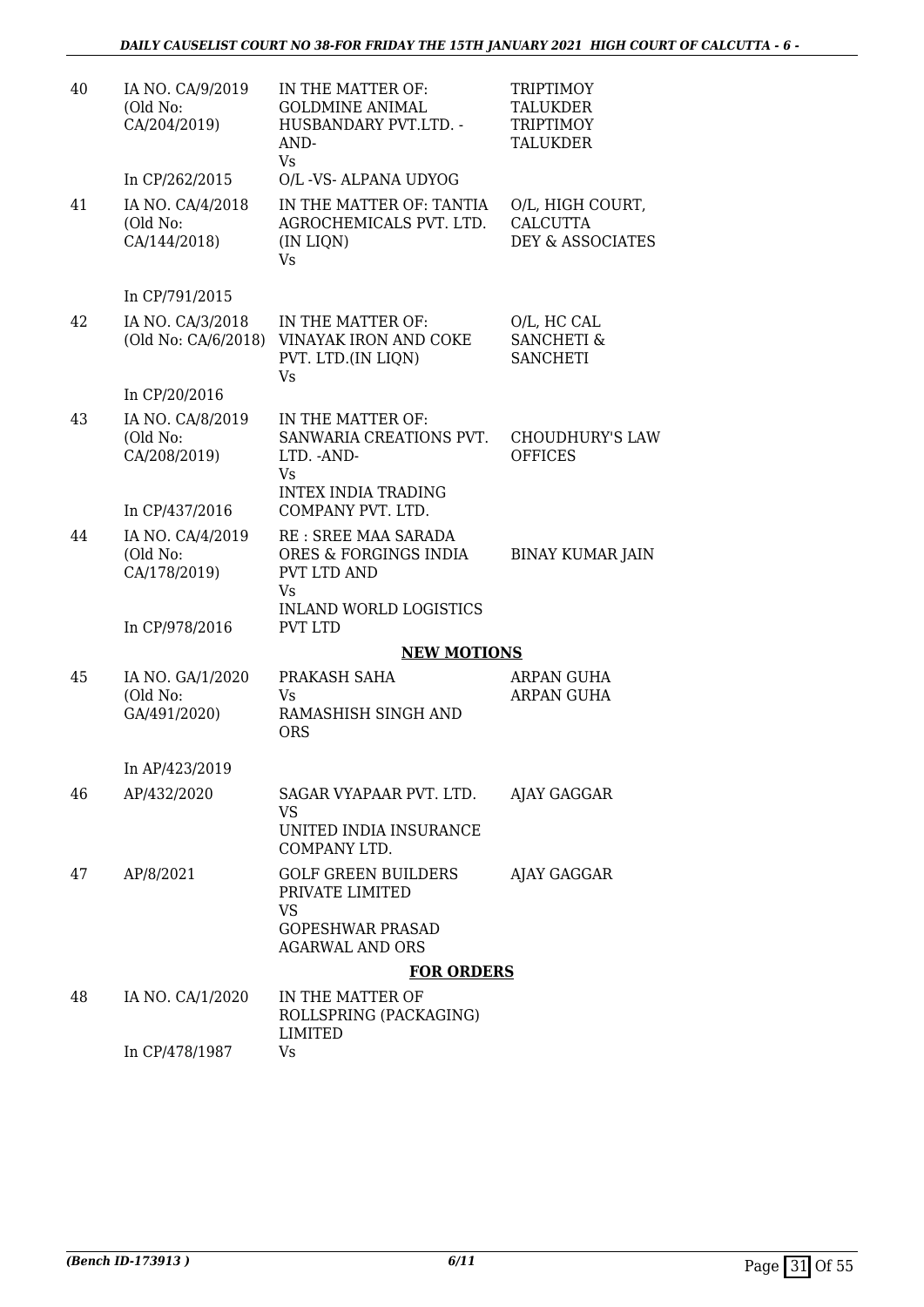| 40 | IA NO. CA/9/2019<br>(Old No:<br>CA/204/2019) | IN THE MATTER OF:<br><b>GOLDMINE ANIMAL</b><br>HUSBANDARY PVT.LTD. -<br>AND-<br>Vs                              | <b>TRIPTIMOY</b><br><b>TALUKDER</b><br>TRIPTIMOY<br>TALUKDER       |
|----|----------------------------------------------|-----------------------------------------------------------------------------------------------------------------|--------------------------------------------------------------------|
|    | In CP/262/2015                               | O/L -VS- ALPANA UDYOG                                                                                           |                                                                    |
| 41 | IA NO. CA/4/2018<br>(Old No:<br>CA/144/2018) | IN THE MATTER OF: TANTIA<br>AGROCHEMICALS PVT. LTD.<br>(IN LIQN)<br>Vs                                          | O/L, HIGH COURT,<br><b>CALCUTTA</b><br><b>DEY &amp; ASSOCIATES</b> |
|    | In CP/791/2015                               |                                                                                                                 |                                                                    |
| 42 | IA NO. CA/3/2018<br>(Old No: CA/6/2018)      | IN THE MATTER OF:<br>VINAYAK IRON AND COKE<br>PVT. LTD.(IN LIQN)<br>Vs                                          | O/L, HC CAL<br><b>SANCHETI &amp;</b><br><b>SANCHETI</b>            |
|    | In CP/20/2016                                |                                                                                                                 |                                                                    |
| 43 | IA NO. CA/8/2019<br>(Old No:<br>CA/208/2019) | IN THE MATTER OF:<br>SANWARIA CREATIONS PVT.<br>LTD. - AND-<br>Vs<br><b>INTEX INDIA TRADING</b>                 | <b>CHOUDHURY'S LAW</b><br><b>OFFICES</b>                           |
|    | In CP/437/2016                               | COMPANY PVT. LTD.                                                                                               |                                                                    |
| 44 | IA NO. CA/4/2019<br>(Old No:<br>CA/178/2019) | RE : SREE MAA SARADA<br>ORES & FORGINGS INDIA<br><b>PVT LTD AND</b>                                             | <b>BINAY KUMAR JAIN</b>                                            |
|    | In CP/978/2016                               | Vs<br><b>INLAND WORLD LOGISTICS</b><br><b>PVT LTD</b>                                                           |                                                                    |
|    |                                              | <b>NEW MOTIONS</b>                                                                                              |                                                                    |
| 45 | IA NO. GA/1/2020<br>(Old No:<br>GA/491/2020) | PRAKASH SAHA<br>Vs<br>RAMASHISH SINGH AND<br><b>ORS</b>                                                         | ARPAN GUHA<br><b>ARPAN GUHA</b>                                    |
|    | In AP/423/2019                               |                                                                                                                 |                                                                    |
| 46 | AP/432/2020                                  | SAGAR VYAPAAR PVT. LTD.<br>VS                                                                                   | AJAY GAGGAR                                                        |
|    |                                              | UNITED INDIA INSURANCE<br>COMPANY LTD.                                                                          |                                                                    |
| 47 | AP/8/2021                                    | <b>GOLF GREEN BUILDERS</b><br>PRIVATE LIMITED<br><b>VS</b><br><b>GOPESHWAR PRASAD</b><br><b>AGARWAL AND ORS</b> | AJAY GAGGAR                                                        |
|    |                                              | <b>FOR ORDERS</b>                                                                                               |                                                                    |
| 48 | IA NO. CA/1/2020                             | IN THE MATTER OF<br>ROLLSPRING (PACKAGING)<br>LIMITED                                                           |                                                                    |
|    | In CP/478/1987                               | Vs                                                                                                              |                                                                    |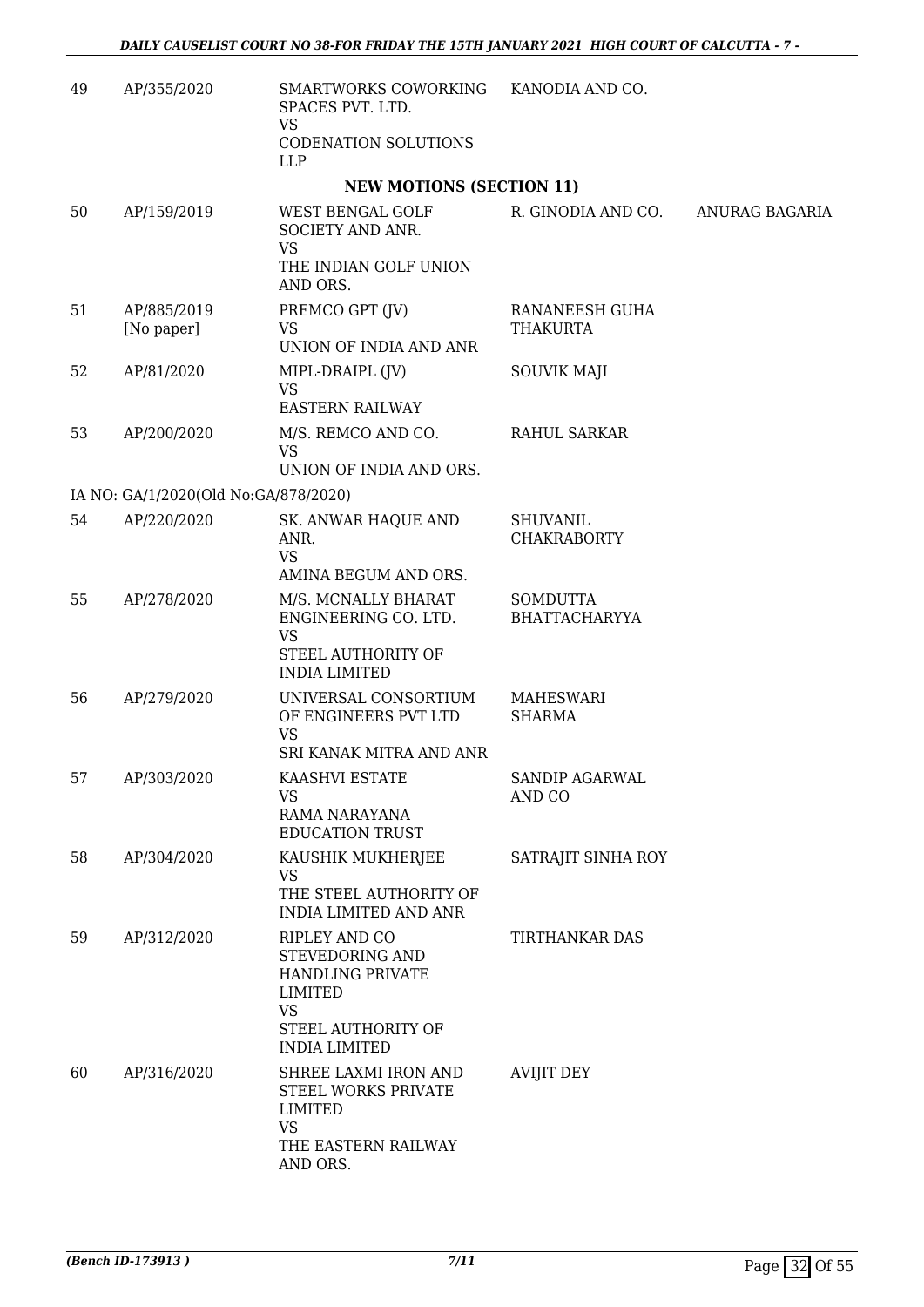| 49 | AP/355/2020                          | SMARTWORKS COWORKING<br>SPACES PVT. LTD.                                                                                                 | KANODIA AND CO.                         |                |
|----|--------------------------------------|------------------------------------------------------------------------------------------------------------------------------------------|-----------------------------------------|----------------|
|    |                                      | <b>VS</b><br>CODENATION SOLUTIONS<br><b>LLP</b>                                                                                          |                                         |                |
|    |                                      | <b>NEW MOTIONS (SECTION 11)</b>                                                                                                          |                                         |                |
| 50 | AP/159/2019                          | WEST BENGAL GOLF<br>SOCIETY AND ANR.<br>VS<br>THE INDIAN GOLF UNION<br>AND ORS.                                                          | R. GINODIA AND CO.                      | ANURAG BAGARIA |
| 51 | AP/885/2019<br>[No paper]            | PREMCO GPT (JV)<br><b>VS</b><br>UNION OF INDIA AND ANR                                                                                   | RANANEESH GUHA<br><b>THAKURTA</b>       |                |
| 52 | AP/81/2020                           | MIPL-DRAIPL (JV)<br><b>VS</b><br><b>EASTERN RAILWAY</b>                                                                                  | <b>SOUVIK MAJI</b>                      |                |
| 53 | AP/200/2020                          | M/S. REMCO AND CO.<br><b>VS</b><br>UNION OF INDIA AND ORS.                                                                               | RAHUL SARKAR                            |                |
|    | IA NO: GA/1/2020(Old No:GA/878/2020) |                                                                                                                                          |                                         |                |
| 54 | AP/220/2020                          | SK. ANWAR HAQUE AND<br>ANR.<br><b>VS</b>                                                                                                 | <b>SHUVANIL</b><br><b>CHAKRABORTY</b>   |                |
|    |                                      | AMINA BEGUM AND ORS.                                                                                                                     |                                         |                |
| 55 | AP/278/2020                          | M/S. MCNALLY BHARAT<br>ENGINEERING CO. LTD.<br><b>VS</b><br>STEEL AUTHORITY OF<br><b>INDIA LIMITED</b>                                   | <b>SOMDUTTA</b><br><b>BHATTACHARYYA</b> |                |
| 56 | AP/279/2020                          | UNIVERSAL CONSORTIUM<br>OF ENGINEERS PVT LTD<br><b>VS</b><br>SRI KANAK MITRA AND ANR                                                     | <b>MAHESWARI</b><br><b>SHARMA</b>       |                |
| 57 | AP/303/2020                          | KAASHVI ESTATE<br>VS<br>RAMA NARAYANA<br><b>EDUCATION TRUST</b>                                                                          | SANDIP AGARWAL<br>AND CO                |                |
| 58 | AP/304/2020                          | KAUSHIK MUKHERJEE<br><b>VS</b><br>THE STEEL AUTHORITY OF<br><b>INDIA LIMITED AND ANR</b>                                                 | SATRAJIT SINHA ROY                      |                |
| 59 | AP/312/2020                          | RIPLEY AND CO<br>STEVEDORING AND<br><b>HANDLING PRIVATE</b><br><b>LIMITED</b><br><b>VS</b><br>STEEL AUTHORITY OF<br><b>INDIA LIMITED</b> | <b>TIRTHANKAR DAS</b>                   |                |
| 60 | AP/316/2020                          | SHREE LAXMI IRON AND<br>STEEL WORKS PRIVATE<br>LIMITED<br><b>VS</b><br>THE EASTERN RAILWAY<br>AND ORS.                                   | <b>AVIJIT DEY</b>                       |                |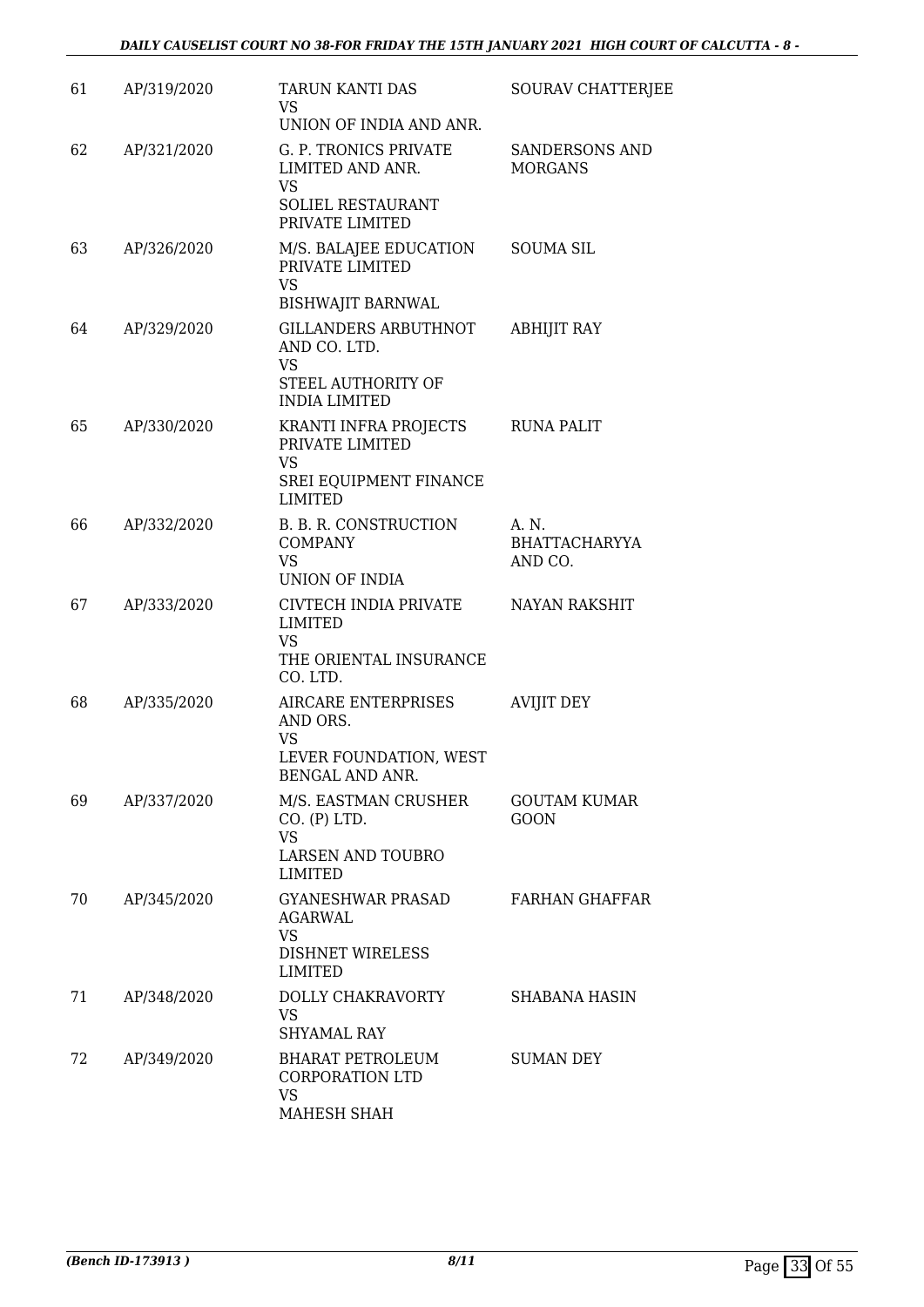| 61 | AP/319/2020 | TARUN KANTI DAS<br>VS.<br>UNION OF INDIA AND ANR.                                              | SOURAV CHATTERJEE                        |
|----|-------------|------------------------------------------------------------------------------------------------|------------------------------------------|
| 62 | AP/321/2020 | G. P. TRONICS PRIVATE<br>LIMITED AND ANR.<br><b>VS</b><br>SOLIEL RESTAURANT<br>PRIVATE LIMITED | <b>SANDERSONS AND</b><br><b>MORGANS</b>  |
| 63 | AP/326/2020 | M/S. BALAJEE EDUCATION<br>PRIVATE LIMITED<br><b>VS</b><br><b>BISHWAJIT BARNWAL</b>             | <b>SOUMA SIL</b>                         |
| 64 | AP/329/2020 | GILLANDERS ARBUTHNOT<br>AND CO. LTD.<br>VS<br>STEEL AUTHORITY OF<br><b>INDIA LIMITED</b>       | <b>ABHIJIT RAY</b>                       |
| 65 | AP/330/2020 | KRANTI INFRA PROJECTS<br>PRIVATE LIMITED<br><b>VS</b><br>SREI EQUIPMENT FINANCE                | <b>RUNA PALIT</b>                        |
|    |             | <b>LIMITED</b>                                                                                 |                                          |
| 66 | AP/332/2020 | B. B. R. CONSTRUCTION<br><b>COMPANY</b><br><b>VS</b><br><b>UNION OF INDIA</b>                  | A. N.<br><b>BHATTACHARYYA</b><br>AND CO. |
| 67 | AP/333/2020 | CIVTECH INDIA PRIVATE<br>LIMITED<br><b>VS</b><br>THE ORIENTAL INSURANCE<br>CO. LTD.            | NAYAN RAKSHIT                            |
| 68 | AP/335/2020 | AIRCARE ENTERPRISES<br>AND ORS.<br>VS<br>LEVER FOUNDATION, WEST<br>BENGAL AND ANR.             | <b>AVIJIT DEY</b>                        |
| 69 | AP/337/2020 | M/S. EASTMAN CRUSHER<br>CO. (P) LTD.<br><b>VS</b><br>LARSEN AND TOUBRO<br>LIMITED              | <b>GOUTAM KUMAR</b><br><b>GOON</b>       |
| 70 | AP/345/2020 | <b>GYANESHWAR PRASAD</b><br><b>AGARWAL</b><br><b>VS</b><br><b>DISHNET WIRELESS</b><br>LIMITED  | <b>FARHAN GHAFFAR</b>                    |
| 71 | AP/348/2020 | DOLLY CHAKRAVORTY<br><b>VS</b><br><b>SHYAMAL RAY</b>                                           | SHABANA HASIN                            |
| 72 | AP/349/2020 | BHARAT PETROLEUM<br><b>CORPORATION LTD</b><br><b>VS</b><br>MAHESH SHAH                         | <b>SUMAN DEY</b>                         |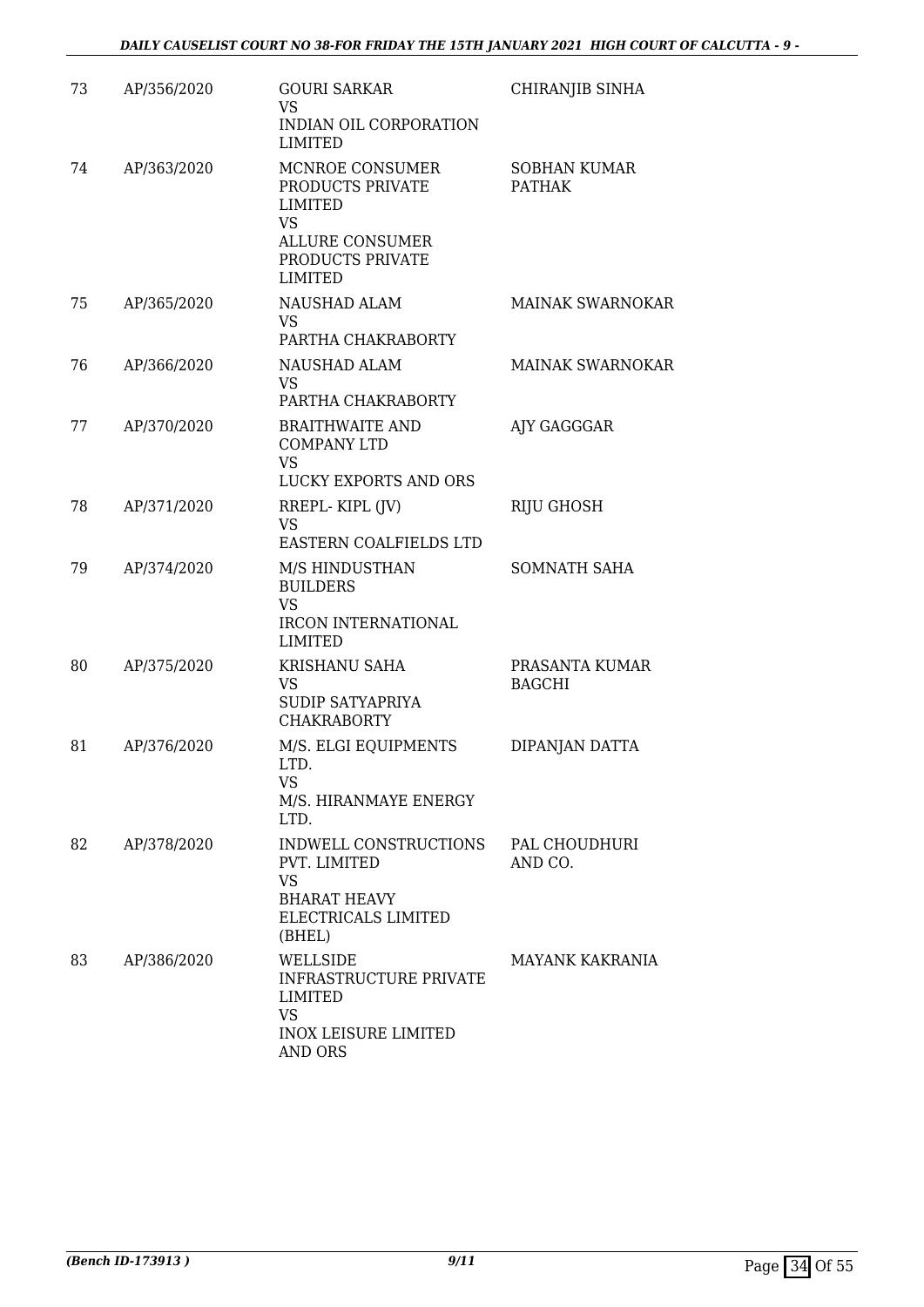| 73 | AP/356/2020 | <b>GOURI SARKAR</b><br><b>VS</b><br>INDIAN OIL CORPORATION<br><b>LIMITED</b>                                                       | CHIRANJIB SINHA                      |
|----|-------------|------------------------------------------------------------------------------------------------------------------------------------|--------------------------------------|
| 74 | AP/363/2020 | MCNROE CONSUMER<br>PRODUCTS PRIVATE<br><b>LIMITED</b><br><b>VS</b><br><b>ALLURE CONSUMER</b><br>PRODUCTS PRIVATE<br><b>LIMITED</b> | <b>SOBHAN KUMAR</b><br><b>PATHAK</b> |
| 75 | AP/365/2020 | NAUSHAD ALAM<br><b>VS</b><br>PARTHA CHAKRABORTY                                                                                    | <b>MAINAK SWARNOKAR</b>              |
| 76 | AP/366/2020 | NAUSHAD ALAM<br><b>VS</b><br>PARTHA CHAKRABORTY                                                                                    | <b>MAINAK SWARNOKAR</b>              |
| 77 | AP/370/2020 | <b>BRAITHWAITE AND</b><br><b>COMPANY LTD</b><br><b>VS</b><br>LUCKY EXPORTS AND ORS                                                 | AJY GAGGGAR                          |
| 78 | AP/371/2020 | RREPL-KIPL (JV)                                                                                                                    | RIJU GHOSH                           |
|    |             | <b>VS</b>                                                                                                                          |                                      |
| 79 | AP/374/2020 | EASTERN COALFIELDS LTD<br>M/S HINDUSTHAN<br><b>BUILDERS</b><br><b>VS</b><br><b>IRCON INTERNATIONAL</b><br><b>LIMITED</b>           | SOMNATH SAHA                         |
| 80 | AP/375/2020 | KRISHANU SAHA<br><b>VS</b><br>SUDIP SATYAPRIYA<br><b>CHAKRABORTY</b>                                                               | PRASANTA KUMAR<br><b>BAGCHI</b>      |
| 81 | AP/376/2020 | M/S. ELGI EQUIPMENTS<br>LTD.<br>VS<br>M/S. HIRANMAYE ENERGY<br>LTD.                                                                | DIPANJAN DATTA                       |
| 82 | AP/378/2020 | INDWELL CONSTRUCTIONS<br>PVT. LIMITED<br><b>VS</b><br>BHARAT HEAVY<br>ELECTRICALS LIMITED<br>(BHEL)                                | PAL CHOUDHURI<br>AND CO.             |
| 83 | AP/386/2020 | WELLSIDE<br><b>INFRASTRUCTURE PRIVATE</b><br>LIMITED<br><b>VS</b><br><b>INOX LEISURE LIMITED</b><br><b>AND ORS</b>                 | MAYANK KAKRANIA                      |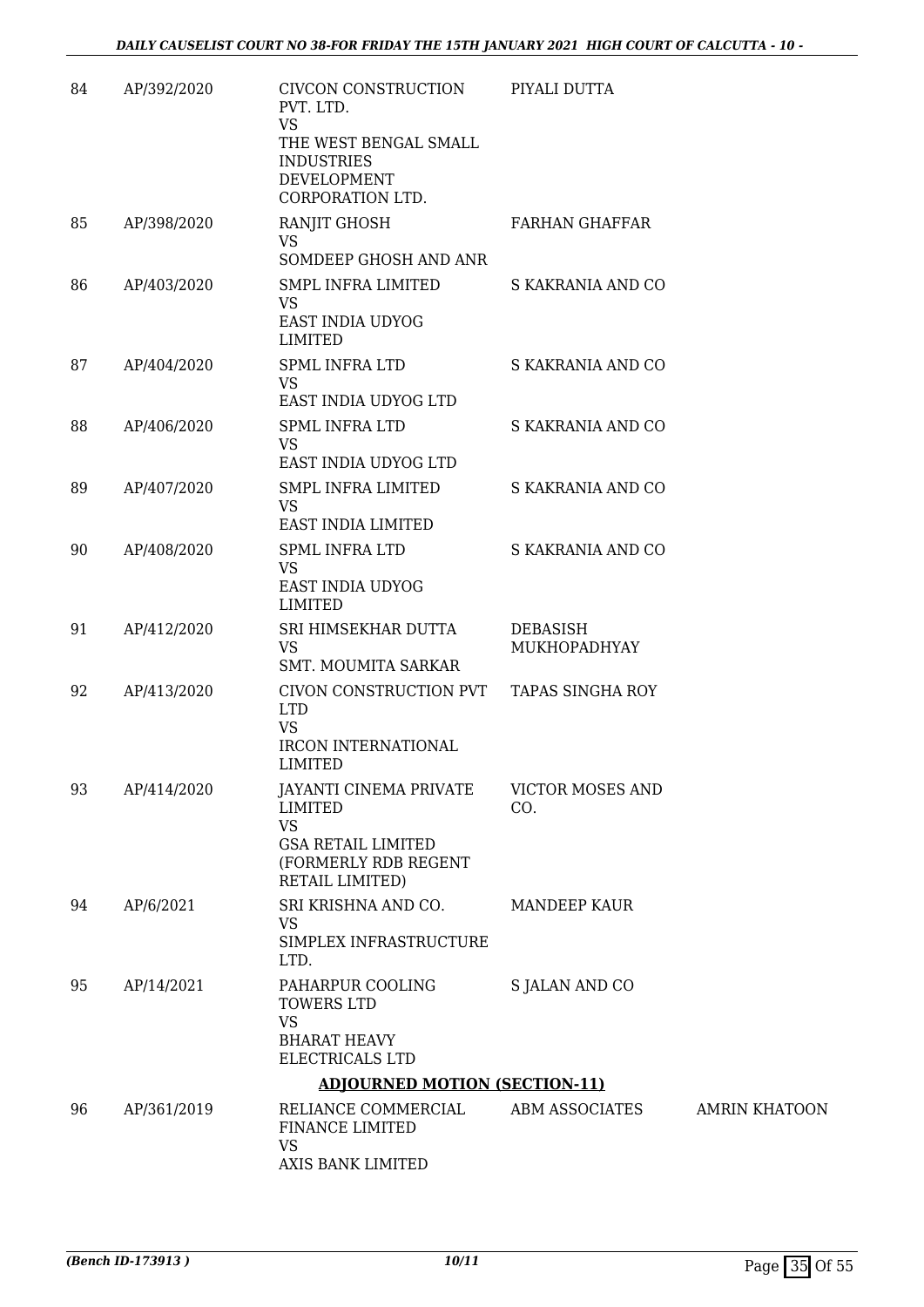| 84 | AP/392/2020 | CIVCON CONSTRUCTION<br>PVT. LTD.                                                                                                     | PIYALI DUTTA                    |                      |
|----|-------------|--------------------------------------------------------------------------------------------------------------------------------------|---------------------------------|----------------------|
|    |             | <b>VS</b><br>THE WEST BENGAL SMALL<br><b>INDUSTRIES</b><br>DEVELOPMENT<br>CORPORATION LTD.                                           |                                 |                      |
| 85 | AP/398/2020 | RANJIT GHOSH<br><b>VS</b><br>SOMDEEP GHOSH AND ANR                                                                                   | <b>FARHAN GHAFFAR</b>           |                      |
| 86 | AP/403/2020 | <b>SMPL INFRA LIMITED</b><br><b>VS</b><br>EAST INDIA UDYOG<br><b>LIMITED</b>                                                         | S KAKRANIA AND CO               |                      |
| 87 | AP/404/2020 | <b>SPML INFRA LTD</b><br><b>VS</b><br>EAST INDIA UDYOG LTD                                                                           | S KAKRANIA AND CO               |                      |
| 88 | AP/406/2020 | <b>SPML INFRA LTD</b><br><b>VS</b><br>EAST INDIA UDYOG LTD                                                                           | S KAKRANIA AND CO               |                      |
| 89 | AP/407/2020 | SMPL INFRA LIMITED<br><b>VS</b><br><b>EAST INDIA LIMITED</b>                                                                         | S KAKRANIA AND CO               |                      |
| 90 | AP/408/2020 | SPML INFRA LTD<br><b>VS</b><br>EAST INDIA UDYOG<br>LIMITED                                                                           | S KAKRANIA AND CO               |                      |
| 91 | AP/412/2020 | SRI HIMSEKHAR DUTTA<br><b>VS</b><br><b>SMT. MOUMITA SARKAR</b>                                                                       | <b>DEBASISH</b><br>MUKHOPADHYAY |                      |
| 92 | AP/413/2020 | CIVON CONSTRUCTION PVT<br><b>LTD</b><br><b>VS</b><br><b>IRCON INTERNATIONAL</b><br><b>LIMITED</b>                                    | <b>TAPAS SINGHA ROY</b>         |                      |
| 93 | AP/414/2020 | <b>JAYANTI CINEMA PRIVATE</b><br><b>LIMITED</b><br><b>VS</b><br><b>GSA RETAIL LIMITED</b><br>(FORMERLY RDB REGENT<br>RETAIL LIMITED) | <b>VICTOR MOSES AND</b><br>CO.  |                      |
| 94 | AP/6/2021   | SRI KRISHNA AND CO.<br><b>VS</b><br>SIMPLEX INFRASTRUCTURE<br>LTD.                                                                   | MANDEEP KAUR                    |                      |
| 95 | AP/14/2021  | PAHARPUR COOLING<br><b>TOWERS LTD</b><br><b>VS</b><br><b>BHARAT HEAVY</b><br>ELECTRICALS LTD                                         | S JALAN AND CO                  |                      |
|    |             | <b>ADJOURNED MOTION (SECTION-11)</b>                                                                                                 |                                 |                      |
| 96 | AP/361/2019 | RELIANCE COMMERCIAL<br>FINANCE LIMITED<br><b>VS</b><br>AXIS BANK LIMITED                                                             | ABM ASSOCIATES                  | <b>AMRIN KHATOON</b> |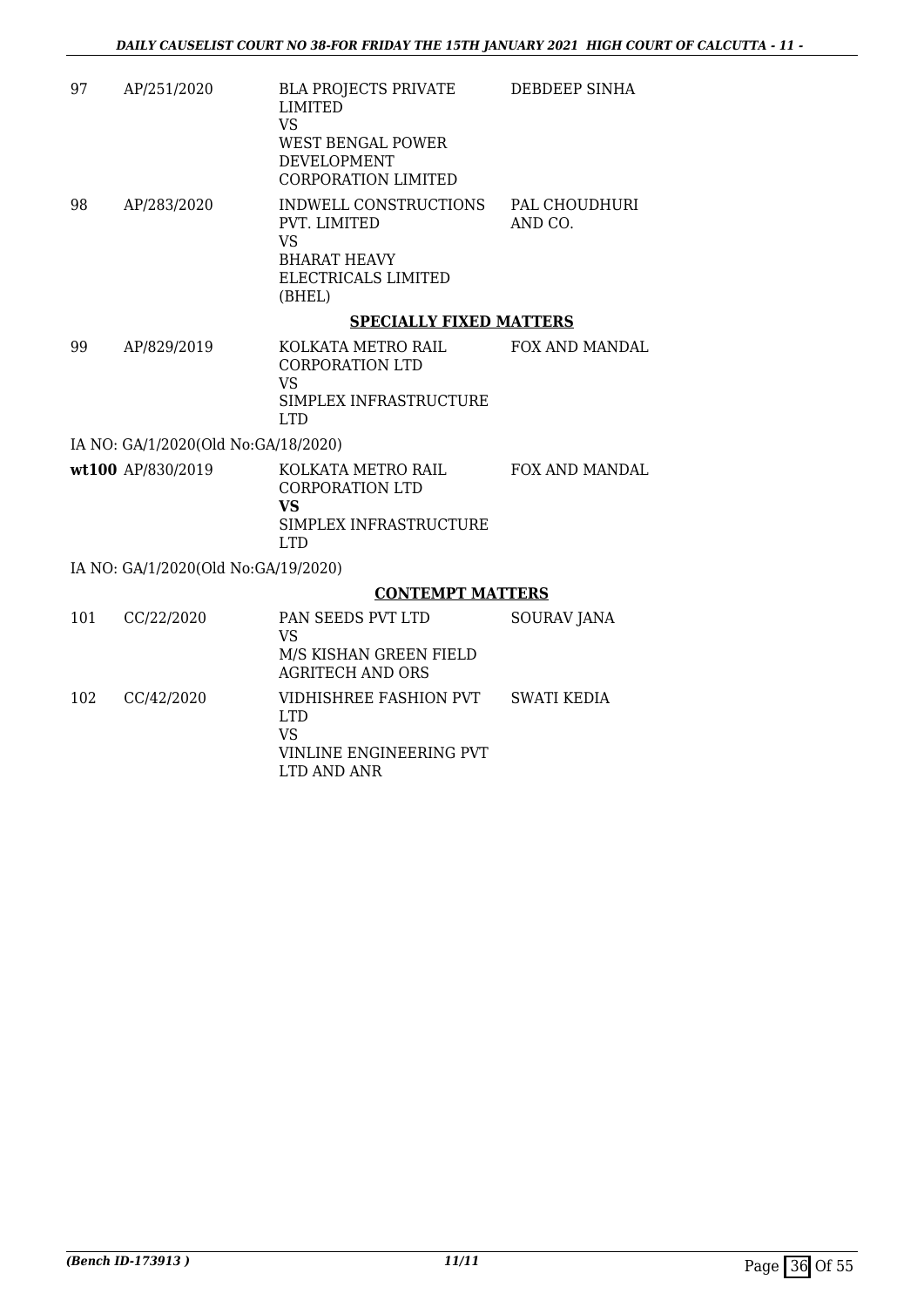| 97  | AP/251/2020                         | BLA PROJECTS PRIVATE<br><b>LIMITED</b><br><b>VS</b><br>WEST BENGAL POWER<br><b>DEVELOPMENT</b><br><b>CORPORATION LIMITED</b> | DEBDEEP SINHA            |
|-----|-------------------------------------|------------------------------------------------------------------------------------------------------------------------------|--------------------------|
| 98  | AP/283/2020                         | INDWELL CONSTRUCTIONS<br>PVT. LIMITED<br><b>VS</b><br><b>BHARAT HEAVY</b><br>ELECTRICALS LIMITED<br>(BHEL)                   | PAL CHOUDHURI<br>AND CO. |
|     |                                     | <b>SPECIALLY FIXED MATTERS</b>                                                                                               |                          |
| 99  | AP/829/2019                         | KOLKATA METRO RAIL<br><b>CORPORATION LTD</b><br><b>VS</b><br>SIMPLEX INFRASTRUCTURE<br><b>LTD</b>                            | <b>FOX AND MANDAL</b>    |
|     | IA NO: GA/1/2020(Old No:GA/18/2020) |                                                                                                                              |                          |
|     | wt100 AP/830/2019                   | KOLKATA METRO RAIL<br><b>CORPORATION LTD</b><br><b>VS</b><br>SIMPLEX INFRASTRUCTURE<br><b>LTD</b>                            | FOX AND MANDAL           |
|     | IA NO: GA/1/2020(Old No:GA/19/2020) |                                                                                                                              |                          |
|     |                                     | <b>CONTEMPT MATTERS</b>                                                                                                      |                          |
| 101 | CC/22/2020                          | PAN SEEDS PVT LTD<br><b>VS</b><br>M/S KISHAN GREEN FIELD<br><b>AGRITECH AND ORS</b>                                          | <b>SOURAV JANA</b>       |
| 102 | CC/42/2020                          | VIDHISHREE FASHION PVT<br><b>LTD</b><br><b>VS</b><br>VINLINE ENGINEERING PVT<br>LTD AND ANR                                  | <b>SWATI KEDIA</b>       |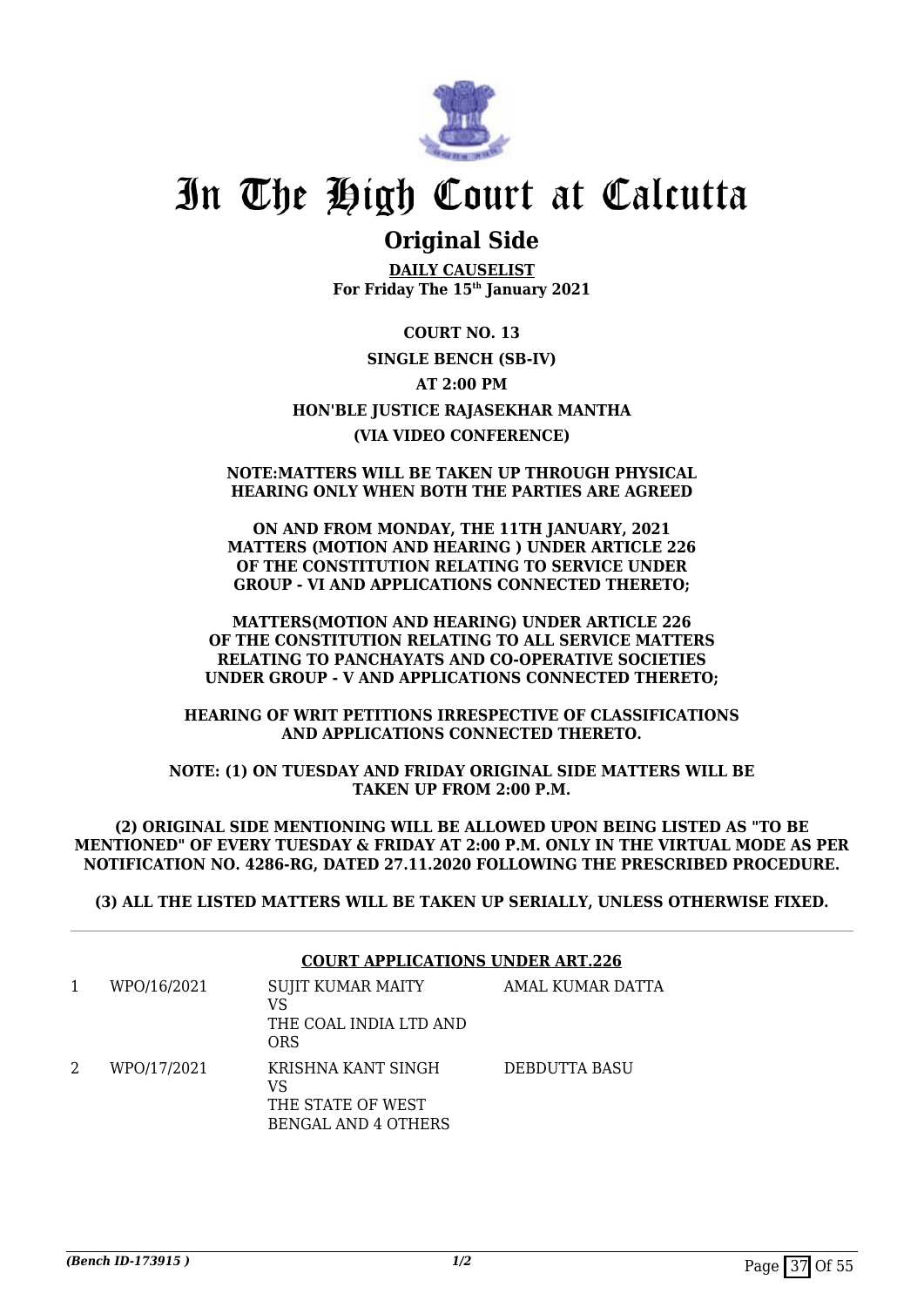

# **Original Side**

**DAILY CAUSELIST For Friday The 15th January 2021**

**COURT NO. 13 SINGLE BENCH (SB-IV) AT 2:00 PM HON'BLE JUSTICE RAJASEKHAR MANTHA (VIA VIDEO CONFERENCE)**

### **NOTE:MATTERS WILL BE TAKEN UP THROUGH PHYSICAL HEARING ONLY WHEN BOTH THE PARTIES ARE AGREED**

**ON AND FROM MONDAY, THE 11TH JANUARY, 2021 MATTERS (MOTION AND HEARING ) UNDER ARTICLE 226 OF THE CONSTITUTION RELATING TO SERVICE UNDER GROUP - VI AND APPLICATIONS CONNECTED THERETO;**

**MATTERS(MOTION AND HEARING) UNDER ARTICLE 226 OF THE CONSTITUTION RELATING TO ALL SERVICE MATTERS RELATING TO PANCHAYATS AND CO-OPERATIVE SOCIETIES UNDER GROUP - V AND APPLICATIONS CONNECTED THERETO;**

**HEARING OF WRIT PETITIONS IRRESPECTIVE OF CLASSIFICATIONS AND APPLICATIONS CONNECTED THERETO.**

**NOTE: (1) ON TUESDAY AND FRIDAY ORIGINAL SIDE MATTERS WILL BE TAKEN UP FROM 2:00 P.M.**

**(2) ORIGINAL SIDE MENTIONING WILL BE ALLOWED UPON BEING LISTED AS "TO BE MENTIONED" OF EVERY TUESDAY & FRIDAY AT 2:00 P.M. ONLY IN THE VIRTUAL MODE AS PER NOTIFICATION NO. 4286-RG, DATED 27.11.2020 FOLLOWING THE PRESCRIBED PROCEDURE.**

**(3) ALL THE LISTED MATTERS WILL BE TAKEN UP SERIALLY, UNLESS OTHERWISE FIXED.**

|   |             | <b>COURT APPLICATIONS UNDER ART.226</b>                                     |                  |
|---|-------------|-----------------------------------------------------------------------------|------------------|
| 1 | WPO/16/2021 | SUJIT KUMAR MAITY<br>VS<br>THE COAL INDIA LTD AND<br><b>ORS</b>             | AMAL KUMAR DATTA |
| 2 | WPO/17/2021 | KRISHNA KANT SINGH<br>VS<br>THE STATE OF WEST<br><b>BENGAL AND 4 OTHERS</b> | DEBDUTTA BASU    |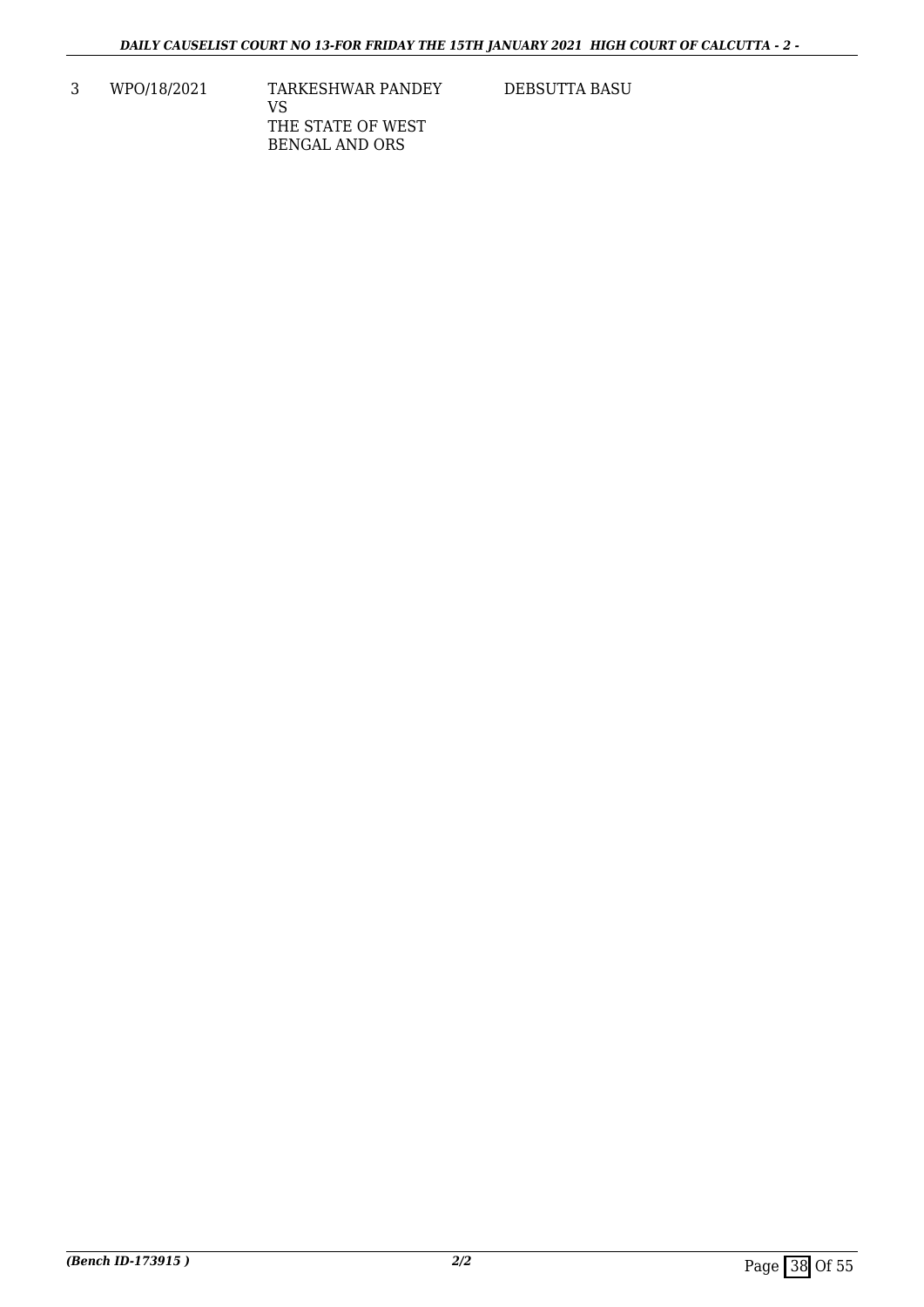3 WPO/18/2021 TARKESHWAR PANDEY VS THE STATE OF WEST BENGAL AND ORS

DEBSUTTA BASU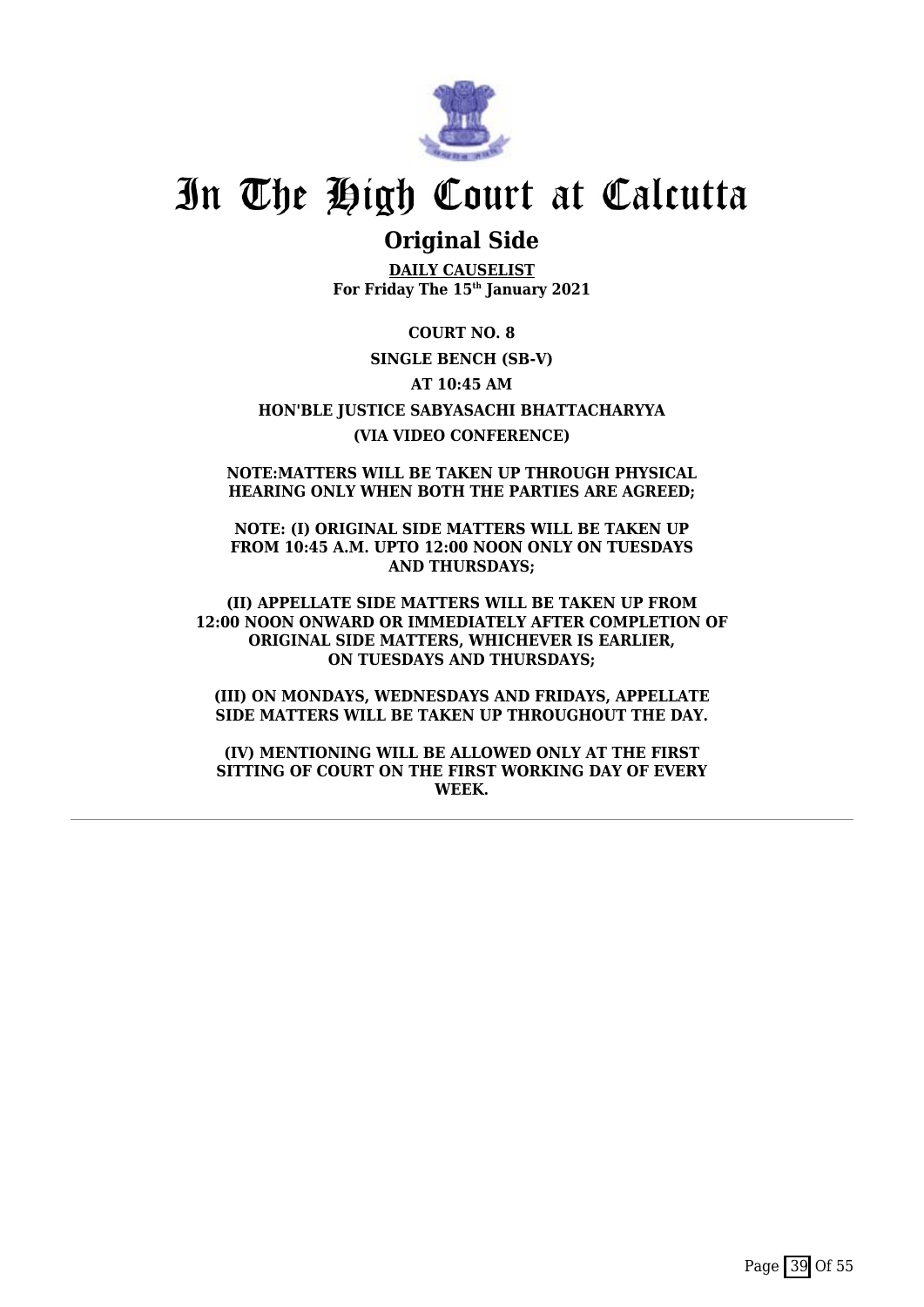

# **Original Side**

**DAILY CAUSELIST For Friday The 15th January 2021**

**COURT NO. 8 SINGLE BENCH (SB-V) AT 10:45 AM HON'BLE JUSTICE SABYASACHI BHATTACHARYYA (VIA VIDEO CONFERENCE)**

**NOTE:MATTERS WILL BE TAKEN UP THROUGH PHYSICAL HEARING ONLY WHEN BOTH THE PARTIES ARE AGREED;**

**NOTE: (I) ORIGINAL SIDE MATTERS WILL BE TAKEN UP FROM 10:45 A.M. UPTO 12:00 NOON ONLY ON TUESDAYS AND THURSDAYS;**

**(II) APPELLATE SIDE MATTERS WILL BE TAKEN UP FROM 12:00 NOON ONWARD OR IMMEDIATELY AFTER COMPLETION OF ORIGINAL SIDE MATTERS, WHICHEVER IS EARLIER, ON TUESDAYS AND THURSDAYS;**

**(III) ON MONDAYS, WEDNESDAYS AND FRIDAYS, APPELLATE SIDE MATTERS WILL BE TAKEN UP THROUGHOUT THE DAY.**

**(IV) MENTIONING WILL BE ALLOWED ONLY AT THE FIRST SITTING OF COURT ON THE FIRST WORKING DAY OF EVERY WEEK.**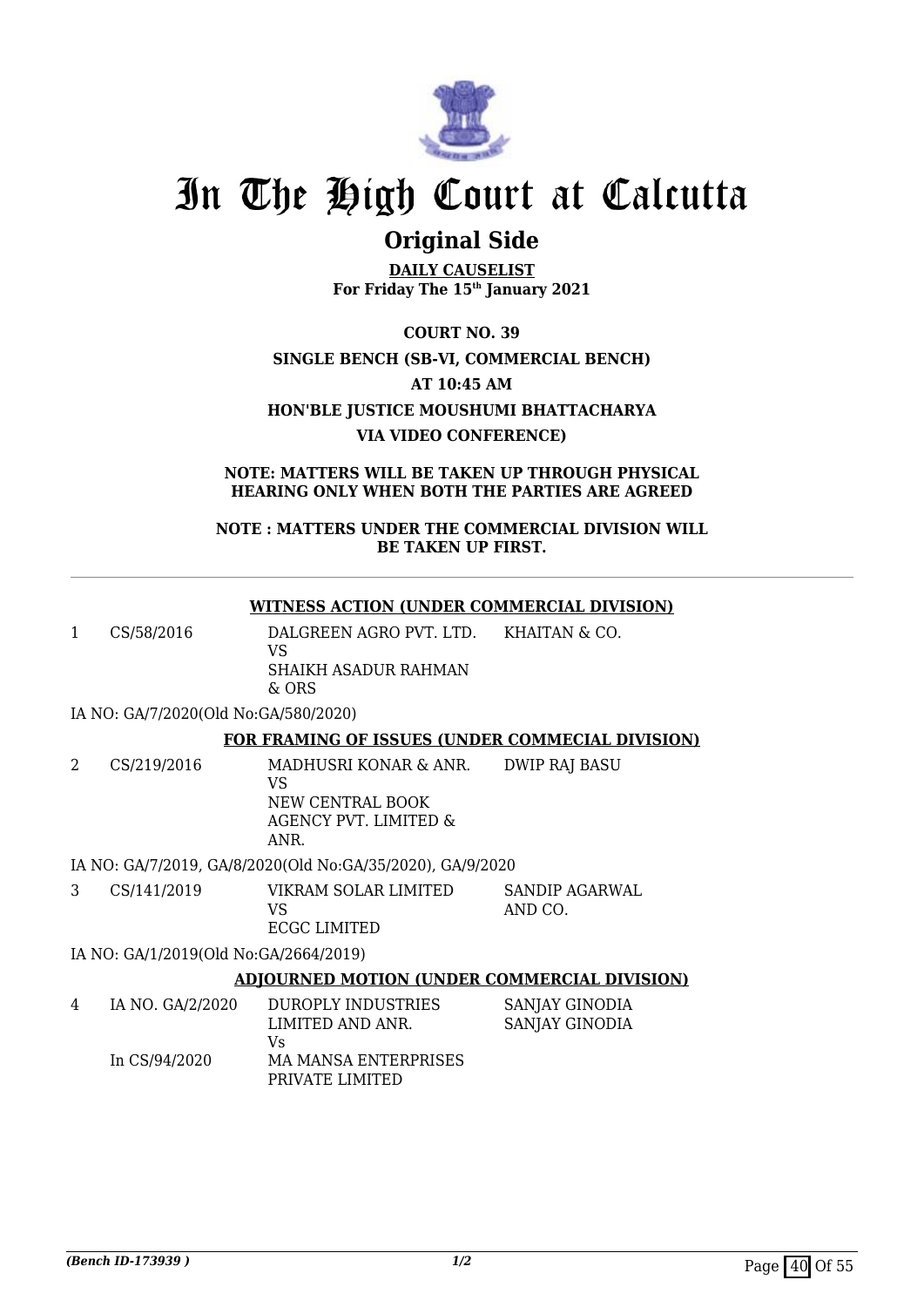

# **Original Side**

**DAILY CAUSELIST For Friday The 15th January 2021**

**COURT NO. 39 SINGLE BENCH (SB-VI, COMMERCIAL BENCH) AT 10:45 AM HON'BLE JUSTICE MOUSHUMI BHATTACHARYA VIA VIDEO CONFERENCE)**

**NOTE: MATTERS WILL BE TAKEN UP THROUGH PHYSICAL HEARING ONLY WHEN BOTH THE PARTIES ARE AGREED**

### **NOTE : MATTERS UNDER THE COMMERCIAL DIVISION WILL BE TAKEN UP FIRST.**

### **WITNESS ACTION (UNDER COMMERCIAL DIVISION)**

1 CS/58/2016 DALGREEN AGRO PVT. LTD. VS SHAIKH ASADUR RAHMAN KHAITAN & CO.

& ORS

IA NO: GA/7/2020(Old No:GA/580/2020)

### **FOR FRAMING OF ISSUES (UNDER COMMECIAL DIVISION)**

2 CS/219/2016 MADHUSRI KONAR & ANR. VS NEW CENTRAL BOOK AGENCY PVT. LIMITED & ANR. DWIP RAJ BASU

IA NO: GA/7/2019, GA/8/2020(Old No:GA/35/2020), GA/9/2020

| CS/141/2019 | VIKRAM SOLAR LIMITED | SANDIP AGARWAL |
|-------------|----------------------|----------------|
|             | VS.                  | AND CO.        |
|             | ECGC LIMITED         |                |
|             |                      |                |

IA NO: GA/1/2019(Old No:GA/2664/2019)

## **ADJOURNED MOTION (UNDER COMMERCIAL DIVISION)**

| 4 | IA NO. GA/2/2020 | DUROPLY INDUSTRIES<br>LIMITED AND ANR. | SANJAY GINODIA<br>SANJAY GINODIA |
|---|------------------|----------------------------------------|----------------------------------|
|   |                  | Vs                                     |                                  |
|   | In CS/94/2020    | MA MANSA ENTERPRISES                   |                                  |
|   |                  | PRIVATE LIMITED                        |                                  |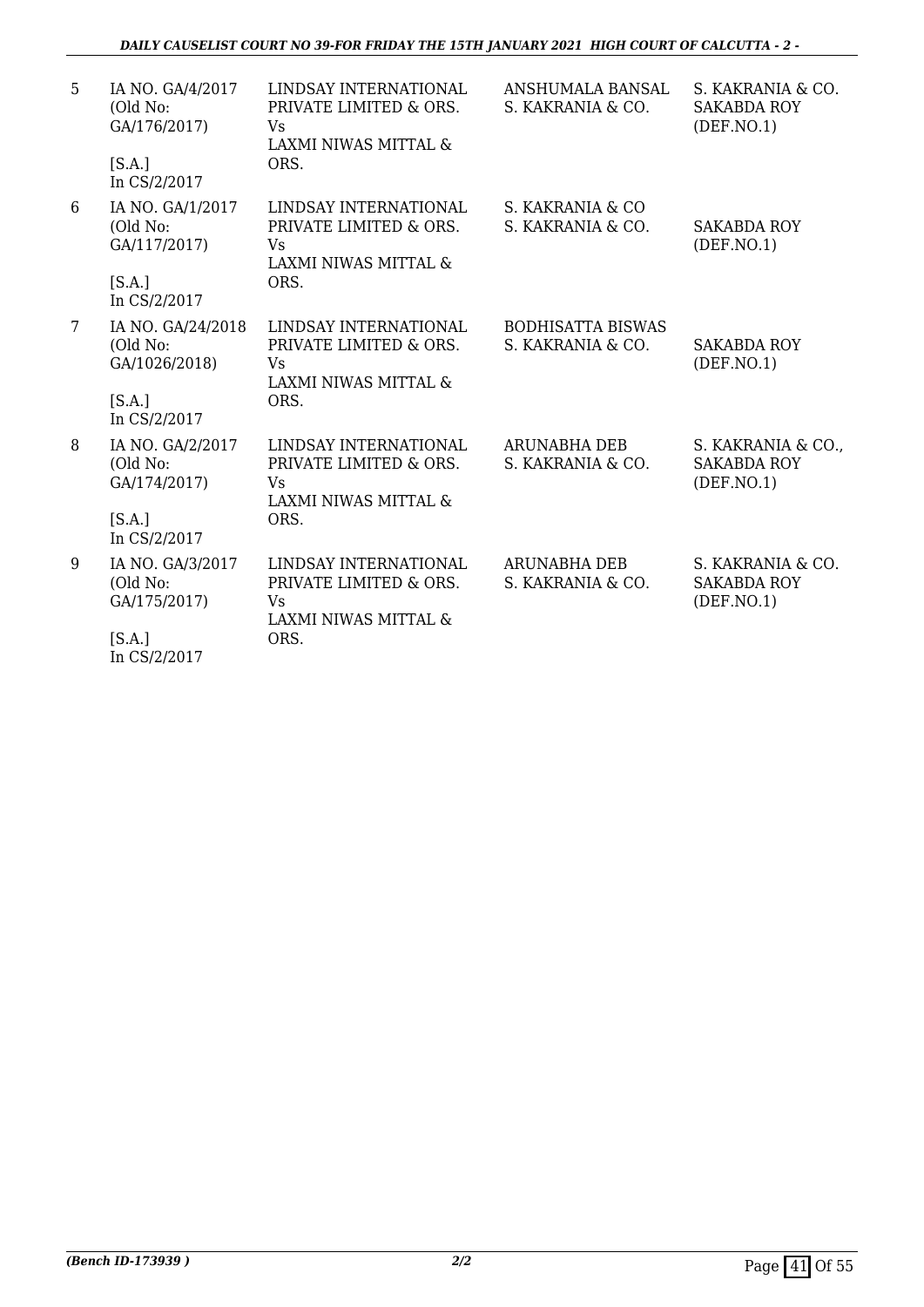| 5               | IA NO. GA/4/2017<br>(Old No:<br>GA/176/2017)<br>[S.A.]<br>In CS/2/2017   | LINDSAY INTERNATIONAL<br>PRIVATE LIMITED & ORS.<br>Vs<br>LAXMI NIWAS MITTAL &<br>ORS.        | ANSHUMALA BANSAL<br>S. KAKRANIA & CO.         | S. KAKRANIA & CO.<br><b>SAKABDA ROY</b><br>(DEF. NO.1)  |
|-----------------|--------------------------------------------------------------------------|----------------------------------------------------------------------------------------------|-----------------------------------------------|---------------------------------------------------------|
| 6               | IA NO. GA/1/2017<br>(Old No:<br>GA/117/2017)<br>[S.A.]<br>In CS/2/2017   | LINDSAY INTERNATIONAL<br>PRIVATE LIMITED & ORS.<br><b>Vs</b><br>LAXMI NIWAS MITTAL &<br>ORS. | S. KAKRANIA & CO<br>S. KAKRANIA & CO.         | <b>SAKABDA ROY</b><br>(DEF. NO.1)                       |
| $7\overline{ }$ | IA NO. GA/24/2018<br>(Old No:<br>GA/1026/2018)<br>[S.A.]<br>In CS/2/2017 | LINDSAY INTERNATIONAL<br>PRIVATE LIMITED & ORS.<br>Vs<br>LAXMI NIWAS MITTAL &<br>ORS.        | <b>BODHISATTA BISWAS</b><br>S. KAKRANIA & CO. | <b>SAKABDA ROY</b><br>(DEF. NO.1)                       |
| 8               | IA NO. GA/2/2017<br>(Old No:<br>GA/174/2017)<br>[S.A.]<br>In CS/2/2017   | LINDSAY INTERNATIONAL<br>PRIVATE LIMITED & ORS.<br>Vs<br>LAXMI NIWAS MITTAL &<br>ORS.        | <b>ARUNABHA DEB</b><br>S. KAKRANIA & CO.      | S. KAKRANIA & CO.,<br><b>SAKABDA ROY</b><br>(DEF. NO.1) |
| 9               | IA NO. GA/3/2017<br>(Old No:<br>GA/175/2017)<br>[S.A.]<br>In CS/2/2017   | LINDSAY INTERNATIONAL<br>PRIVATE LIMITED & ORS.<br>Vs<br>LAXMI NIWAS MITTAL &<br>ORS.        | <b>ARUNABHA DEB</b><br>S. KAKRANIA & CO.      | S. KAKRANIA & CO.<br><b>SAKABDA ROY</b><br>(DEF. NO. 1) |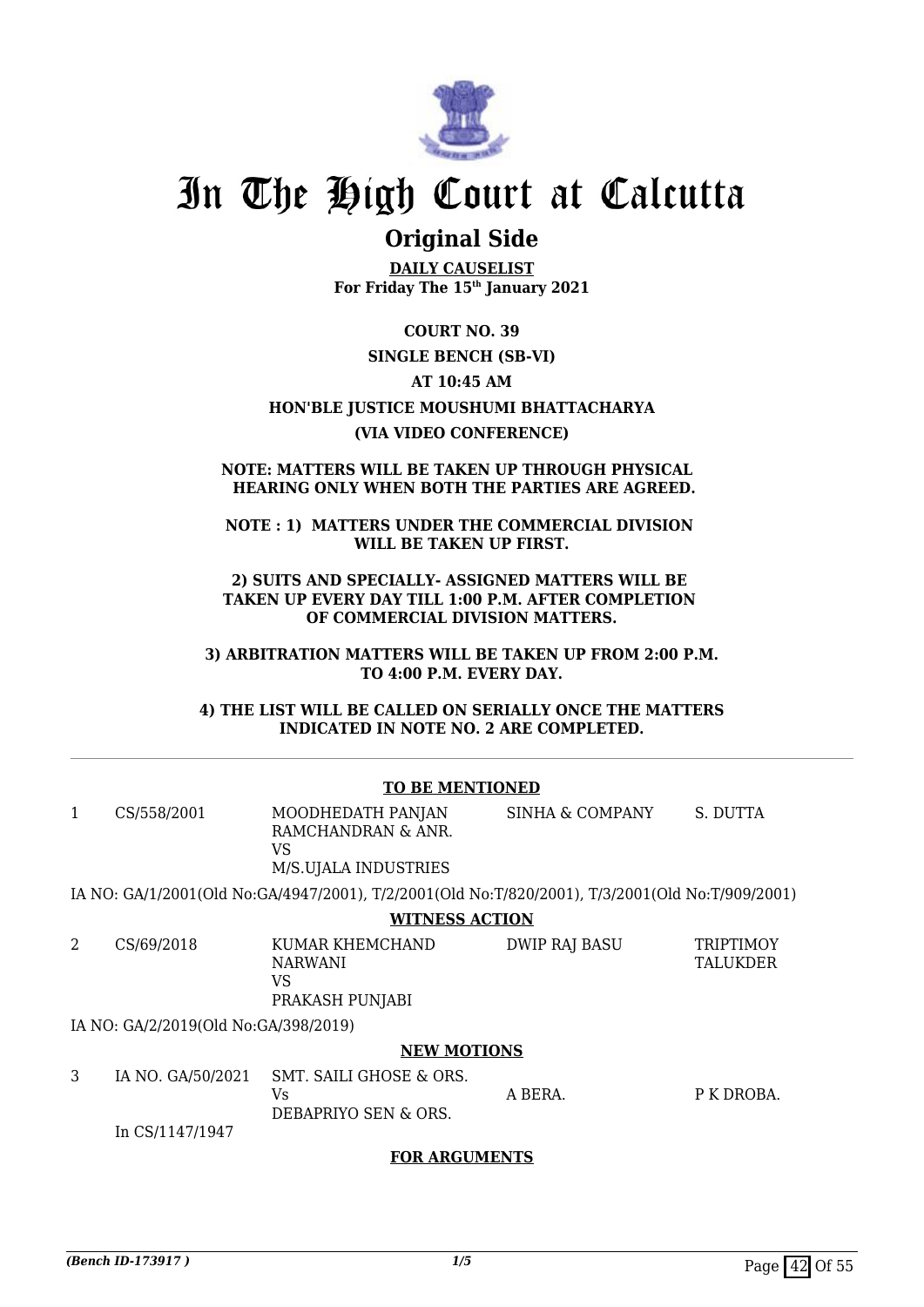

# **Original Side**

**DAILY CAUSELIST For Friday The 15th January 2021**

**COURT NO. 39**

### **SINGLE BENCH (SB-VI)**

### **AT 10:45 AM**

**HON'BLE JUSTICE MOUSHUMI BHATTACHARYA**

### **(VIA VIDEO CONFERENCE)**

#### **NOTE: MATTERS WILL BE TAKEN UP THROUGH PHYSICAL HEARING ONLY WHEN BOTH THE PARTIES ARE AGREED.**

### **NOTE : 1) MATTERS UNDER THE COMMERCIAL DIVISION WILL BE TAKEN UP FIRST.**

**2) SUITS AND SPECIALLY- ASSIGNED MATTERS WILL BE TAKEN UP EVERY DAY TILL 1:00 P.M. AFTER COMPLETION OF COMMERCIAL DIVISION MATTERS.**

**3) ARBITRATION MATTERS WILL BE TAKEN UP FROM 2:00 P.M. TO 4:00 P.M. EVERY DAY.**

**4) THE LIST WILL BE CALLED ON SERIALLY ONCE THE MATTERS INDICATED IN NOTE NO. 2 ARE COMPLETED.**

#### **TO BE MENTIONED** 1 CS/558/2001 MOODHEDATH PANJAN RAMCHANDRAN & ANR. VS M/S.UJALA INDUSTRIES SINHA & COMPANY S. DUTTA IA NO: GA/1/2001(Old No:GA/4947/2001), T/2/2001(Old No:T/820/2001), T/3/2001(Old No:T/909/2001) **WITNESS ACTION** 2 CS/69/2018 KUMAR KHEMCHAND NARWANI VS PRAKASH PUNJABI DWIP RAJ BASU TRIPTIMOY **TALUKDER** IA NO: GA/2/2019(Old No:GA/398/2019) **NEW MOTIONS** 3 IA NO. GA/50/2021 In CS/1147/1947 SMT. SAILI GHOSE & ORS.  $V<sub>c</sub>$ DEBAPRIYO SEN & ORS. A BERA. P K DROBA.

## **FOR ARGUMENTS**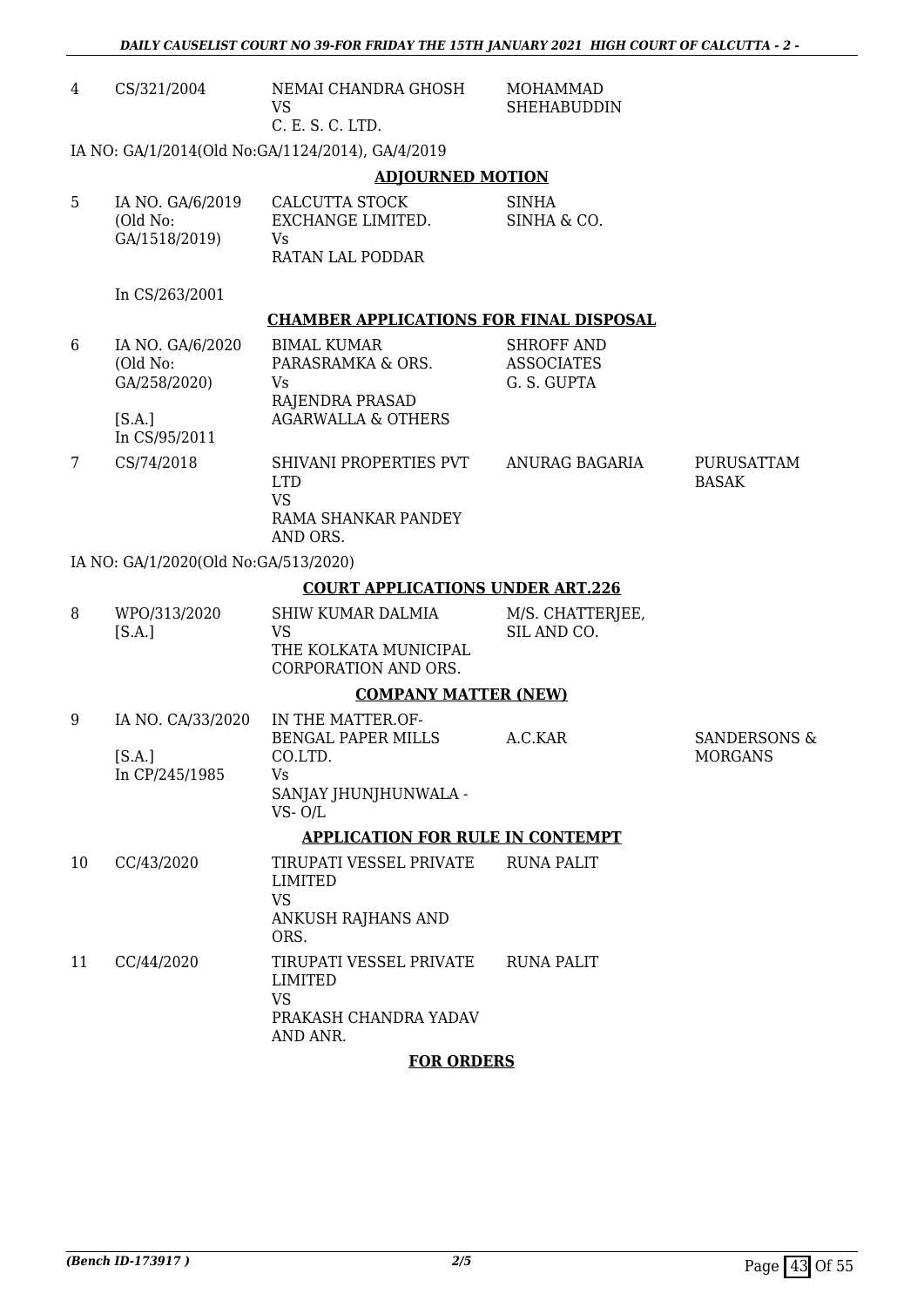|    | DAILY CAUSELIST COURT NO 39-FOR FRIDAY THE 15TH JANUARY 2021 HIGH COURT OF CALCUTTA - 2 - |                                                                                                         |                                                       |                                           |  |
|----|-------------------------------------------------------------------------------------------|---------------------------------------------------------------------------------------------------------|-------------------------------------------------------|-------------------------------------------|--|
| 4  | CS/321/2004                                                                               | NEMAI CHANDRA GHOSH<br><b>VS</b><br>C. E. S. C. LTD.                                                    | <b>MOHAMMAD</b><br><b>SHEHABUDDIN</b>                 |                                           |  |
|    |                                                                                           | IA NO: GA/1/2014(Old No:GA/1124/2014), GA/4/2019                                                        |                                                       |                                           |  |
|    |                                                                                           | <b>ADJOURNED MOTION</b>                                                                                 |                                                       |                                           |  |
| 5  | IA NO. GA/6/2019<br>(Old No:<br>GA/1518/2019)                                             | CALCUTTA STOCK<br>EXCHANGE LIMITED.<br>Vs<br>RATAN LAL PODDAR                                           | <b>SINHA</b><br>SINHA & CO.                           |                                           |  |
|    | In CS/263/2001                                                                            |                                                                                                         |                                                       |                                           |  |
|    |                                                                                           | <b>CHAMBER APPLICATIONS FOR FINAL DISPOSAL</b>                                                          |                                                       |                                           |  |
| 6  | IA NO. GA/6/2020<br>(Old No:<br>GA/258/2020)<br>[S.A.]<br>In CS/95/2011                   | <b>BIMAL KUMAR</b><br>PARASRAMKA & ORS.<br>Vs<br>RAJENDRA PRASAD<br><b>AGARWALLA &amp; OTHERS</b>       | <b>SHROFF AND</b><br><b>ASSOCIATES</b><br>G. S. GUPTA |                                           |  |
| 7  | CS/74/2018                                                                                | SHIVANI PROPERTIES PVT<br><b>LTD</b><br><b>VS</b><br>RAMA SHANKAR PANDEY<br>AND ORS.                    | ANURAG BAGARIA                                        | PURUSATTAM<br><b>BASAK</b>                |  |
|    | IA NO: GA/1/2020(Old No:GA/513/2020)                                                      |                                                                                                         |                                                       |                                           |  |
|    |                                                                                           | <b>COURT APPLICATIONS UNDER ART.226</b>                                                                 |                                                       |                                           |  |
| 8  | WPO/313/2020<br>[S.A.]                                                                    | <b>SHIW KUMAR DALMIA</b><br><b>VS</b><br>THE KOLKATA MUNICIPAL<br>CORPORATION AND ORS.                  | M/S. CHATTERJEE,<br>SIL AND CO.                       |                                           |  |
|    |                                                                                           | <b>COMPANY MATTER (NEW)</b>                                                                             |                                                       |                                           |  |
| 9  | IA NO. CA/33/2020<br>[S.A.]<br>In CP/245/1985                                             | IN THE MATTER.OF-<br><b>BENGAL PAPER MILLS</b><br>CO.LTD.<br>Vs.<br>SANJAY JHUNJHUNWALA -<br>$VS - O/L$ | A.C.KAR                                               | <b>SANDERSONS &amp;</b><br><b>MORGANS</b> |  |
|    |                                                                                           |                                                                                                         |                                                       |                                           |  |
| 10 | CC/43/2020                                                                                | <b>APPLICATION FOR RULE IN CONTEMPT</b><br>TIRUPATI VESSEL PRIVATE                                      | <b>RUNA PALIT</b>                                     |                                           |  |
|    |                                                                                           | <b>LIMITED</b><br><b>VS</b><br>ANKUSH RAJHANS AND<br>ORS.                                               |                                                       |                                           |  |
| 11 | CC/44/2020                                                                                | TIRUPATI VESSEL PRIVATE<br><b>LIMITED</b><br><b>VS</b><br>PRAKASH CHANDRA YADAV<br>AND ANR.             | <b>RUNA PALIT</b>                                     |                                           |  |
|    | <b>FOR ORDERS</b>                                                                         |                                                                                                         |                                                       |                                           |  |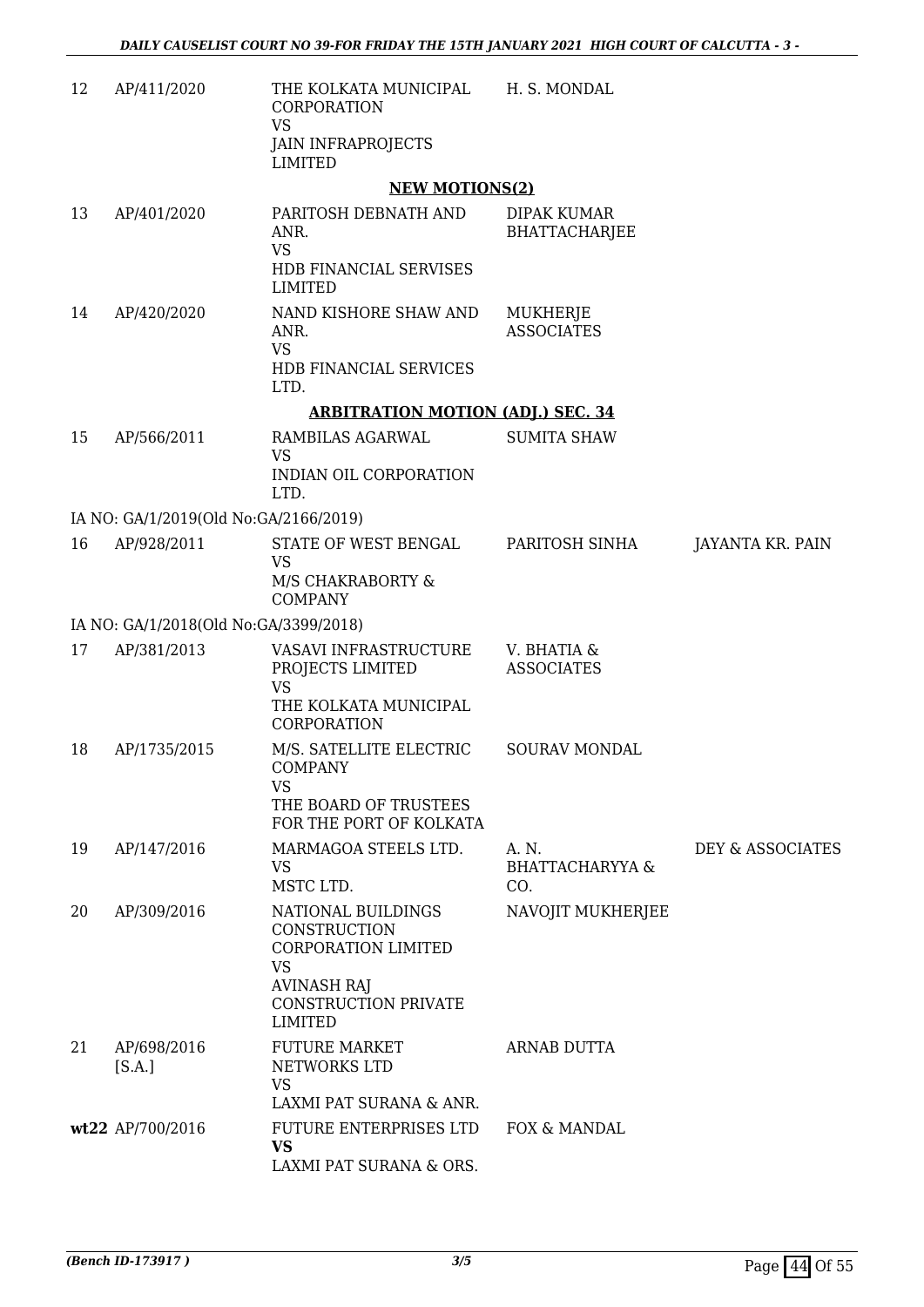| 12 | AP/411/2020                           | THE KOLKATA MUNICIPAL<br>CORPORATION<br><b>VS</b><br><b>JAIN INFRAPROJECTS</b> | H. S. MONDAL                               |                  |
|----|---------------------------------------|--------------------------------------------------------------------------------|--------------------------------------------|------------------|
|    |                                       | <b>LIMITED</b>                                                                 |                                            |                  |
|    |                                       | <b>NEW MOTIONS(2)</b>                                                          |                                            |                  |
| 13 | AP/401/2020                           | PARITOSH DEBNATH AND<br>ANR.<br><b>VS</b><br>HDB FINANCIAL SERVISES            | DIPAK KUMAR<br><b>BHATTACHARJEE</b>        |                  |
|    |                                       | <b>LIMITED</b>                                                                 |                                            |                  |
| 14 | AP/420/2020                           | NAND KISHORE SHAW AND<br>ANR.<br><b>VS</b>                                     | MUKHERJE<br><b>ASSOCIATES</b>              |                  |
|    |                                       | HDB FINANCIAL SERVICES<br>LTD.                                                 |                                            |                  |
|    |                                       | <b>ARBITRATION MOTION (ADJ.) SEC. 34</b>                                       |                                            |                  |
| 15 | AP/566/2011                           | RAMBILAS AGARWAL<br><b>VS</b><br>INDIAN OIL CORPORATION                        | <b>SUMITA SHAW</b>                         |                  |
|    | IA NO: GA/1/2019(Old No:GA/2166/2019) | LTD.                                                                           |                                            |                  |
| 16 | AP/928/2011                           | STATE OF WEST BENGAL                                                           | PARITOSH SINHA                             | JAYANTA KR. PAIN |
|    |                                       | <b>VS</b><br>M/S CHAKRABORTY &<br><b>COMPANY</b>                               |                                            |                  |
|    | IA NO: GA/1/2018(Old No:GA/3399/2018) |                                                                                |                                            |                  |
| 17 | AP/381/2013                           | VASAVI INFRASTRUCTURE<br>PROJECTS LIMITED<br><b>VS</b>                         | V. BHATIA &<br><b>ASSOCIATES</b>           |                  |
|    |                                       | THE KOLKATA MUNICIPAL<br>CORPORATION                                           |                                            |                  |
| 18 | AP/1735/2015                          | M/S. SATELLITE ELECTRIC<br><b>COMPANY</b><br>VS                                | <b>SOURAV MONDAL</b>                       |                  |
|    |                                       | THE BOARD OF TRUSTEES<br>FOR THE PORT OF KOLKATA                               |                                            |                  |
| 19 | AP/147/2016                           | MARMAGOA STEELS LTD.<br><b>VS</b><br>MSTC LTD.                                 | A. N.<br><b>BHATTACHARYYA &amp;</b><br>CO. | DEY & ASSOCIATES |
| 20 | AP/309/2016                           | NATIONAL BUILDINGS<br>CONSTRUCTION<br>CORPORATION LIMITED<br><b>VS</b>         | NAVOJIT MUKHERJEE                          |                  |
|    |                                       | <b>AVINASH RAJ</b><br>CONSTRUCTION PRIVATE<br><b>LIMITED</b>                   |                                            |                  |
| 21 | AP/698/2016<br>[S.A.]                 | <b>FUTURE MARKET</b><br>NETWORKS LTD<br><b>VS</b>                              | ARNAB DUTTA                                |                  |
|    |                                       | LAXMI PAT SURANA & ANR.                                                        |                                            |                  |
|    | wt22 AP/700/2016                      | FUTURE ENTERPRISES LTD<br><b>VS</b><br>LAXMI PAT SURANA & ORS.                 | FOX & MANDAL                               |                  |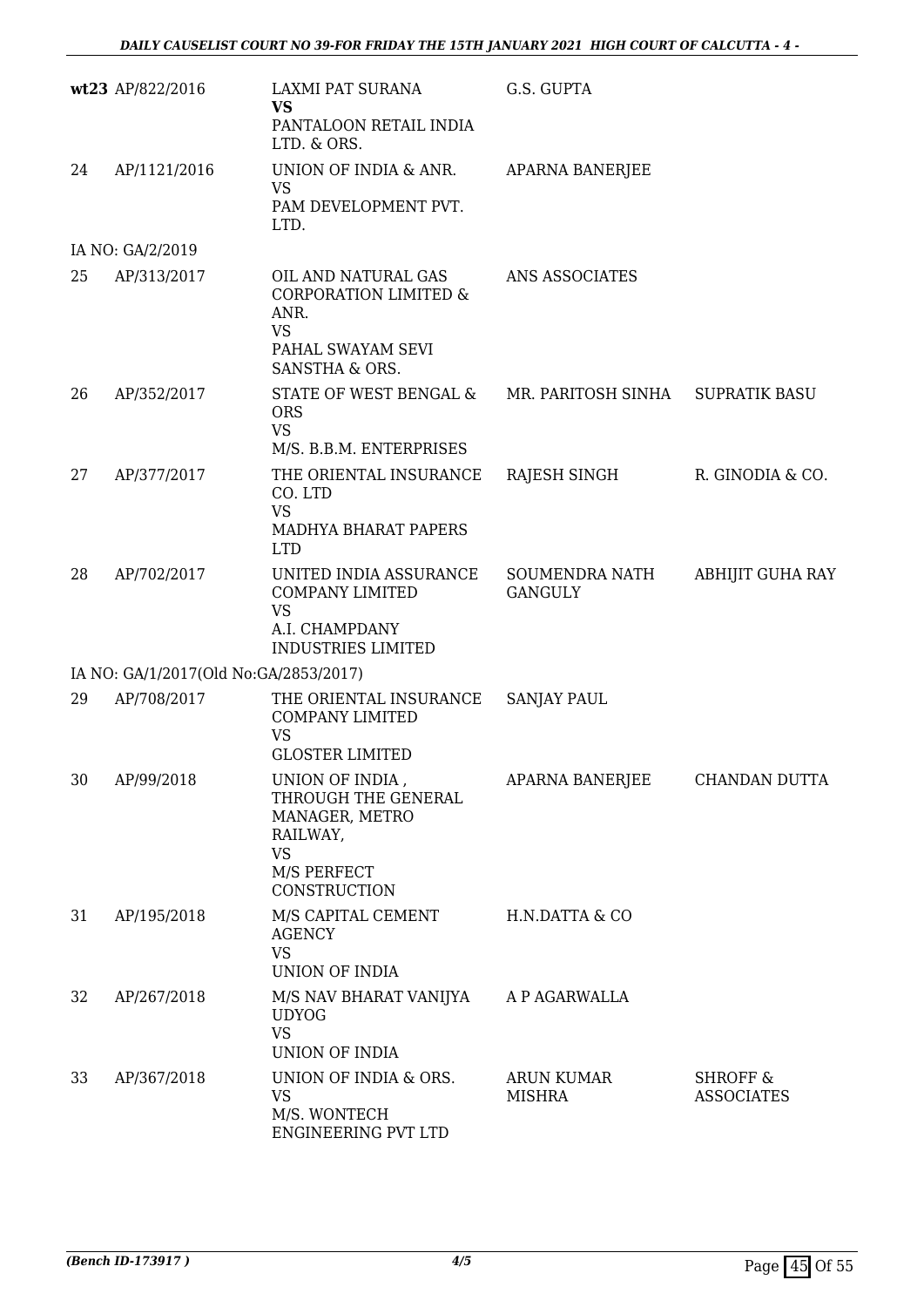|    | wt23 AP/822/2016                      | LAXMI PAT SURANA<br><b>VS</b><br>PANTALOON RETAIL INDIA<br>LTD. & ORS.                                                  | G.S. GUPTA                         |                                          |
|----|---------------------------------------|-------------------------------------------------------------------------------------------------------------------------|------------------------------------|------------------------------------------|
| 24 | AP/1121/2016                          | UNION OF INDIA & ANR.<br>VS<br>PAM DEVELOPMENT PVT.<br>LTD.                                                             | <b>APARNA BANERJEE</b>             |                                          |
|    | IA NO: GA/2/2019                      |                                                                                                                         |                                    |                                          |
| 25 | AP/313/2017                           | OIL AND NATURAL GAS<br><b>CORPORATION LIMITED &amp;</b><br>ANR.<br><b>VS</b><br>PAHAL SWAYAM SEVI<br>SANSTHA & ORS.     | ANS ASSOCIATES                     |                                          |
| 26 | AP/352/2017                           | STATE OF WEST BENGAL &<br><b>ORS</b><br><b>VS</b><br>M/S. B.B.M. ENTERPRISES                                            | MR. PARITOSH SINHA                 | <b>SUPRATIK BASU</b>                     |
| 27 | AP/377/2017                           | THE ORIENTAL INSURANCE<br>CO. LTD<br><b>VS</b><br>MADHYA BHARAT PAPERS<br><b>LTD</b>                                    | RAJESH SINGH                       | R. GINODIA & CO.                         |
| 28 | AP/702/2017                           | UNITED INDIA ASSURANCE<br><b>COMPANY LIMITED</b><br><b>VS</b><br>A.I. CHAMPDANY<br><b>INDUSTRIES LIMITED</b>            | SOUMENDRA NATH<br><b>GANGULY</b>   | <b>ABHIJIT GUHA RAY</b>                  |
|    | IA NO: GA/1/2017(Old No:GA/2853/2017) |                                                                                                                         |                                    |                                          |
| 29 | AP/708/2017                           | THE ORIENTAL INSURANCE<br>COMPANY LIMITED<br><b>VS</b><br><b>GLOSTER LIMITED</b>                                        | <b>SANJAY PAUL</b>                 |                                          |
| 30 | AP/99/2018                            | UNION OF INDIA,<br>THROUGH THE GENERAL<br>MANAGER, METRO<br>RAILWAY,<br><b>VS</b><br>M/S PERFECT<br><b>CONSTRUCTION</b> | APARNA BANERJEE                    | CHANDAN DUTTA                            |
| 31 | AP/195/2018                           | M/S CAPITAL CEMENT<br><b>AGENCY</b><br><b>VS</b><br>UNION OF INDIA                                                      | H.N.DATTA & CO                     |                                          |
| 32 | AP/267/2018                           | M/S NAV BHARAT VANIJYA<br><b>UDYOG</b><br><b>VS</b><br>UNION OF INDIA                                                   | A P AGARWALLA                      |                                          |
| 33 | AP/367/2018                           | UNION OF INDIA & ORS.<br><b>VS</b><br>M/S. WONTECH<br>ENGINEERING PVT LTD                                               | <b>ARUN KUMAR</b><br><b>MISHRA</b> | <b>SHROFF &amp;</b><br><b>ASSOCIATES</b> |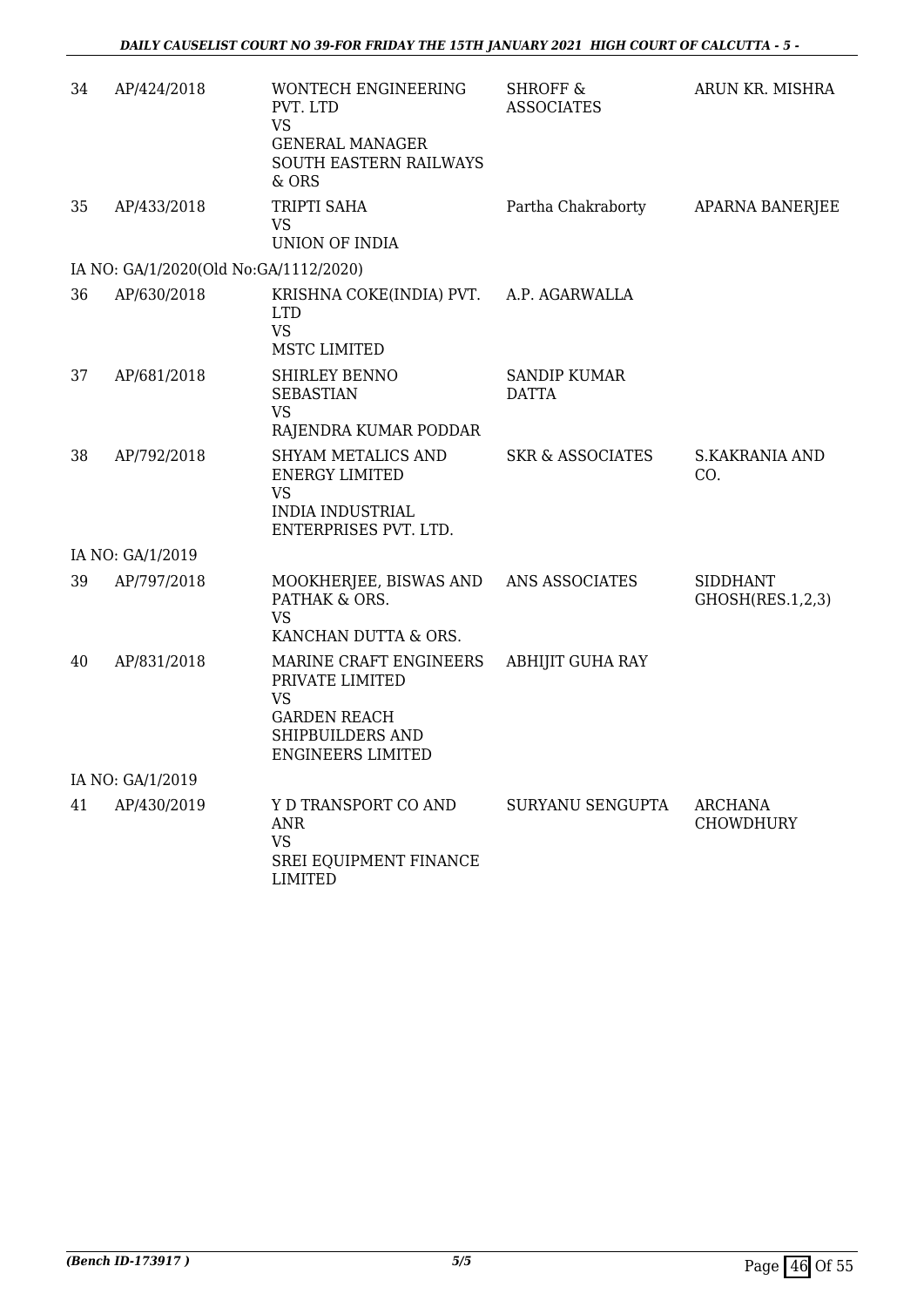| 34 | AP/424/2018                           | <b>WONTECH ENGINEERING</b><br>PVT. LTD<br><b>VS</b><br><b>GENERAL MANAGER</b><br>SOUTH EASTERN RAILWAYS<br>& ORS       | <b>SHROFF &amp;</b><br><b>ASSOCIATES</b> | ARUN KR. MISHRA                     |
|----|---------------------------------------|------------------------------------------------------------------------------------------------------------------------|------------------------------------------|-------------------------------------|
| 35 | AP/433/2018                           | TRIPTI SAHA<br>VS                                                                                                      | Partha Chakraborty                       | APARNA BANERJEE                     |
|    |                                       | UNION OF INDIA                                                                                                         |                                          |                                     |
|    | IA NO: GA/1/2020(Old No:GA/1112/2020) |                                                                                                                        |                                          |                                     |
| 36 | AP/630/2018                           | KRISHNA COKE(INDIA) PVT. A.P. AGARWALLA<br><b>LTD</b><br><b>VS</b><br>MSTC LIMITED                                     |                                          |                                     |
| 37 | AP/681/2018                           | <b>SHIRLEY BENNO</b><br><b>SEBASTIAN</b><br><b>VS</b><br>RAJENDRA KUMAR PODDAR                                         | <b>SANDIP KUMAR</b><br><b>DATTA</b>      |                                     |
| 38 | AP/792/2018                           | SHYAM METALICS AND<br><b>ENERGY LIMITED</b><br><b>VS</b><br><b>INDIA INDUSTRIAL</b><br>ENTERPRISES PVT. LTD.           | <b>SKR &amp; ASSOCIATES</b>              | <b>S.KAKRANIA AND</b><br>CO.        |
|    | IA NO: GA/1/2019                      |                                                                                                                        |                                          |                                     |
| 39 | AP/797/2018                           | MOOKHERJEE, BISWAS AND ANS ASSOCIATES<br>PATHAK & ORS.<br><b>VS</b><br>KANCHAN DUTTA & ORS.                            |                                          | <b>SIDDHANT</b><br>GHOSH(RES.1,2,3) |
| 40 | AP/831/2018                           | MARINE CRAFT ENGINEERS<br>PRIVATE LIMITED<br>VS<br><b>GARDEN REACH</b><br>SHIPBUILDERS AND<br><b>ENGINEERS LIMITED</b> | <b>ABHIJIT GUHA RAY</b>                  |                                     |
|    | IA NO: GA/1/2019                      |                                                                                                                        |                                          |                                     |
| 41 | AP/430/2019                           | Y D TRANSPORT CO AND<br><b>ANR</b><br><b>VS</b><br>SREI EQUIPMENT FINANCE<br><b>LIMITED</b>                            | SURYANU SENGUPTA                         | <b>ARCHANA</b><br><b>CHOWDHURY</b>  |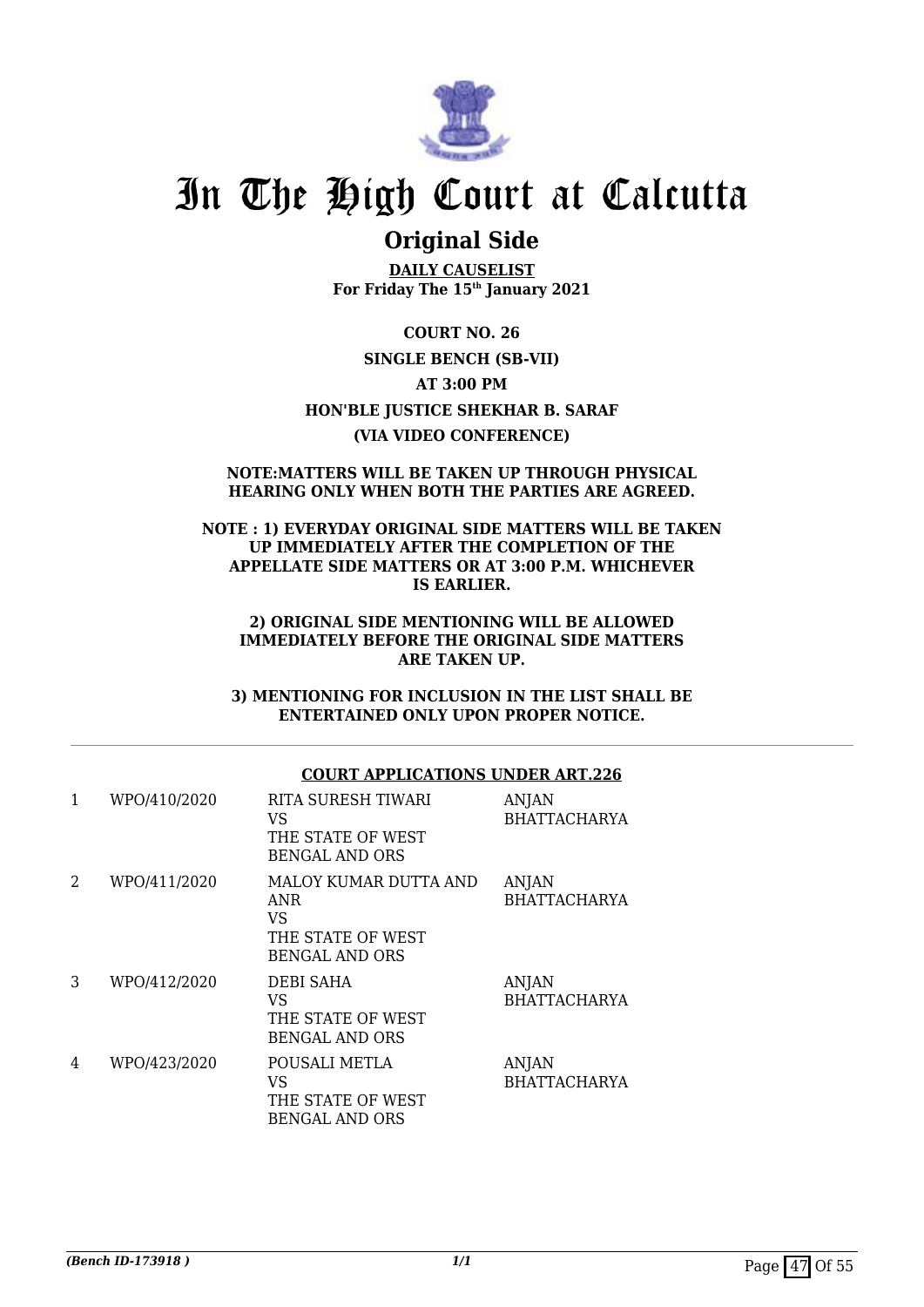

# **Original Side**

**DAILY CAUSELIST For Friday The 15th January 2021**

**COURT NO. 26 SINGLE BENCH (SB-VII) AT 3:00 PM HON'BLE JUSTICE SHEKHAR B. SARAF (VIA VIDEO CONFERENCE)**

#### **NOTE:MATTERS WILL BE TAKEN UP THROUGH PHYSICAL HEARING ONLY WHEN BOTH THE PARTIES ARE AGREED.**

### **NOTE : 1) EVERYDAY ORIGINAL SIDE MATTERS WILL BE TAKEN UP IMMEDIATELY AFTER THE COMPLETION OF THE APPELLATE SIDE MATTERS OR AT 3:00 P.M. WHICHEVER IS EARLIER.**

#### **2) ORIGINAL SIDE MENTIONING WILL BE ALLOWED IMMEDIATELY BEFORE THE ORIGINAL SIDE MATTERS ARE TAKEN UP.**

**3) MENTIONING FOR INCLUSION IN THE LIST SHALL BE ENTERTAINED ONLY UPON PROPER NOTICE.**

### **COURT APPLICATIONS UNDER ART.226**

| 1 | WPO/410/2020 | RITA SURESH TIWARI<br>VS<br>THE STATE OF WEST<br><b>BENGAL AND ORS</b>                  | <b>ANJAN</b><br><b>BHATTACHARYA</b> |
|---|--------------|-----------------------------------------------------------------------------------------|-------------------------------------|
| 2 | WPO/411/2020 | MALOY KUMAR DUTTA AND<br><b>ANR</b><br>VS<br>THE STATE OF WEST<br><b>BENGAL AND ORS</b> | <b>ANJAN</b><br><b>BHATTACHARYA</b> |
| 3 | WPO/412/2020 | <b>DEBI SAHA</b><br>VS<br>THE STATE OF WEST<br><b>BENGAL AND ORS</b>                    | <b>ANJAN</b><br><b>BHATTACHARYA</b> |
| 4 | WPO/423/2020 | POUSALI METLA<br>VS<br>THE STATE OF WEST<br><b>BENGAL AND ORS</b>                       | <b>ANJAN</b><br><b>BHATTACHARYA</b> |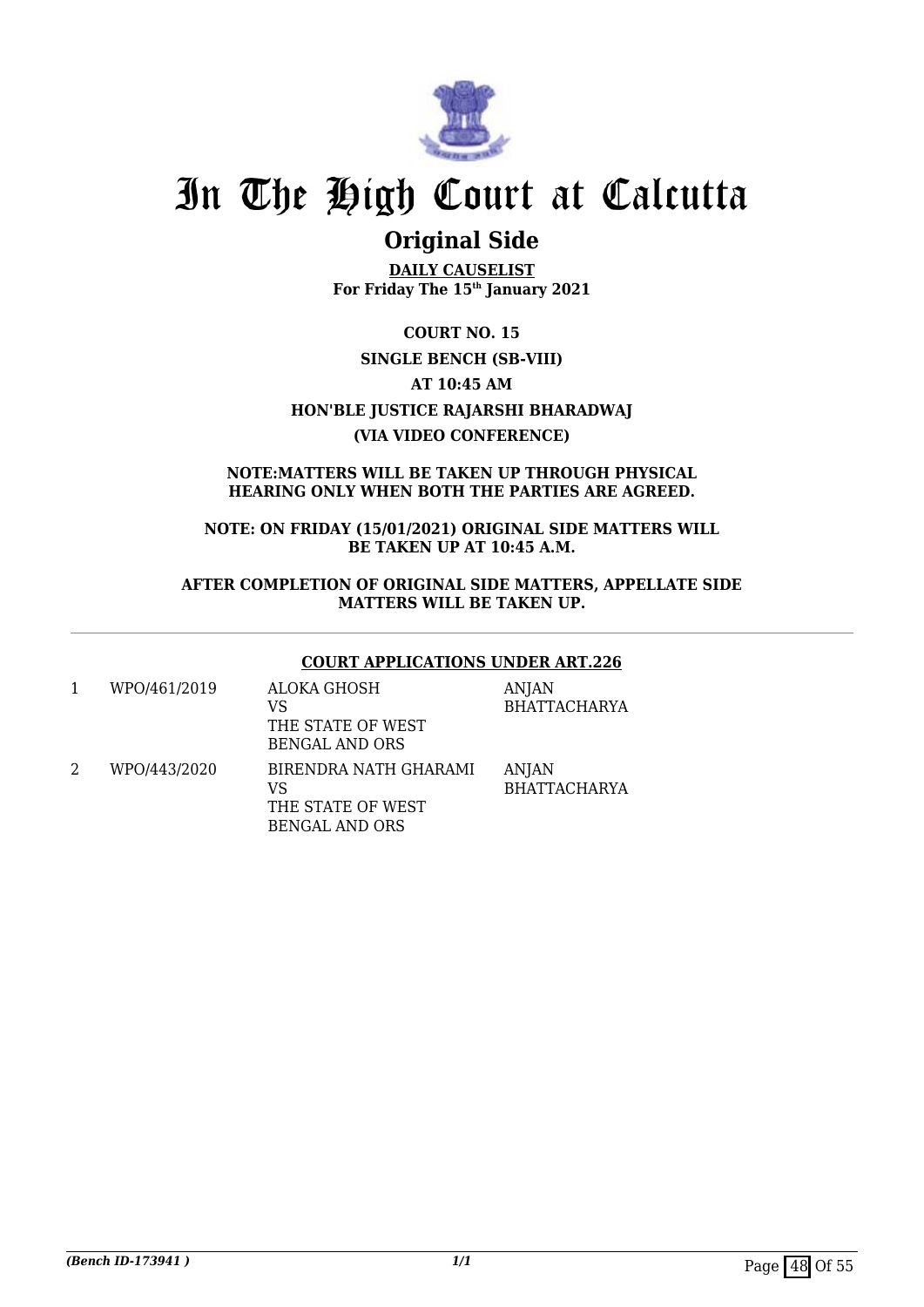

# **Original Side**

**DAILY CAUSELIST For Friday The 15th January 2021**

**COURT NO. 15 SINGLE BENCH (SB-VIII) AT 10:45 AM HON'BLE JUSTICE RAJARSHI BHARADWAJ (VIA VIDEO CONFERENCE)**

**NOTE:MATTERS WILL BE TAKEN UP THROUGH PHYSICAL HEARING ONLY WHEN BOTH THE PARTIES ARE AGREED.**

**NOTE: ON FRIDAY (15/01/2021) ORIGINAL SIDE MATTERS WILL BE TAKEN UP AT 10:45 A.M.**

**AFTER COMPLETION OF ORIGINAL SIDE MATTERS, APPELLATE SIDE MATTERS WILL BE TAKEN UP.**

### **COURT APPLICATIONS UNDER ART.226**

| WPO/461/2019 | ALOKA GHOSH<br>VS<br>THE STATE OF WEST<br>BENGAL AND ORS                  | ANJAN<br><b>BHATTACHARYA</b> |
|--------------|---------------------------------------------------------------------------|------------------------------|
| WPO/443/2020 | BIRENDRA NATH GHARAMI<br>VS<br>THE STATE OF WEST<br><b>BENGAL AND ORS</b> | ANJAN<br>BHATTACHARYA        |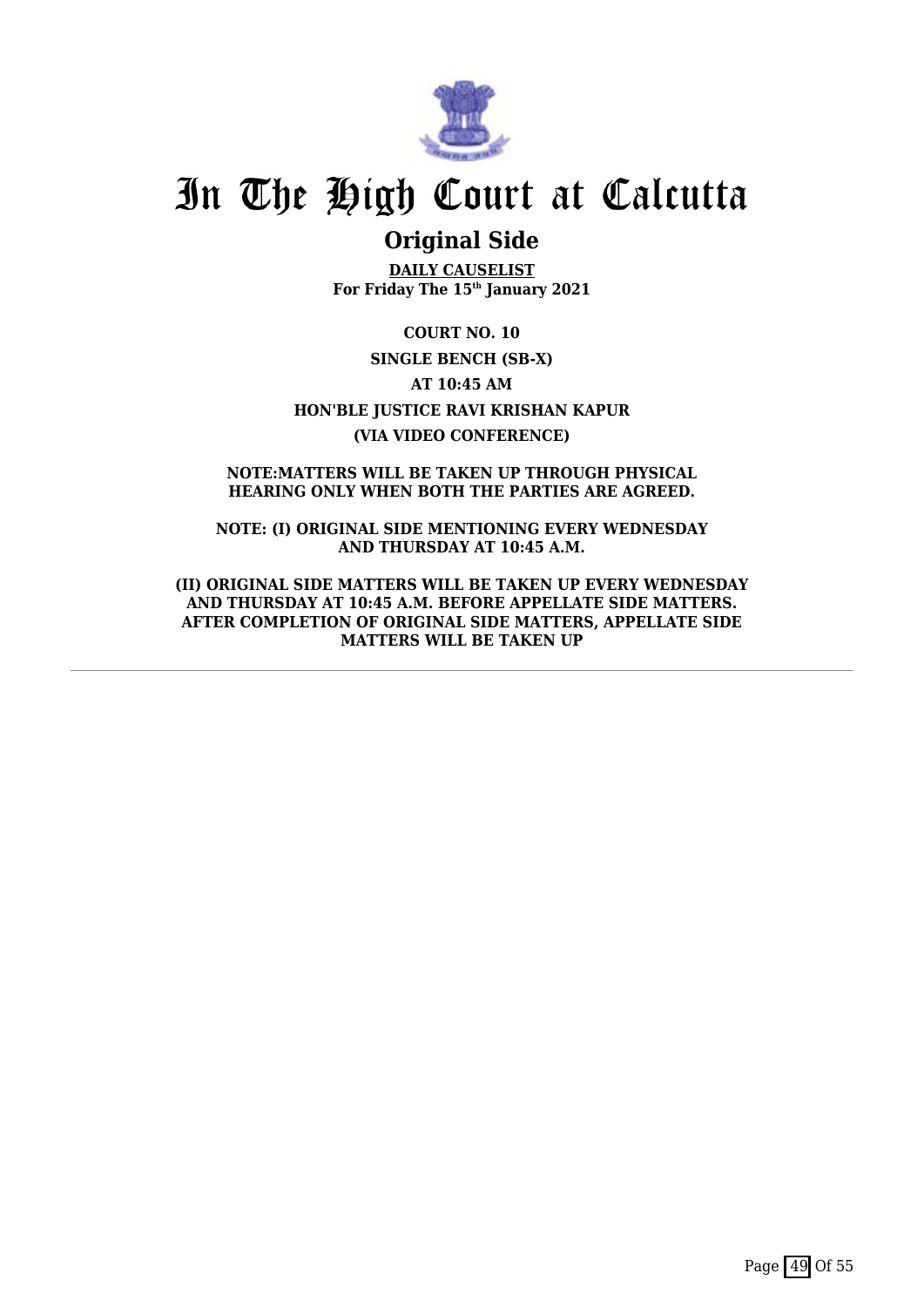

# **Original Side**

**DAILY CAUSELIST For Friday The 15th January 2021**

**COURT NO. 10 SINGLE BENCH (SB-X) AT 10:45 AM HON'BLE JUSTICE RAVI KRISHAN KAPUR (VIA VIDEO CONFERENCE)**

**NOTE:MATTERS WILL BE TAKEN UP THROUGH PHYSICAL HEARING ONLY WHEN BOTH THE PARTIES ARE AGREED.**

**NOTE: (I) ORIGINAL SIDE MENTIONING EVERY WEDNESDAY AND THURSDAY AT 10:45 A.M.**

**(II) ORIGINAL SIDE MATTERS WILL BE TAKEN UP EVERY WEDNESDAY AND THURSDAY AT 10:45 A.M. BEFORE APPELLATE SIDE MATTERS. AFTER COMPLETION OF ORIGINAL SIDE MATTERS, APPELLATE SIDE MATTERS WILL BE TAKEN UP**

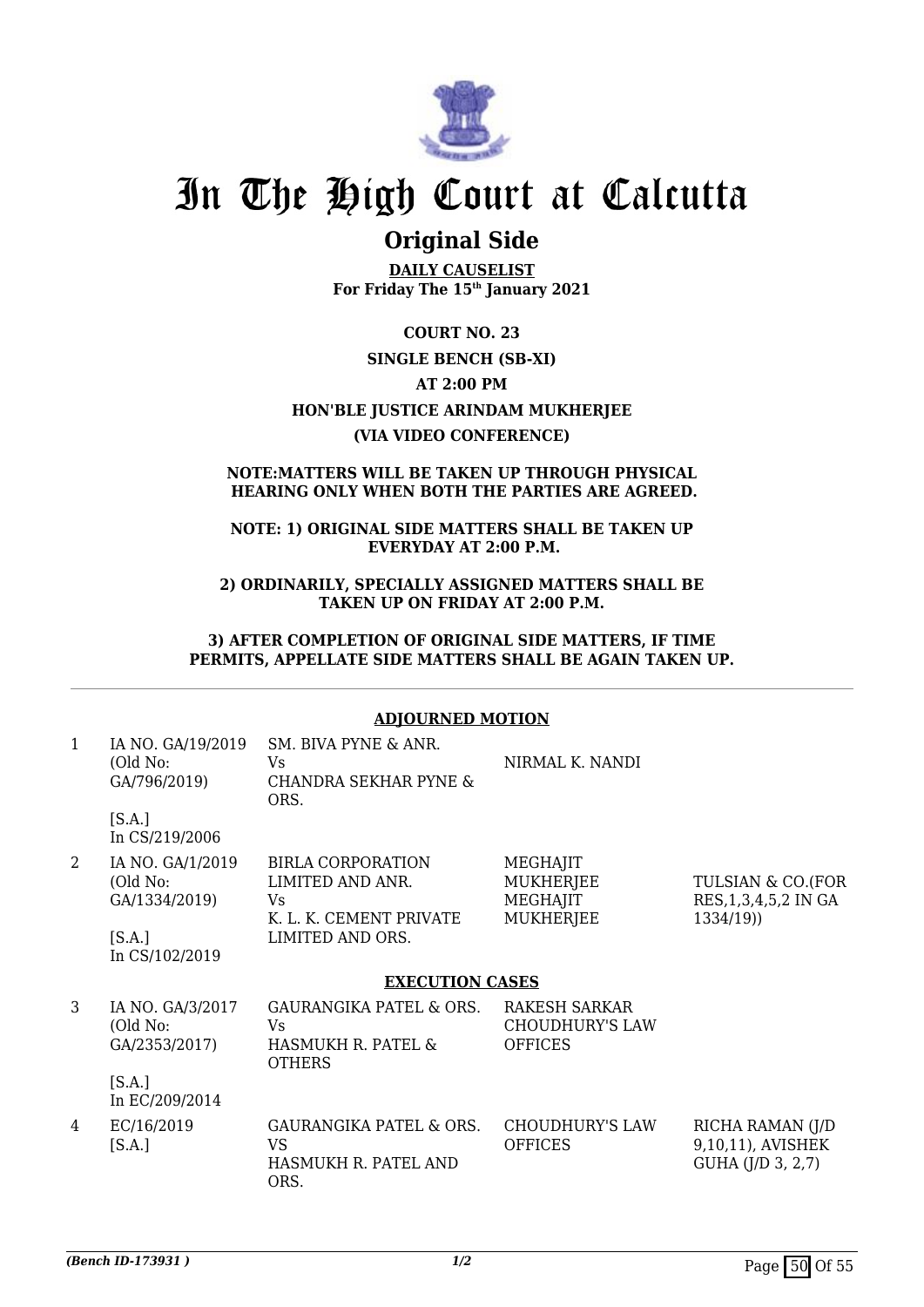

# **Original Side**

**DAILY CAUSELIST For Friday The 15th January 2021**

**COURT NO. 23 SINGLE BENCH (SB-XI) AT 2:00 PM HON'BLE JUSTICE ARINDAM MUKHERJEE (VIA VIDEO CONFERENCE)**

### **NOTE:MATTERS WILL BE TAKEN UP THROUGH PHYSICAL HEARING ONLY WHEN BOTH THE PARTIES ARE AGREED.**

### **NOTE: 1) ORIGINAL SIDE MATTERS SHALL BE TAKEN UP EVERYDAY AT 2:00 P.M.**

**2) ORDINARILY, SPECIALLY ASSIGNED MATTERS SHALL BE TAKEN UP ON FRIDAY AT 2:00 P.M.**

**3) AFTER COMPLETION OF ORIGINAL SIDE MATTERS, IF TIME PERMITS, APPELLATE SIDE MATTERS SHALL BE AGAIN TAKEN UP.**

## **ADJOURNED MOTION**

| 1              | IA NO. GA/19/2019<br>(Old No:<br>GA/796/2019)           | SM. BIVA PYNE & ANR.<br>Vs<br><b>CHANDRA SEKHAR PYNE &amp;</b><br>ORS.                             | NIRMAL K. NANDI                                              |                                                            |
|----------------|---------------------------------------------------------|----------------------------------------------------------------------------------------------------|--------------------------------------------------------------|------------------------------------------------------------|
|                | [S.A.]<br>In CS/219/2006                                |                                                                                                    |                                                              |                                                            |
| $\overline{2}$ | IA NO. GA/1/2019<br>(Old No:<br>GA/1334/2019)<br>[S.A.] | <b>BIRLA CORPORATION</b><br>LIMITED AND ANR.<br>Vs.<br>K. L. K. CEMENT PRIVATE<br>LIMITED AND ORS. | MEGHAJIT<br><b>MUKHERJEE</b><br>MEGHAJIT<br><b>MUKHERJEE</b> | TULSIAN & CO.(FOR<br>RES, 1, 3, 4, 5, 2 IN GA<br>1334/19)  |
|                | In CS/102/2019                                          | <b>EXECUTION CASES</b>                                                                             |                                                              |                                                            |
|                |                                                         |                                                                                                    |                                                              |                                                            |
| 3              | IA NO. GA/3/2017<br>(Old No:<br>GA/2353/2017)           | GAURANGIKA PATEL & ORS.<br>Vs.<br>HASMUKH R. PATEL &<br><b>OTHERS</b>                              | RAKESH SARKAR<br><b>CHOUDHURY'S LAW</b><br><b>OFFICES</b>    |                                                            |
|                | [S.A.]<br>In EC/209/2014                                |                                                                                                    |                                                              |                                                            |
| 4              | EC/16/2019<br>[S.A.]                                    | <b>GAURANGIKA PATEL &amp; ORS.</b><br>VS<br>HASMUKH R. PATEL AND<br>ORS.                           | <b>CHOUDHURY'S LAW</b><br><b>OFFICES</b>                     | RICHA RAMAN (J/D<br>9,10,11), AVISHEK<br>GUHA (J/D 3, 2,7) |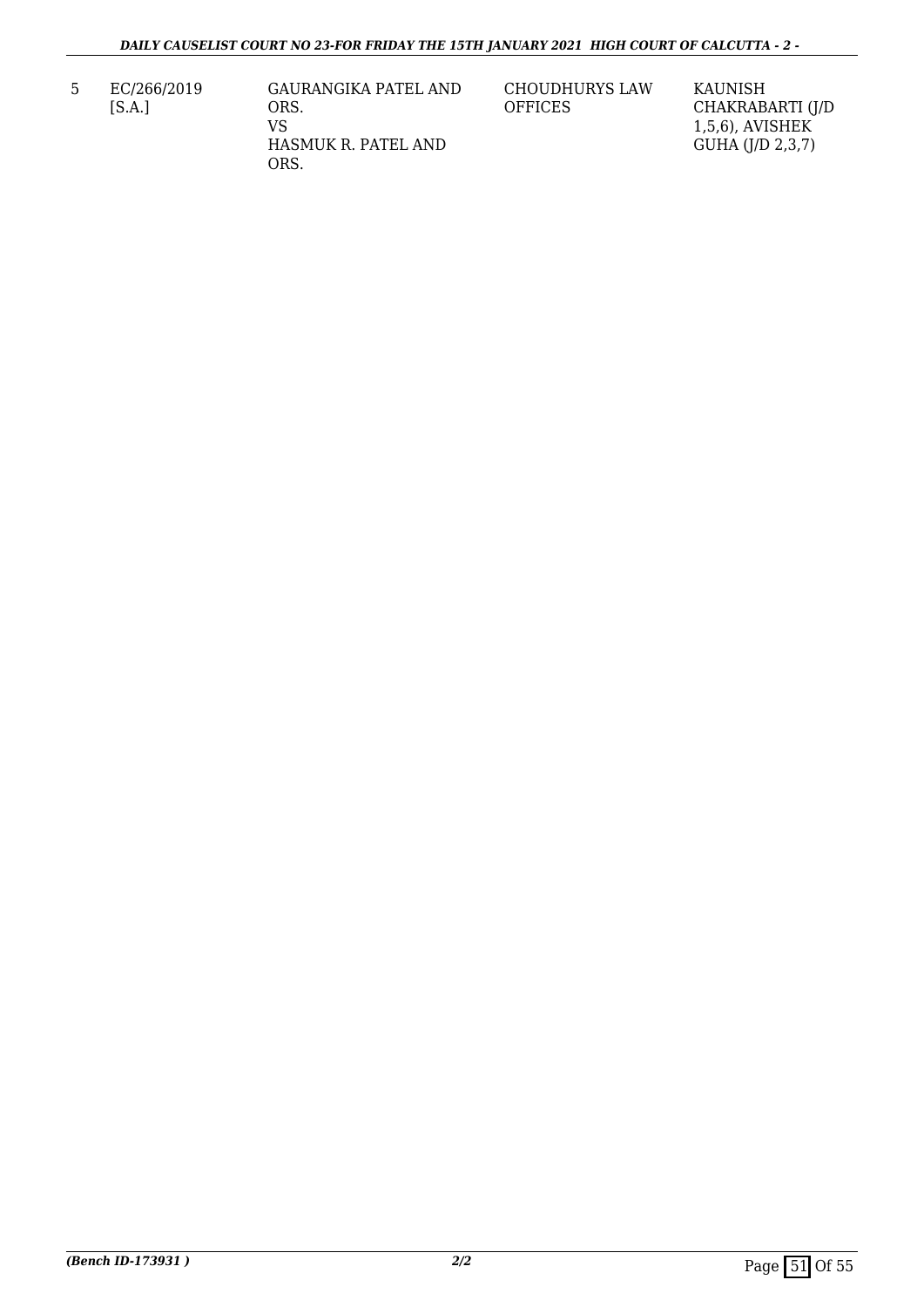5 EC/266/2019 [S.A.]

GAURANGIKA PATEL AND ORS. VS HASMUK R. PATEL AND ORS.

CHOUDHURYS LAW **OFFICES** 

KAUNISH CHAKRABARTI (J/D 1,5,6), AVISHEK GUHA (J/D 2,3,7)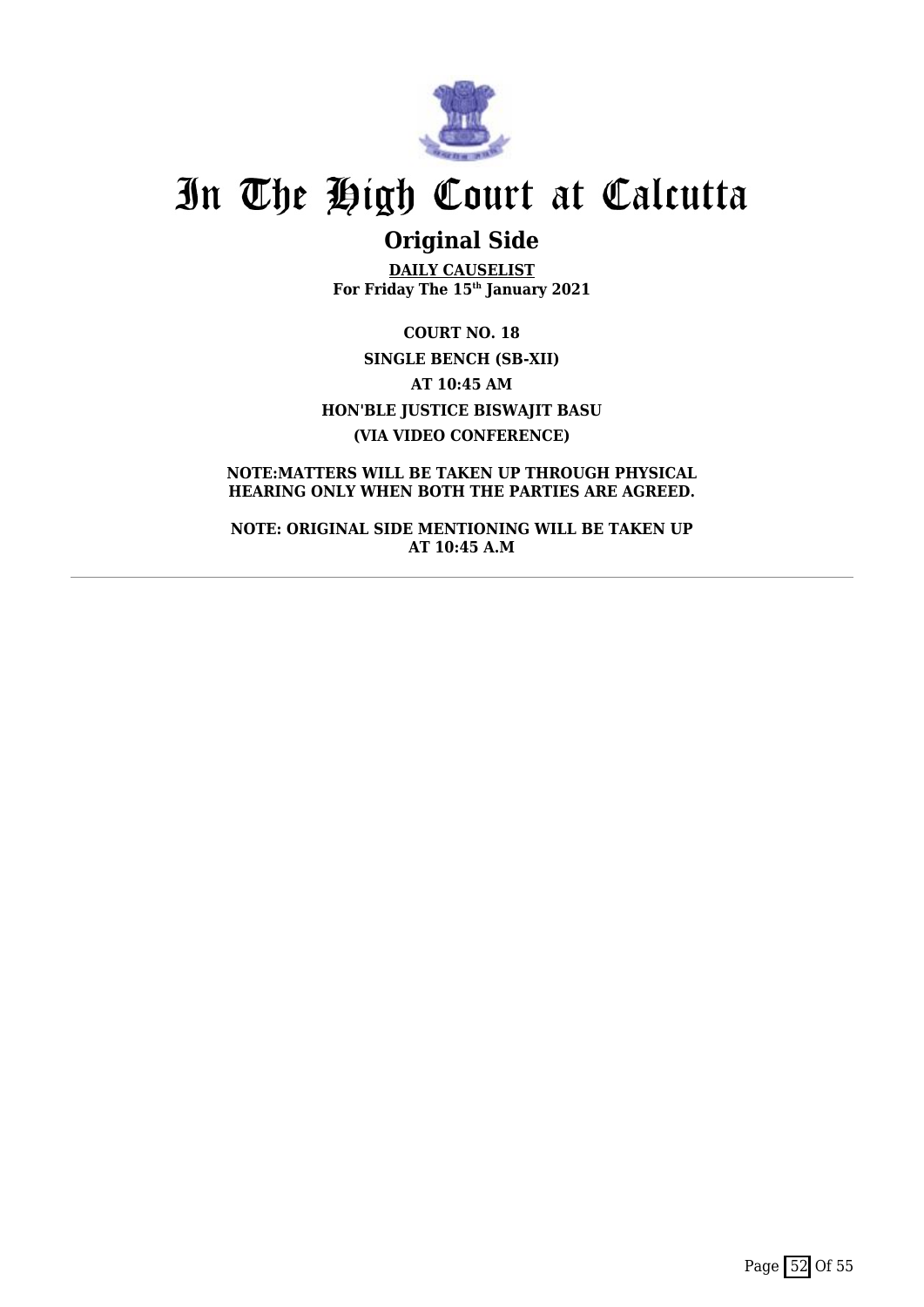

# **Original Side**

**DAILY CAUSELIST For Friday The 15th January 2021**

**COURT NO. 18 SINGLE BENCH (SB-XII) AT 10:45 AM HON'BLE JUSTICE BISWAJIT BASU (VIA VIDEO CONFERENCE)**

**NOTE:MATTERS WILL BE TAKEN UP THROUGH PHYSICAL HEARING ONLY WHEN BOTH THE PARTIES ARE AGREED.**

**NOTE: ORIGINAL SIDE MENTIONING WILL BE TAKEN UP AT 10:45 A.M**

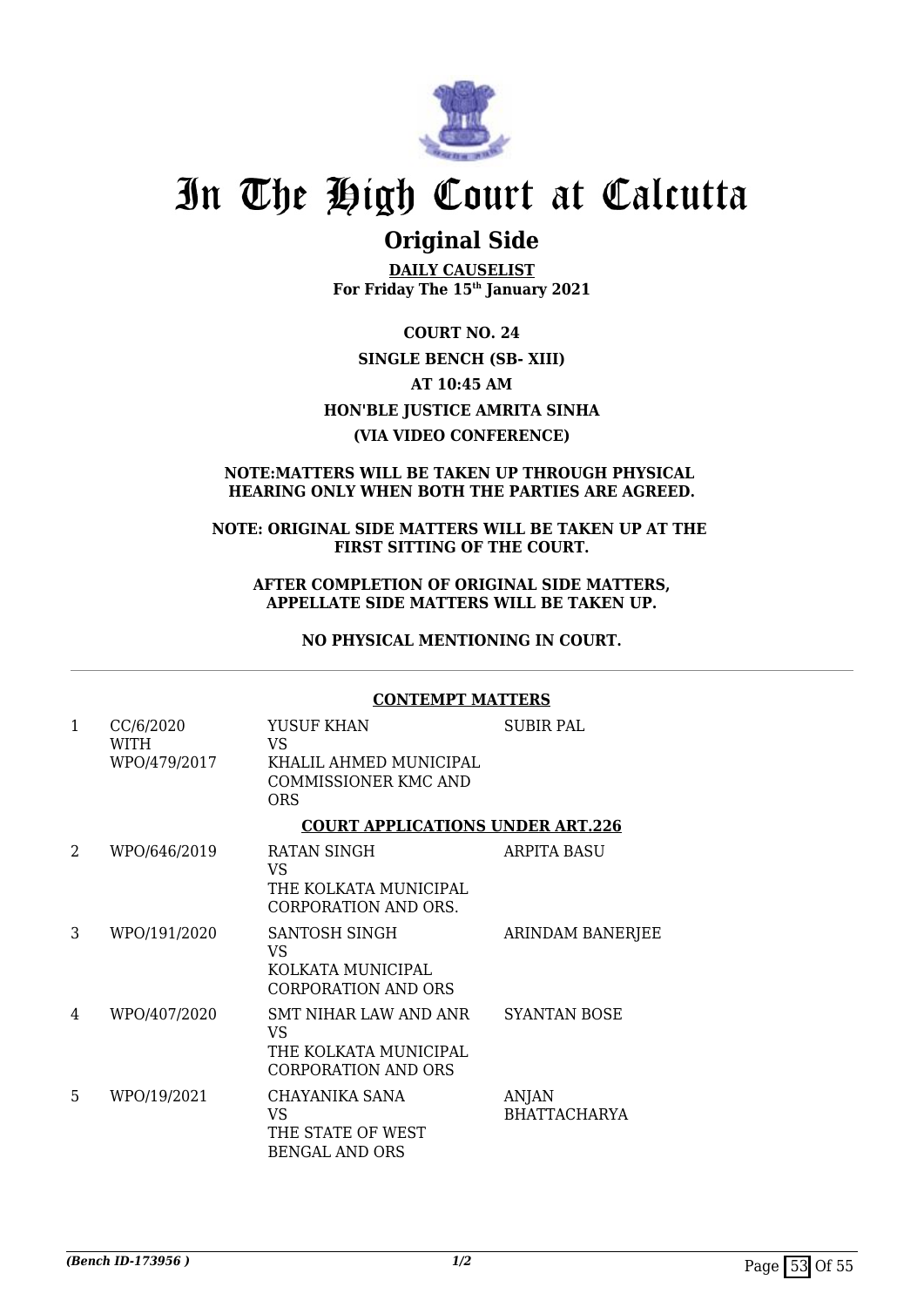

# **Original Side**

**DAILY CAUSELIST For Friday The 15th January 2021**

**COURT NO. 24 SINGLE BENCH (SB- XIII) AT 10:45 AM HON'BLE JUSTICE AMRITA SINHA (VIA VIDEO CONFERENCE)**

### **NOTE:MATTERS WILL BE TAKEN UP THROUGH PHYSICAL HEARING ONLY WHEN BOTH THE PARTIES ARE AGREED.**

### **NOTE: ORIGINAL SIDE MATTERS WILL BE TAKEN UP AT THE FIRST SITTING OF THE COURT.**

#### **AFTER COMPLETION OF ORIGINAL SIDE MATTERS, APPELLATE SIDE MATTERS WILL BE TAKEN UP.**

**NO PHYSICAL MENTIONING IN COURT.**

### **CONTEMPT MATTERS**

| $\mathbf{1}$ | CC/6/2020            | YUSUF KHAN                                                                         | <b>SUBIR PAL</b>                    |
|--------------|----------------------|------------------------------------------------------------------------------------|-------------------------------------|
|              | WITH<br>WPO/479/2017 | VS.<br>KHALIL AHMED MUNICIPAL<br>COMMISSIONER KMC AND<br><b>ORS</b>                |                                     |
|              |                      | <b>COURT APPLICATIONS UNDER ART.226</b>                                            |                                     |
| 2            | WPO/646/2019         | RATAN SINGH<br>VS<br>THE KOLKATA MUNICIPAL<br>CORPORATION AND ORS.                 | <b>ARPITA BASU</b>                  |
| 3            | WPO/191/2020         | SANTOSH SINGH<br>VS.<br>KOLKATA MUNICIPAL<br><b>CORPORATION AND ORS</b>            | <b>ARINDAM BANERJEE</b>             |
| 4            | WPO/407/2020         | SMT NIHAR LAW AND ANR<br>VS<br>THE KOLKATA MUNICIPAL<br><b>CORPORATION AND ORS</b> | <b>SYANTAN BOSE</b>                 |
| 5            | WPO/19/2021          | CHAYANIKA SANA<br><b>VS</b><br>THE STATE OF WEST<br><b>BENGAL AND ORS</b>          | <b>ANJAN</b><br><b>BHATTACHARYA</b> |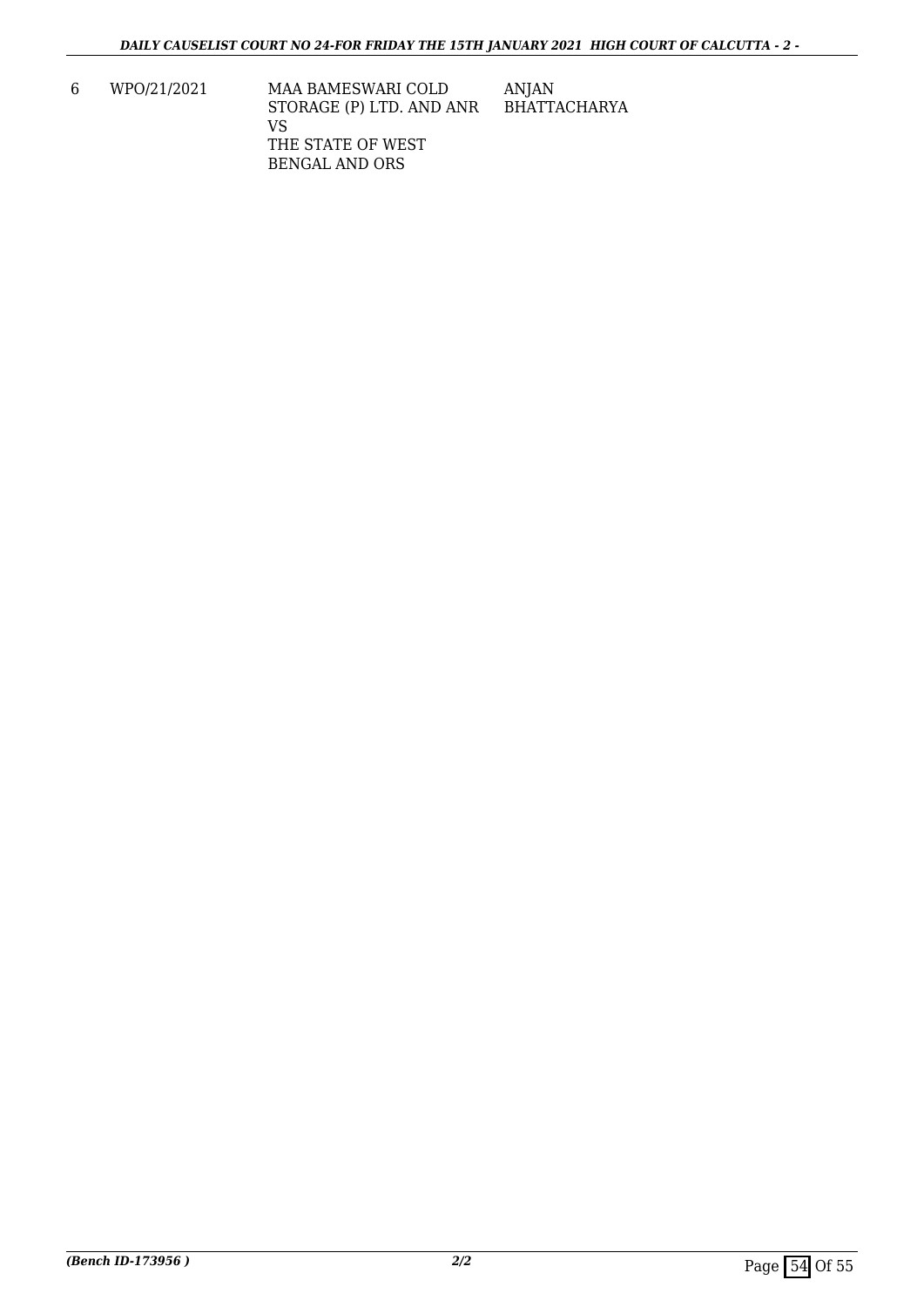6 WPO/21/2021 MAA BAMESWARI COLD STORAGE (P) LTD. AND ANR VS THE STATE OF WEST BENGAL AND ORS ANJAN BHATTACHARYA